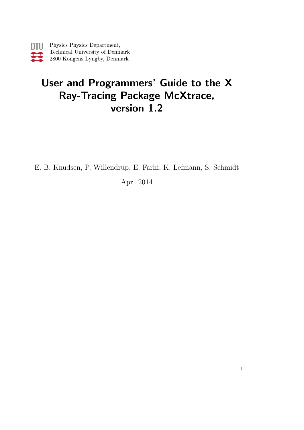# User and Programmers' Guide to the X Ray-Tracing Package McXtrace, version 1.2

E. B. Knudsen, P. Willendrup, E. Farhi, K. Lefmann, S. Schmidt

Apr. 2014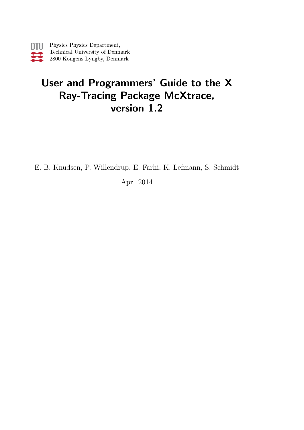# User and Programmers' Guide to the X Ray-Tracing Package McXtrace, version 1.2

E. B. Knudsen, P. Willendrup, E. Farhi, K. Lefmann, S. Schmidt

Apr. 2014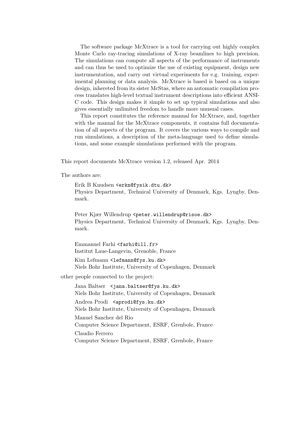The software package McXtrace is a tool for carrying out highly complex Monte Carlo ray-tracing simulations of X-ray beamlines to high precision. The simulations can compute all aspects of the performance of instruments and can thus be used to optimize the use of existing equipment, design new instrumentation, and carry out virtual experiments for e.g. training, experimental planning or data analysis. McXtrace is based is based on a unique design, inhereted from its sister McStas, where an automatic compilation process translates high-level textual instrument descriptions into efficient ANSI-C code. This design makes it simple to set up typical simulations and also gives essentially unlimited freedom to handle more unusual cases.

This report constitutes the reference manual for McXtrace, and, together with the manual for the McXtrace components, it contains full documentation of all aspects of the program. It covers the various ways to compile and run simulations, a description of the meta-language used to define simulations, and some example simulations performed with the program.

This report documents McXtrace version 1.2, released Apr. 2014

The authors are:

Erik B Knudsen <erkn@fysik.dtu.dk> Physics Department, Technical University of Denmark, Kgs. Lyngby, Denmark.

Peter Kjær Willendrup <peter.willendrup@risoe.dk> Physics Department, Technical University of Denmark, Kgs. Lyngby, Denmark.

Emmanuel Farhi <farhi@ill.fr> Institut Laue-Langevin, Grenoble, France

Kim Lefmann <lefmann@fys.ku.dk> Niels Bohr Institute, University of Copenhagen, Denmark

other people connected to the project:

Jana Baltser <jana.baltser@fys.ku.dk> Niels Bohr Institute, University of Copenhagen, Denmark

Andrea Prodi <aprodi@fys.ku.dk> Niels Bohr Institute, University of Copenhagen, Denmark

Manuel Sanchez del Rio Computer Science Department, ESRF, Grenbole, France Claudio Ferrero Computer Science Department, ESRF, Grenbole, France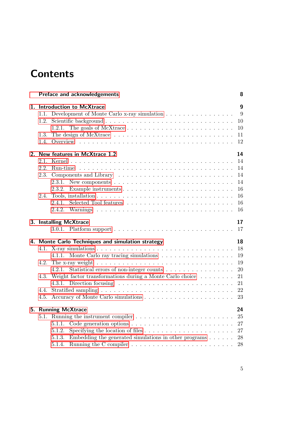# <span id="page-4-0"></span>**Contents**

|                      | Preface and acknowledgements                                                                                                                                                        | 8                                                  |
|----------------------|-------------------------------------------------------------------------------------------------------------------------------------------------------------------------------------|----------------------------------------------------|
| 1.2.                 | 1. Introduction to McXtrace<br>1.1. Development of Monte Carlo x-ray simulation<br>1.2.1. The goals of McXtrace $\dots \dots \dots \dots \dots \dots \dots \dots \dots \dots \dots$ | $\boldsymbol{9}$<br>9<br>10<br>10                  |
| 1.3.                 |                                                                                                                                                                                     | 11<br>12                                           |
| 2.2.<br>2.3.<br>2.4. | 2. New features in McXtrace 1.2<br>2.3.1.<br>New components $\dots \dots \dots \dots \dots \dots \dots \dots \dots \dots$<br>2.3.2.<br>2.4.1.                                       | 14<br>14<br>14<br>14<br>14<br>16<br>16<br>16<br>16 |
|                      | 3. Installing McXtrace                                                                                                                                                              | 17<br>17                                           |
|                      | 4. Monte Carlo Techniques and simulation strategy                                                                                                                                   | 18                                                 |
| 4.1.<br>4.2.         | 4.1.1. Monte Carlo ray tracing simulations<br>4.2.1.<br>Statistical errors of non-integer counts                                                                                    | 18<br>19<br>19<br>20                               |
| 4.3.<br>4.5.         | Weight factor transformations during a Monte Carlo choice<br>4.3.1. Direction focusing $\ldots \ldots \ldots \ldots \ldots \ldots \ldots \ldots \ldots$                             | 21<br>21<br>22<br>23                               |
|                      | 5. Running McXtrace<br>Code generation options $\ldots \ldots \ldots \ldots \ldots \ldots \ldots \ldots$<br>5.1.1.                                                                  | 24<br>25<br>27                                     |
|                      | 5.1.2.<br>Embedding the generated simulations in other programs $\ldots \ldots$<br>5.1.3.<br>5.1.4.                                                                                 | 27<br>28<br>28                                     |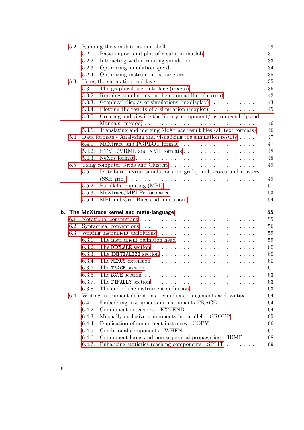|      |        | 5.2. Running the simulations in a shell $\ldots$ , , , , ,                                          | 29 |  |  |  |
|------|--------|-----------------------------------------------------------------------------------------------------|----|--|--|--|
|      | 5.2.1. |                                                                                                     |    |  |  |  |
|      | 5.2.2. | Interacting with a running simulation $\ldots \ldots \ldots \ldots \ldots$                          | 33 |  |  |  |
|      | 5.2.3. |                                                                                                     | 34 |  |  |  |
|      | 5.2.4. |                                                                                                     | 35 |  |  |  |
|      |        | 5.3. Using the simulation tool layer $\dots \dots \dots \dots \dots \dots \dots \dots \dots \dots$  | 35 |  |  |  |
|      | 5.3.1. |                                                                                                     | 36 |  |  |  |
|      | 5.3.2. | Running simulations on the commandline $(mxrun) \dots \dots \dots$                                  | 42 |  |  |  |
|      | 5.3.3. | Graphical display of simulations $(mxdisplay) \dots \dots \dots \dots$                              | 43 |  |  |  |
|      | 5.3.4. | Plotting the results of a simulation $(mxplot) \dots \dots \dots \dots$                             | 45 |  |  |  |
|      | 5.3.5. | Creating and viewing the library, component/instrument help and                                     |    |  |  |  |
|      |        |                                                                                                     | 46 |  |  |  |
|      | 5.3.6. | $\label{thm:main}$ Translating and merging McX<br>trace result files (all text formats) $\hfill .$  | 46 |  |  |  |
|      |        | 5.4. Data formats - Analyzing and visualizing the simulation results                                | 47 |  |  |  |
|      | 5.4.1. |                                                                                                     | 47 |  |  |  |
|      |        |                                                                                                     | 48 |  |  |  |
|      | 5.4.3. |                                                                                                     | 48 |  |  |  |
|      |        |                                                                                                     | 49 |  |  |  |
|      | 5.5.1. | Distribute mxrun simulations on grids, multi-cores and clusters                                     |    |  |  |  |
|      |        |                                                                                                     | 49 |  |  |  |
|      | 5.5.2. |                                                                                                     | 51 |  |  |  |
|      | 5.5.3. |                                                                                                     |    |  |  |  |
|      |        |                                                                                                     | 54 |  |  |  |
|      |        | 6. The McXtrace kernel and meta-language                                                            | 55 |  |  |  |
|      |        |                                                                                                     | 55 |  |  |  |
| 6.2. |        |                                                                                                     | 56 |  |  |  |
|      |        |                                                                                                     |    |  |  |  |
|      |        | 6.3.1. The instrument definition head $\ldots$ , , , , ,  59                                        | 59 |  |  |  |
|      | 6.3.2. | The DECLARE section $\ldots \ldots \ldots \ldots \ldots \ldots \ldots \ldots \ldots \ldots 60$      |    |  |  |  |
|      | 6.3.3. | The INITIALIZE section $\ldots \ldots \ldots \ldots \ldots \ldots \ldots \ldots \ldots \ldots 60$   |    |  |  |  |
|      |        |                                                                                                     |    |  |  |  |
|      |        | 6.3.5. The TRACE section $\ldots \ldots \ldots \ldots \ldots \ldots \ldots \ldots \ldots \ldots 61$ |    |  |  |  |
|      |        |                                                                                                     |    |  |  |  |
|      | 6.3.7. |                                                                                                     | 63 |  |  |  |
|      | 6.3.8. | The end of the instrument definition                                                                | 63 |  |  |  |
|      |        | 6.4. Writing instrument definitions - complex arrangements and syntax                               | 64 |  |  |  |
|      | 6.4.1. | Embedding instruments in instruments TRACE                                                          | 64 |  |  |  |
|      | 6.4.2. |                                                                                                     | 64 |  |  |  |
|      | 6.4.3. | Mutually exclusive components in parallell - $GROUP$                                                | 65 |  |  |  |
|      | 6.4.4. | Duplication of component instances - $COPY$                                                         | 66 |  |  |  |
|      | 6.4.5. |                                                                                                     | 67 |  |  |  |
|      | 6.4.6. | Component loops and non sequential propagation - $JUMP \dots$ .                                     | 68 |  |  |  |
|      | 6.4.7. | Enhancing statistics reaching components - SPLIT                                                    | 69 |  |  |  |
|      |        |                                                                                                     |    |  |  |  |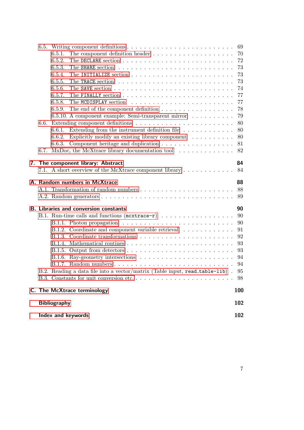|    |      | Index and keywords                                                                                                                                                                                                                                   | 102                              |
|----|------|------------------------------------------------------------------------------------------------------------------------------------------------------------------------------------------------------------------------------------------------------|----------------------------------|
|    |      | <b>Bibliography</b>                                                                                                                                                                                                                                  | 102                              |
|    |      | C. The McXtrace terminology                                                                                                                                                                                                                          | 100                              |
|    |      | B.2. Reading a data file into a vector/matrix (Table input, read_table-lib). 95                                                                                                                                                                      | 94<br>94<br>98                   |
|    |      | B.1.2. Coordinate and component variable retrieval                                                                                                                                                                                                   | 91<br>92<br>93<br>93             |
|    |      | <b>B. Libraries and conversion constants</b><br>B.1. Run-time calls and functions $(\texttt{mextrace-r}) \dots \dots \dots \dots \dots \dots$<br>B.1.1. Photon propagation $\ldots \ldots \ldots \ldots \ldots \ldots \ldots \ldots$                 | 90<br>90<br>90                   |
|    |      | A. Random numbers in McXtrace                                                                                                                                                                                                                        | 88<br>88<br>89                   |
| 7. |      | The component library: Abstract<br>7.1. A short overview of the McXtrace component library                                                                                                                                                           | 84<br>84                         |
|    |      | 6.6.1.<br>Explicitly modify an existing library component $\ldots \ldots \ldots$<br>6.6.2.<br>6.6.3.<br>6.7. MxDoc, the McXtrace library documentation tool                                                                                          | 80<br>80<br>81<br>82             |
|    | 6.6. | 6.5.7.<br>6.5.8.<br>The end of the component definition $\ldots \ldots \ldots \ldots \ldots \ldots$<br>6.5.9.<br>6.5.10. A component example: Semi-transparent mirror<br>Extending from the instrument definition file $\ldots \ldots \ldots \ldots$ | 77<br>77<br>78<br>79<br>80       |
|    |      | 6.5.1.<br>6.5.2.<br>6.5.3.<br>6.5.4.<br>6.5.5.<br>6.5.6.                                                                                                                                                                                             | 70<br>72<br>73<br>73<br>73<br>74 |
|    |      |                                                                                                                                                                                                                                                      | 69                               |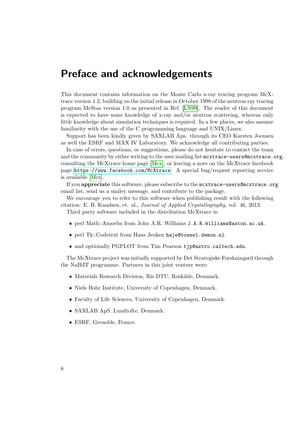# Preface and acknowledgements

This document contains information on the Monte Carlo x-ray tracing program McXtrace version 1.2, building on the initial release in October 1998 of the neutron ray tracing program McStas version 1.0 as presented in Ref. [\[LN99\]](#page-100-1). The reader of this document is expected to have some knowledge of x-ray and/or neutron scattering, whereas only little knowledge about simulation techniques is required. In a few places, we also assume familiarity with the use of the C programming language and UNIX/Linux.

Support has been kindly given by SAXLAB Aps. through its CEO Karsten Joensen as well the ESRF and MAX IV Laboratory. We acknowledge all contributing parties.

In case of errors, questions, or suggestions, please do not hesitate to contact the team and the community by either writing to the user mailing list mextrace-users@mcxtrace.org, consulting the McXtrace home page [\[Mcx\]](#page-100-2), or leaving a note on the McXtrace facebook page <https://www.facebook.com/McXtrace>. A special bug/request reporting service is available [\[Mcz\]](#page-100-3).

If you appreciate this software, please subscribe to the mcxtrace-users@mcxtrace.org email list, send us a smiley message, and contribute to the package.

We encourage you to refer to this software when publishing result with the following citation: E. B. Knudsen, et. al., Journal of Applied Crystallography, vol. 46, 2013.

Third party software included in the distribution McXtrace is:

- perl Math::Amoeba from John A.R. Williams J.A.R.Williams@aston.ac.uk.
- perl Tk::Codetext from Hans Jeuken haje@toneel.demon.nl.
- and optionally PGPLOT from Tim Pearson tjp@astro.caltech.edu.

The McXtrace project was initially supported by Det Strategiske Forskningsrd through the NaBiIT programme. Partners in this joint venture were:

- Materials Research Division, Ris DTU, Roskilde, Denmark.
- Niels Bohr Institute, University of Copenhagen, Denmark.
- Faculty of Life Sciences, University of Copenhagen, Denmark.
- SAXLAB ApS. Lundtofte, Denmark.
- ESRF, Grenoble, France.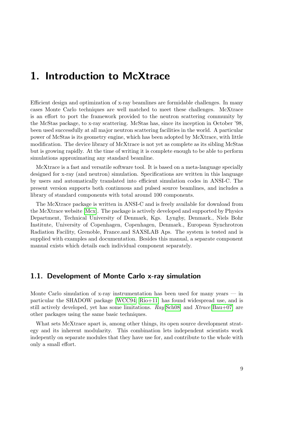# <span id="page-8-0"></span>1. Introduction to McXtrace

Efficient design and optimization of x-ray beamlines are formidable challenges. In many cases Monte Carlo techniques are well matched to meet these challenges. McXtrace is an effort to port the framework provided to the neutron scattering community by the McStas package, to x-ray scattering. McStas has, since its inception in October '98, been used successfully at all major neutron scattering facilities in the world. A particular power of McStas is its geometry engine, which has been adopted by McXtrace, with little modification. The device library of McXtrace is not yet as complete as its sibling McStas but is growing rapidly. At the time of writing it is complete enough to be able to perform simulations approximating any standard beamline.

McXtrace is a fast and versatile software tool. It is based on a meta-language specially designed for x-ray (and neutron) simulation. Specifications are written in this language by users and automatically translated into efficient simulation codes in ANSI-C. The present version supports both continuous and pulsed source beamlines, and includes a library of standard components with total around 100 components.

The McXtrace package is written in ANSI-C and is freely available for download from the McXtrace website [\[Mcx\]](#page-100-2). The package is actively developed and supported by Physics Department, Technical University of Denmark, Kgs. Lyngby, Denmark., Niels Bohr Institute, University of Copenhagen, Copenhagen, Denmark., European Synchrotron Radiation Facility, Grenoble, France.and SAXSLAB Aps. The system is tested and is supplied with examples and documentation. Besides this manual, a separate component manual exists which details each individual component separately.

### <span id="page-8-1"></span>1.1. Development of Monte Carlo x-ray simulation

Monte Carlo simulation of x-ray instrumentation has been used for many years — in particular the SHADOW package [\[WCC94;](#page-101-0) [Rio+11\]](#page-101-1) has found widespread use, and is still actively developed, yet has some limitations.  $Ray|\text{Sch}08|$  and  $Xtrace|\text{Bau}+07|$  are other packages using the same basic techniques.

What sets McXtrace apart is, among other things, its open source development strategy and its inherent modularity. This combination lets independent scientists work indepently on separate modules that they have use for, and contribute to the whole with only a small effort.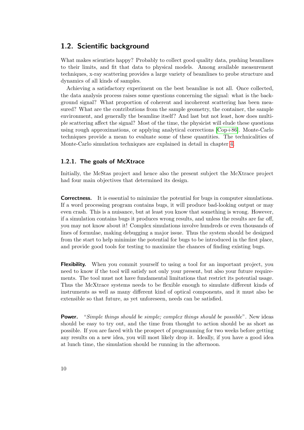### <span id="page-9-0"></span>1.2. Scientific background

What makes scientists happy? Probably to collect good quality data, pushing beamlines to their limits, and fit that data to physical models. Among available measurement techniques, x-ray scattering provides a large variety of beamlines to probe structure and dynamics of all kinds of samples.

Achieving a satisfactory experiment on the best beamline is not all. Once collected, the data analysis process raises some questions concerning the signal: what is the background signal? What proportion of coherent and incoherent scattering has been measured? What are the contributions from the sample geometry, the container, the sample environment, and generally the beamline itself? And last but not least, how does multiple scattering affect the signal? Most of the time, the physicist will elude these questions using rough approximations, or applying analytical corrections [\[Cop+86\]](#page-100-5). Monte-Carlo techniques provide a mean to evaluate some of these quantities. The technicalities of Monte-Carlo simulation techniques are explained in detail in chapter [4.](#page-17-0)

#### <span id="page-9-1"></span>1.2.1. The goals of McXtrace

Initially, the McStas project and hence also the present subject the McXtrace project had four main objectives that determined its design.

Correctness. It is essential to minimize the potential for bugs in computer simulations. If a word processing program contains bugs, it will produce bad-looking output or may even crash. This is a nuisance, but at least you know that something is wrong. However, if a simulation contains bugs it produces wrong results, and unless the results are far off, you may not know about it! Complex simulations involve hundreds or even thousands of lines of formulae, making debugging a major issue. Thus the system should be designed from the start to help minimize the potential for bugs to be introduced in the first place, and provide good tools for testing to maximize the chances of finding existing bugs.

**Flexibility.** When you commit yourself to using a tool for an important project, you need to know if the tool will satisfy not only your present, but also your future requirements. The tool must not have fundamental limitations that restrict its potential usage. Thus the McXtrace systems needs to be flexible enough to simulate different kinds of instruments as well as many different kind of optical components, and it must also be extensible so that future, as yet unforeseen, needs can be satisfied.

**Power.** "Simple things should be simple; complex things should be possible". New ideas should be easy to try out, and the time from thought to action should be as short as possible. If you are faced with the prospect of programming for two weeks before getting any results on a new idea, you will most likely drop it. Ideally, if you have a good idea at lunch time, the simulation should be running in the afternoon.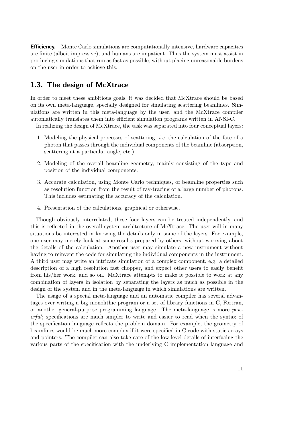Efficiency. Monte Carlo simulations are computationally intensive, hardware capacities are finite (albeit impressive), and humans are impatient. Thus the system must assist in producing simulations that run as fast as possible, without placing unreasonable burdens on the user in order to achieve this.

## <span id="page-10-0"></span>1.3. The design of McXtrace

In order to meet these ambitious goals, it was decided that McXtrace should be based on its own meta-language, specially designed for simulating scattering beamlines. Simulations are written in this meta-language by the user, and the McXtrace compiler automatically translates them into efficient simulation programs written in ANSI-C.

In realizing the design of McXtrace, the task was separated into four conceptual layers:

- 1. Modeling the physical processes of scattering, i.e. the calculation of the fate of a photon that passes through the individual components of the beamline (absorption, scattering at a particular angle, etc.)
- 2. Modeling of the overall beamline geometry, mainly consisting of the type and position of the individual components.
- 3. Accurate calculation, using Monte Carlo techniques, of beamline properties such as resolution function from the result of ray-tracing of a large number of photons. This includes estimating the accuracy of the calculation.
- 4. Presentation of the calculations, graphical or otherwise.

Though obviously interrelated, these four layers can be treated independently, and this is reflected in the overall system architecture of McXtrace. The user will in many situations be interested in knowing the details only in some of the layers. For example, one user may merely look at some results prepared by others, without worrying about the details of the calculation. Another user may simulate a new instrument without having to reinvent the code for simulating the individual components in the instrument. A third user may write an intricate simulation of a complex component, e.g. a detailed description of a high resolution fast chopper, and expect other users to easily benefit from his/her work, and so on. McXtrace attempts to make it possible to work at any combination of layers in isolation by separating the layers as much as possible in the design of the system and in the meta-language in which simulations are written.

The usage of a special meta-language and an automatic compiler has several advantages over writing a big monolithic program or a set of library functions in C, Fortran, or another general-purpose programming language. The meta-language is more powerful; specifications are much simpler to write and easier to read when the syntax of the specification language reflects the problem domain. For example, the geometry of beamlines would be much more complex if it were specified in C code with static arrays and pointers. The compiler can also take care of the low-level details of interfacing the various parts of the specification with the underlying C implementation language and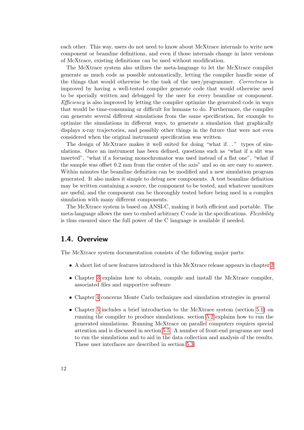each other. This way, users do not need to know about McXtrace internals to write new component or beamline definitions, and even if those internals change in later versions of McXtrace, existing definitions can be used without modification.

The McXtrace system also utilizes the meta-language to let the McXtrace compiler generate as much code as possible automatically, letting the compiler handle some of the things that would otherwise be the task of the user/programmer. Correctness is improved by having a well-tested compiler generate code that would otherwise need to be specially written and debugged by the user for every beamline or component. Efficiency is also improved by letting the compiler optimize the generated code in ways that would be time-consuming or difficult for humans to do. Furthermore, the compiler can generate several different simulations from the same specification, for example to optimize the simulations in different ways, to generate a simulation that graphically displays x-ray trajectories, and possibly other things in the future that were not even considered when the original instrument specification was written.

The design of McXtrace makes it well suited for doing "what if..." types of simulations. Once an instrument has been defined, questions such as "what if a slit was inserted", "what if a focusing monochromator was used instead of a flat one", "what if the sample was offset 0.2 mm from the center of the axis" and so on are easy to answer. Within minutes the beamline definition can be modified and a new simulation program generated. It also makes it simple to debug new components. A test beamline definition may be written containing a source, the component to be tested, and whatever monitors are useful, and the component can be thoroughly tested before being used in a complex simulation with many different components.

The McXtrace system is based on ANSI-C, making it both efficient and portable. The meta-language allows the user to embed arbitrary C code in the specifications. Flexibility is thus ensured since the full power of the C language is available if needed.

### <span id="page-11-0"></span>1.4. Overview

The McXtrace system documentation consists of the following major parts:

- A short list of new features introduced in this McXtrace release appears in chapter [2](#page-13-0)
- Chapter [3](#page-16-0) explains how to obtain, compile and install the McXtrace compiler, associated files and supportive software
- Chapter [4](#page-17-0) concerns Monte Carlo techniques and simulation strategies in general
- Chapter [5](#page-23-0) includes a brief introduction to the McXtrace system (section [5.1\)](#page-24-0) on running the compiler to produce simulations. section [5.2](#page-28-0) explains how to run the generated simulations. Running McXtrace on parallel computers requires special attention and is discussed in section [5.5.](#page-48-0) A number of front-end programs are used to run the simulations and to aid in the data collection and analysis of the results. These user interfaces are described in section [5.3.](#page-34-1)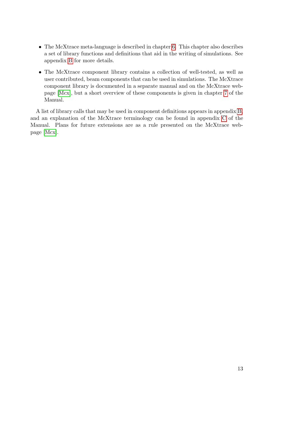- The McXtrace meta-language is described in chapter [6.](#page-54-0) This chapter also describes a set of library functions and definitions that aid in the writing of simulations. See appendix [B](#page-89-0) for more details.
- The McXtrace component library contains a collection of well-tested, as well as user contributed, beam components that can be used in simulations. The McXtrace component library is documented in a separate manual and on the McXtrace webpage [\[Mcx\]](#page-100-2), but a short overview of these components is given in chapter [7](#page-83-0) of the Manual.

A list of library calls that may be used in component definitions appears in appendix [B,](#page-89-0) and an explanation of the McXtrace terminology can be found in appendix [C](#page-99-0) of the Manual. Plans for future extensions are as a rule presented on the McXtrace webpage [\[Mcx\]](#page-100-2).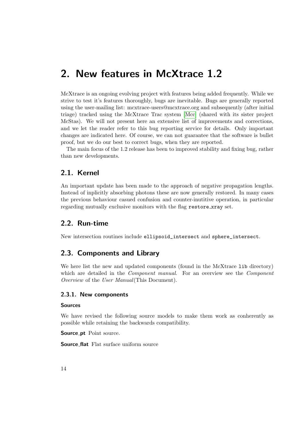# <span id="page-13-0"></span>2. New features in McXtrace 1.2

McXtrace is an ongoing evolving project with features being added frequently. While we strive to test it's features thoroughly, bugs are inevitable. Bugs are generally reported using the user-mailing list: mcxtrace-users@mcxtrace.org and subsequently (after initial triage) tracked using the McXtrace Trac system [\[Mcc\]](#page-100-6) (shared with its sister project McStas). We will not present here an extensive list of improvements and corrections, and we let the reader refer to this bug reporting service for details. Only important changes are indicated here. Of course, we can not guarantee that the software is bullet proof, but we do our best to correct bugs, when they are reported.

The main focus of the 1.2 release has been to improved stability and fixing bug, rather than new developments.

## <span id="page-13-1"></span>2.1. Kernel

An important update has been made to the approach of negative propagation lengths. Instead of inplicitly absorbing photons these are now generally restored. In many cases the previous behaviour casued confusion and counter-inutitive operation, in particular regarding mutually exclusive monitors with the flag restore\_xray set.

# <span id="page-13-2"></span>2.2. Run-time

New intersection routines include ellipsoid\_intersect and sphere\_intersect.

## <span id="page-13-3"></span>2.3. Components and Library

We here list the new and updated components (found in the McXtrace lib directory) which are detailed in the *Component manual*. For an overview see the *Component* Overview of the User Manual(This Document).

#### <span id="page-13-4"></span>2.3.1. New components

#### Sources

We have revised the following source models to make them work as conherently as possible while retaining the backwards compatibility.

Source\_pt Point source.

Source flat Flat surface uniform source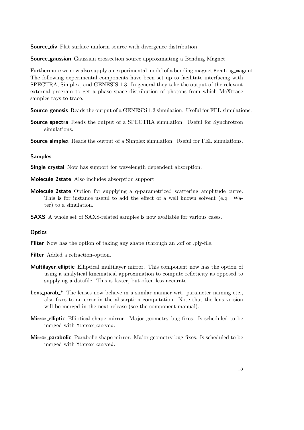**Source div** Flat surface uniform source with divergence distribution

**Source gaussian** Gaussian crossection source approximating a Bending Magnet

Furthermore we now also supply an experimental model of a bending magnet Bending magnet. The following experimental components have been set up to facilitate interfacing with SPECTRA, Simplex, and GENESIS 1.3. In general they take the output of the relevant external program to get a phase space distribution of photons from which McXtrace samples rays to trace.

**Source genesis** Reads the output of a GENESIS 1.3 simulation. Useful for FEL-simulations.

**Source\_spectra** Reads the output of a SPECTRA simulation. Useful for Synchrotron simulations.

**Source\_simplex** Reads the output of a Simplex simulation. Useful for FEL simulations.

#### Samples

**Single crystal** Now has support for wavelength dependent absorption.

- Molecule 2state Also includes absorption support.
- Molecule 2state Option for supplying a q-parametrized scattering amplitude curve. This is for instance useful to add the effect of a well known solvent (e.g. Water) to a simulation.
- SAXS A whole set of SAXS-related samples is now available for various cases.

#### **Optics**

Filter Now has the option of taking any shape (through an off or .ply-file.

Filter Added a refraction-option.

- Multilayer elliptic Elliptical multilayer mirror. This component now has the option of using a analytical kinematical approximation to compute refleticity as opposed to supplying a datafile. This is faster, but often less accurate.
- Lens\_parab \* The lenses now behave in a similar manner wrt. parameter naming etc., also fixes to an error in the absorption computation. Note that the lens version will be merged in the next release (see the component manual).
- Mirror elliptic Elliptical shape mirror. Major geometry bug-fixes. Is scheduled to be merged with Mirror\_curved.
- Mirror parabolic Parabolic shape mirror. Major geometry bug-fixes. Is scheduled to be merged with Mirror\_curved.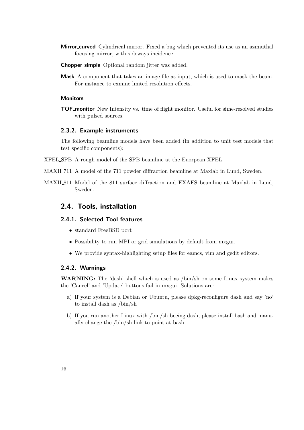- **Mirror curved** Cylindrical mirror. Fixed a bug which prevented its use as an azimuthal focusing mirror, with sideways incidence.
- Chopper simple Optional random jitter was added.
- Mask A component that takes an image file as input, which is used to mask the beam. For instance to exmine linited resolution effects.

#### **Monitors**

TOF monitor New Intensity vs. time of flight monitor. Useful for sime-resolved studies with pulsed sources.

#### <span id="page-15-0"></span>2.3.2. Example instruments

The following beamline models have been added (in addition to unit test models that test specific components):

- XFEL SPB A rough model of the SPB beamline at the Euorpean XFEL.
- MAXII 711 A model of the 711 powder diffraction beamline at Maxlab in Lund, Sweden.
- MAXII 811 Model of the 811 surface diffraction and EXAFS beamline at Maxlab in Lund, Sweden.

### <span id="page-15-1"></span>2.4. Tools, installation

#### <span id="page-15-2"></span>2.4.1. Selected Tool features

- standard FreeBSD port
- Possibility to run MPI or grid simulations by default from mxgui.
- We provide syntax-highlighting setup files for eamcs, vim and gedit editors.

#### <span id="page-15-3"></span>2.4.2. Warnings

WARNING: The 'dash' shell which is used as /bin/sh on some Linux system makes the 'Cancel' and 'Update' buttons fail in mxgui. Solutions are:

- a) If your system is a Debian or Ubuntu, please dpkg-reconfigure dash and say 'no' to install dash as /bin/sh
- b) If you run another Linux with /bin/sh beeing dash, please install bash and manually change the /bin/sh link to point at bash.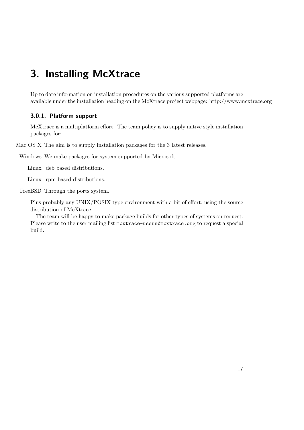# <span id="page-16-0"></span>3. Installing McXtrace

Up to date information on installation procedures on the various supported platforms are available under the installation heading on the McXtrace project webpage: http://www.mcxtrace.org

#### <span id="page-16-1"></span>3.0.1. Platform support

McXtrace is a multiplatform effort. The team policy is to supply native style installation packages for:

Mac OS X The aim is to supply installation packages for the 3 latest releases.

Windows We make packages for system supported by Microsoft.

Linux .deb based distributions.

Linux .rpm based distributions.

FreeBSD Through the ports system.

Plus probably any UNIX/POSIX type environment with a bit of effort, using the source distribution of McXtrace.

The team will be happy to make package builds for other types of systems on request. Please write to the user mailing list mcxtrace-users@mcxtrace.org to request a special build.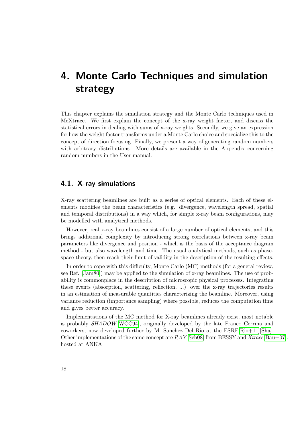# <span id="page-17-0"></span>4. Monte Carlo Techniques and simulation strategy

This chapter explains the simulation strategy and the Monte Carlo techniques used in McXtrace. We first explain the concept of the x-ray weight factor, and discuss the statistical errors in dealing with sums of x-ray weights. Secondly, we give an expression for how the weight factor transforms under a Monte Carlo choice and specialize this to the concept of direction focusing. Finally, we present a way of generating random numbers with arbitrary distributions. More details are available in the Appendix concerning random numbers in the User manual.

### <span id="page-17-1"></span>4.1. X-ray simulations

X-ray scattering beamlines are built as a series of optical elements. Each of these elements modifies the beam characteristics (e.g. divergence, wavelength spread, spatial and temporal distributions) in a way which, for simple x-ray beam configurations, may be modelled with analytical methods.

However, real x-ray beamlines consist of a large number of optical elements, and this brings additional complexity by introducing strong correlations between x-ray beam parameters like divergence and position - which is the basis of the acceptance diagram method - but also wavelength and time. The usual analytical methods, such as phasespace theory, then reach their limit of validity in the description of the resulting effects.

In order to cope with this difficulty, Monte Carlo (MC) methods (for a general review, see Ref. [\[Jam80\]](#page-100-7)) may be applied to the simulation of x-ray beamlines. The use of probability is commonplace in the description of microscopic physical processes. Integrating these events (absorption, scattering, reflection, ...) over the x-ray trajectories results in an estimation of measurable quantities characterizing the beamline. Moreover, using variance reduction (importance sampling) where possible, reduces the computation time and gives better accuracy.

Implementations of the MC method for X-ray beamlines already exist, most notable is probably SHADOW [\[WCC94\]](#page-101-0), originally developed by the late Franco Cerrina and coworkers, now developed further by M. Sanchez Del Rio at the ESRF[\[Rio+11\]](#page-101-1)[\[Sha\]](#page-100-8). Other implementations of the same concept are  $RAY$  [\[Sch08\]](#page-101-2) from BESSY and  $Xtrace$  [\[Bau+07\]](#page-100-4). hosted at ANKA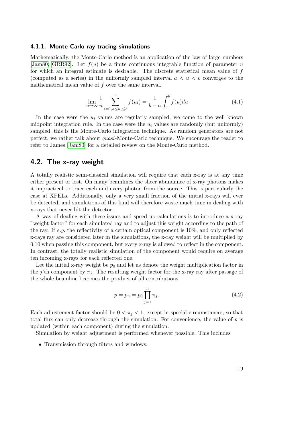#### <span id="page-18-0"></span>4.1.1. Monte Carlo ray tracing simulations

Mathematically, the Monte-Carlo method is an application of the law of large numbers [\[Jam80;](#page-100-7) [GRR92\]](#page-100-9). Let  $f(u)$  be a finite continuous integrable function of parameter u for which an integral estimate is desirable. The discrete statistical mean value of  $f$ (computed as a series) in the uniformly sampled interval  $a < u < b$  converges to the mathematical mean value of  $f$  over the same interval.

$$
\lim_{n \to \infty} \frac{1}{n} \sum_{i=1, a \le u_i \le b}^{n} f(u_i) = \frac{1}{b-a} \int_{a}^{b} f(u) du \tag{4.1}
$$

In the case were the  $u_i$  values are regularly sampled, we come to the well known midpoint integration rule. In the case were the  $u_i$  values are randomly (but uniformly) sampled, this is the Monte-Carlo integration technique. As random generators are not perfect, we rather talk about quasi-Monte-Carlo technique. We encourage the reader to refer to James [\[Jam80\]](#page-100-7) for a detailed review on the Monte-Carlo method.

### <span id="page-18-1"></span>4.2. The x-ray weight

A totally realistic semi-classical simulation will require that each x-ray is at any time either present or lost. On many beamlines the sheer abundance of x-ray photons makes it impractical to trace each and every photon from the source. This is particularly the case at XFELs. Additionally, only a very small fraction of the initial x-rays will ever be detected, and simulations of this kind will therefore waste much time in dealing with x-rays that never hit the detector.

A way of dealing with these issues and speed up calculations is to introduce a x-ray "weight factor" for each simulated ray and to adjust this weight according to the path of the ray. If e.g. the reflectivity of a certain optical component is  $10\%$ , and only reflected x-rays ray are considered later in the simulations, the x-ray weight will be multiplied by 0.10 when passing this component, but every x-ray is allowed to reflect in the component. In contrast, the totally realistic simulation of the component would require on average ten incoming x-rays for each reflected one.

Let the initial x-ray weight be  $p_0$  and let us denote the weight multiplication factor in the j'th component by  $\pi_i$ . The resulting weight factor for the x-ray ray after passage of the whole beamline becomes the product of all contributions

$$
p = p_n = p_0 \prod_{j=1}^n \pi_j.
$$
\n(4.2)

Each adjustement factor should be  $0 < \pi_i < 1$ , except in special circumstances, so that total flux can only decrease through the simulation. For convenience, the value of  $p$  is updated (within each component) during the simulation.

Simulation by weight adjustment is performed whenever possible. This includes

• Transmission through filters and windows.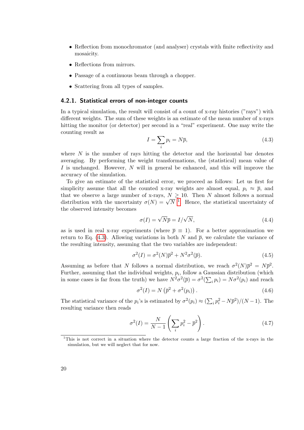- Reflection from monochromator (and analyser) crystals with finite reflectivity and mosaicity.
- Reflections from mirrors.
- Passage of a continuous beam through a chopper.
- Scattering from all types of samples.

#### <span id="page-19-0"></span>4.2.1. Statistical errors of non-integer counts

In a typical simulation, the result will consist of a count of x-ray histories ("rays") with different weights. The sum of these weights is an estimate of the mean number of x-rays hitting the monitor (or detector) per second in a "real" experiment. One may write the counting result as

<span id="page-19-2"></span>
$$
I = \sum_{i} p_i = N\overline{p},\tag{4.3}
$$

where  $N$  is the number of rays hitting the detector and the horizontal bar denotes averaging. By performing the weight transformations, the (statistical) mean value of I is unchanged. However, N will in general be enhanced, and this will improve the accuracy of the simulation.

To give an estimate of the statistical error, we proceed as follows: Let us first for simplicity assume that all the counted x-ray weights are almost equal,  $p_i \approx \bar{p}$ , and that we observe a large number of x-rays,  $N \geq 10$ . Then N almost follows a normal that we observe a large number of x-rays,  $N \ge 10$  $N \ge 10$  $N \ge 10$ . Then N almost follows a normal distribution with the uncertainty  $\sigma(N) = \sqrt{N}^{-1}$ . Hence, the statistical uncertainty of the observed intensity becomes

<span id="page-19-3"></span>
$$
\sigma(I) = \sqrt{N}\overline{p} = I/\sqrt{N},\tag{4.4}
$$

as is used in real x-ray experiments (where  $\bar{p} \equiv 1$ ). For a better approximation we return to Eq. [\(4.3\)](#page-19-2). Allowing variations in both N and  $\bar{p}$ , we calculate the variance of the resulting intensity, assuming that the two variables are independent:

$$
\sigma^2(I) = \sigma^2(N)\overline{p}^2 + N^2\sigma^2(\overline{p}).\tag{4.5}
$$

Assuming as before that N follows a normal distribution, we reach  $\sigma^2(N)\bar{p}^2 = N\bar{p}^2$ . Further, assuming that the individual weights,  $p_i$ , follow a Gaussian distribution (which in some cases is far from the truth) we have  $N^2 \sigma^2(\bar{p}) = \sigma^2(\sum_i p_i) = N \sigma^2(p_i)$  and reach

$$
\sigma^2(I) = N\left(\overline{p}^2 + \sigma^2(p_i)\right). \tag{4.6}
$$

The statistical variance of the  $p_i$ 's is estimated by  $\sigma^2(p_i) \approx (\sum_i p_i^2 - N\overline{p}^2)/(N-1)$ . The resulting variance then reads

$$
\sigma^2(I) = \frac{N}{N-1} \left( \sum_i p_i^2 - \overline{p}^2 \right). \tag{4.7}
$$

<span id="page-19-1"></span><sup>1</sup>This is not correct in a situation where the detector counts a large fraction of the x-rays in the simulation, but we will neglect that for now.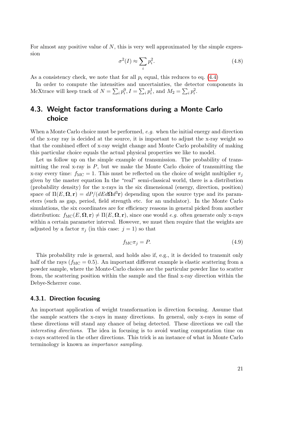For almost any positive value of  $N$ , this is very well approximated by the simple expression

$$
\sigma^2(I) \approx \sum_i p_i^2. \tag{4.8}
$$

As a consistency check, we note that for all  $p_i$  equal, this reduces to eq. [\(4.4\)](#page-19-3)

σ

In order to compute the intensities and uncertainties, the detector components in McXtrace will keep track of  $N = \sum_i p_i^0$ ,  $I = \sum_i p_i^1$ , and  $M_2 = \sum_i p_i^2$ .

# <span id="page-20-0"></span>4.3. Weight factor transformations during a Monte Carlo choice

When a Monte Carlo choice must be performed,  $e.g.$  when the initial energy and direction of the x-ray ray is decided at the source, it is important to adjust the x-ray weight so that the combined effect of x-ray weight change and Monte Carlo probability of making this particular choice equals the actual physical properties we like to model.

Let us follow up on the simple example of transmission. The probability of transmitting the real x-ray is  $P$ , but we make the Monte Carlo choice of transmitting the x-ray every time:  $f_{\text{MC}} = 1$ . This must be reflected on the choice of weight multiplier  $\pi_j$ given by the master equation In the "real" semi-classical world, there is a distribution (probability density) for the x-rays in the six dimensional (energy, direction, position) space of  $\Pi(E, \Omega, r) = dP/(dEd\Omega d^3r)$  depending upon the source type and its parameters (such as gap, period, field strength etc. for an undulator). In the Monte Carlo simulations, the six coordinates are for efficiency reasons in general picked from another distribution:  $f_{\text{MC}}(E, \Omega, r) \neq \Pi(E, \Omega, r)$ , since one would e.g. often generate only x-rays within a certain parameter interval. However, we must then require that the weights are adjusted by a factor  $\pi_j$  (in this case:  $j = 1$ ) so that

<span id="page-20-2"></span>
$$
f_{\rm MC}\pi_j = P. \tag{4.9}
$$

This probability rule is general, and holds also if, e.g., it is decided to transmit only half of the rays  $(f_{MC} = 0.5)$ . An important different example is elastic scattering from a powder sample, where the Monte-Carlo choices are the particular powder line to scatter from, the scattering position within the sample and the final x-ray direction within the Debye-Scherrer cone.

#### <span id="page-20-1"></span>4.3.1. Direction focusing

An important application of weight transformation is direction focusing. Assume that the sample scatters the x-rays in many directions. In general, only x-rays in some of these directions will stand any chance of being detected. These directions we call the interesting directions. The idea in focusing is to avoid wasting computation time on x-rays scattered in the other directions. This trick is an instance of what in Monte Carlo terminology is known as importance sampling.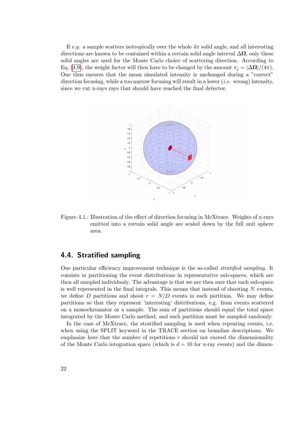If e.g. a sample scatters isotropically over the whole  $4\pi$  solid angle, and all interesting directions are known to be contained within a certain solid angle interval  $\Delta\Omega$ , only these solid angles are used for the Monte Carlo choice of scattering direction. According to Eq. [\(4.9\)](#page-20-2), the weight factor will then have to be changed by the amount  $\pi_j = |\Delta \Omega|/(4\pi)$ . One thus ensures that the mean simulated intensity is unchanged during a "correct" direction focusing, while a too narrow focusing will result in a lower (*i.e.* wrong) intensity, since we cut x-rays rays that should have reached the final detector.



Figure 4.1.: Illustration of the effect of direction focusing in McXtrace. Weights of x-rays emitted into a certain solid angle are scaled down by the full unit sphere area.

## <span id="page-21-0"></span>4.4. Stratified sampling

One particular efficiency improvement technique is the so-called stratified sampling. It consists in partitioning the event distributions in representative sub-spaces, which are then all sampled individualy. The advantage is that we are then sure that each sub-space is well represented in the final integrals. This means that instead of shooting  $N$  events, we define D partitions and shoot  $r = N/D$  events in each partition. We may define partitions so that they represent 'interesting' distributions, e.g. from events scattered on a monochromator or a sample. The sum of partitions should equal the total space integrated by the Monte Carlo method, and each partition must be sampled randomly.

In the case of McXtrace, the stratified sampling is used when repeating events, i.e. when using the SPLIT keyword in the TRACE section on beamline descriptions. We emphasize here that the number of repetitions  $r$  should not exceed the dimensionality of the Monte Carlo integration space (which is  $d = 10$  for x-ray events) and the dimen-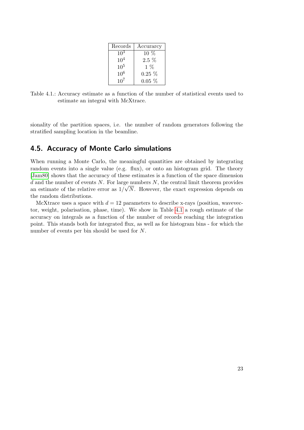| Records         | Accurarcy |
|-----------------|-----------|
| $10^3$          | $10\%$    |
| $10^{4}$        | $2.5\%$   |
| 10 <sup>5</sup> | $1\%$     |
| 10 <sup>6</sup> | $0.25\%$  |
| $10^{7}$        | $0.05\%$  |

<span id="page-22-1"></span>Table 4.1.: Accuracy estimate as a function of the number of statistical events used to estimate an integral with McXtrace.

sionality of the partition spaces, i.e. the number of random generators following the stratified sampling location in the beamline.

## <span id="page-22-0"></span>4.5. Accuracy of Monte Carlo simulations

When running a Monte Carlo, the meaningful quantities are obtained by integrating random events into a single value (e.g. flux), or onto an histogram grid. The theory [\[Jam80\]](#page-100-7) shows that the accuracy of these estimates is a function of the space dimension d and the number of events N. For large numbers N, the central limit theorem provides an estimate of the relative error as  $1/\sqrt{N}$ . However, the exact expression depends on the random distributions.

McXtrace uses a space with  $d = 12$  parameters to describe x-rays (position, wavevector, weight, polarisation, phase, time). We show in Table [4.1](#page-22-1) a rough estimate of the accuracy on integrals as a function of the number of records reaching the integration point. This stands both for integrated flux, as well as for histogram bins - for which the number of events per bin should be used for N.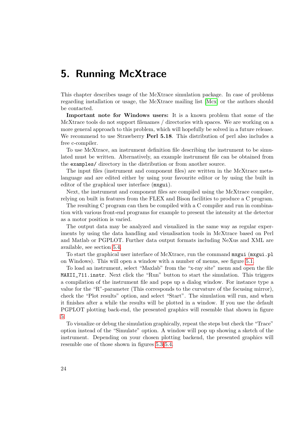# <span id="page-23-0"></span>5. Running McXtrace

This chapter describes usage of the McXtrace simulation package. In case of problems regarding installation or usage, the McXtrace mailing list [\[Mcx\]](#page-100-2) or the authors should be contacted.

Important note for Windows users: It is a known problem that some of the McXtrace tools do not support filenames / directories with spaces. We are working on a more general approach to this problem, which will hopefully be solved in a future release. We recommend to use Strawberry **Perl 5.18**. This distribution of perl also includes a free c-compiler.

To use McXtrace, an instrument definition file describing the instrument to be simulated must be written. Alternatively, an example instrument file can be obtained from the examples/ directory in the distribution or from another source.

The input files (instrument and component files) are written in the McXtrace metalanguage and are edited either by using your favourite editor or by using the built in editor of the graphical user interface (mxgui).

Next, the instrument and component files are compiled using the McXtrace compiler, relying on built in features from the FLEX and Bison facilities to produce a C program.

The resulting C program can then be compiled with a C compiler and run in combination with various front-end programs for example to present the intensity at the detector as a motor position is varied.

The output data may be analyzed and visualized in the same way as regular experiments by using the data handling and visualisation tools in McXtrace based on Perl and Matlab or PGPLOT. Further data output formats including NeXus and XML are available, see section [5.4.](#page-46-0)

To start the graphical user interface of McXtrace, run the command mxgui (mxgui.pl on Windows). This will open a window with a number of menus, see figure [5.1.](#page-24-1)

To load an instrument, select "Maxlab" from the "x-ray site" menu and open the file MAXII\_711.instr. Next click the "Run" button to start the simulation. This triggers a compilation of the instrument file and pops up a dialog window. For instance type a value for the "R"-parameter (This corresponds to the curvature of the focusing mirror), check the "Plot results" option, and select "Start". The simulation will run, and when it finishes after a while the results will be plotted in a window. If you use the default PGPLOT plotting back-end, the presented graphics will resemble that shown in figure [5.](#page-24-2)

To visualize or debug the simulation graphically, repeat the steps but check the "Trace" option instead of the "Simulate" option. A window will pop up showing a sketch of the instrument. Depending on your chosen plotting backend, the presented graphics will resemble one of those shown in figures [5.3-](#page-25-0)[5.4.](#page-25-1)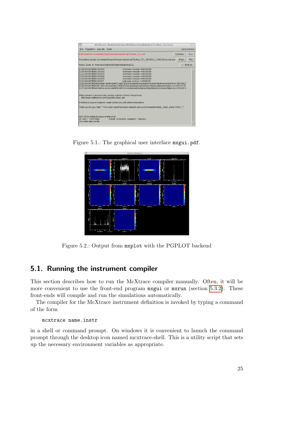| McXtrace: /home/erkn/SparkleShare/maxlab/max711/Max 711.instr                                                                                                                                                                                                                                                                                                                                                                                                                                                                                                                                                                                                                                                                                                                                                                                                                                                                                        |          | $  \mathbb{R}$ |
|------------------------------------------------------------------------------------------------------------------------------------------------------------------------------------------------------------------------------------------------------------------------------------------------------------------------------------------------------------------------------------------------------------------------------------------------------------------------------------------------------------------------------------------------------------------------------------------------------------------------------------------------------------------------------------------------------------------------------------------------------------------------------------------------------------------------------------------------------------------------------------------------------------------------------------------------------|----------|----------------|
| Simulation xray site Tools<br>File                                                                                                                                                                                                                                                                                                                                                                                                                                                                                                                                                                                                                                                                                                                                                                                                                                                                                                                   |          | Help (mxdoc)   |
| Instrument file: /home/erkn/SparkleShare/maxlab/max711/Max 711.instr                                                                                                                                                                                                                                                                                                                                                                                                                                                                                                                                                                                                                                                                                                                                                                                                                                                                                 | Edit/New | Run            |
| Simulation results: /home/erkn/SparkleShare/maxlab/max711/Max 711 20150211 154210/mccode.sim                                                                                                                                                                                                                                                                                                                                                                                                                                                                                                                                                                                                                                                                                                                                                                                                                                                         | Read     | Plot           |
| Status: Done in /home/erkn/SparkleShare/maxlab/max711                                                                                                                                                                                                                                                                                                                                                                                                                                                                                                                                                                                                                                                                                                                                                                                                                                                                                                |          | <-- Work dir   |
| <unknown-module>+00000000<br/>[119] 0x00007f8891006450<br/>[120] 0x00007f8891006450<br/><unknown-module>+00000000<br/>[121] 0x00007f8891006333<br/><unknown-module>+00000000<br/>[122] 0x00007f88910069e1<br/><unknown-module>+00000000<br/>[123] 0x00007f8891006450<br/><unknown-module>+00000000<br/>[124] 0x00007f88910004f7<br/><unknown-module>+00000000<br/>[125] 0x00007f88a50b88d5/usr/local/MATLAB/R2014b/sys/java/jre/glnxa64/jre/lib/amd64/server/libjvm.so+05576917<br/>[126] 0x00007f88a50b73f8 /usr/local/MATLAB/R2014b/sys/java/jre/glnxa64/jre/lib/amd64/server/libjvm.so+05571576<br/>I12710x00007f88a50cb95a/usr/local/MATLAB/R2014b/svs/iava/ire/glnxa64/ire/lib/amd64/server/libivm.so+05654874<br/>If this problem is reproducible, please submit a Service Request via:<br/>http://www.mathworks.com/support/contact_us/</unknown-module></unknown-module></unknown-module></unknown-module></unknown-module></unknown-module> |          |                |
| A technical support engineer might contact you with further information.                                                                                                                                                                                                                                                                                                                                                                                                                                                                                                                                                                                                                                                                                                                                                                                                                                                                             |          |                |
| Thank you for your help. <sup>**</sup> This crash report has been saved to disk as /home/erkn/matlab crash dump.7404-1 **                                                                                                                                                                                                                                                                                                                                                                                                                                                                                                                                                                                                                                                                                                                                                                                                                            |          |                |
| MATLAB is exiting because of fatal error<br>sh: line 1: 7404 Killed<br>matlab -nodesktop -nosplash > /dev/null<br>Job exited abnormally.                                                                                                                                                                                                                                                                                                                                                                                                                                                                                                                                                                                                                                                                                                                                                                                                             |          |                |

Figure 5.1.: The graphical user interface mxgui.pdf.

<span id="page-24-1"></span>

<span id="page-24-2"></span>Figure 5.2.: Output from mxplot with the PGPLOT backend

## <span id="page-24-0"></span>5.1. Running the instrument compiler

This section describes how to run the McXtrace compiler manually. Often, it will be more convenient to use the front-end program mxgui or mxrun (section [5.3.2\)](#page-41-0). These front-ends will compile and run the simulations automatically.

The compiler for the McXtrace instrument definition is invoked by typing a command of the form

mcxtrace name.instr

in a shell or command prompt. On windows it is convenient to launch the command prompt through the desktop icon named mcxtrace-shell. This is a utility script that sets up the necessary environment variables as appropriate.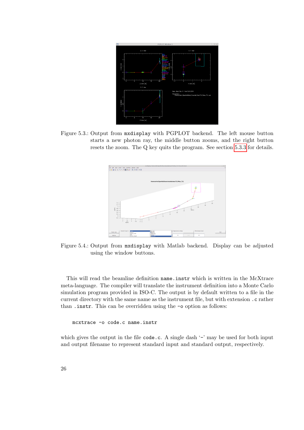

<span id="page-25-0"></span>Figure 5.3.: Output from mxdisplay with PGPLOT backend. The left mouse button starts a new photon ray, the middle button zooms, and the right button resets the zoom. The Q key quits the program. See section [5.3.3](#page-42-0) for details.



<span id="page-25-1"></span>Figure 5.4.: Output from mxdisplay with Matlab backend. Display can be adjusted using the window buttons.

This will read the beamline definition name.instr which is written in the McXtrace meta-language. The compiler will translate the instrument definition into a Monte Carlo simulation program provided in ISO-C. The output is by default written to a file in the current directory with the same name as the instrument file, but with extension .c rather than .instr. This can be overridden using the -o option as follows:

mcxtrace -o code.c name.instr

which gives the output in the file code.c. A single dash '-' may be used for both input and output filename to represent standard input and standard output, respectively.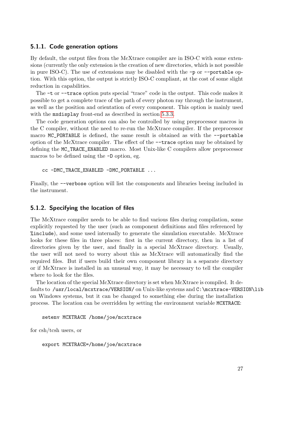#### <span id="page-26-0"></span>5.1.1. Code generation options

By default, the output files from the McXtrace compiler are in ISO-C with some extensions (currently the only extension is the creation of new directories, which is not possible in pure ISO-C). The use of extensions may be disabled with the -p or --portable option. With this option, the output is strictly ISO-C compliant, at the cost of some slight reduction in capabilities.

The -t or --trace option puts special "trace" code in the output. This code makes it possible to get a complete trace of the path of every photon ray through the instrument, as well as the position and orientation of every component. This option is mainly used with the mxdisplay front-end as described in section [5.3.3.](#page-42-0)

The code generation options can also be controlled by using preprocessor macros in the C compiler, without the need to re-run the McXtrace compiler. If the preprocessor macro MC\_PORTABLE is defined, the same result is obtained as with the --portable option of the McXtrace compiler. The effect of the --trace option may be obtained by defining the MC\_TRACE\_ENABLED macro. Most Unix-like C compilers allow preprocessor macros to be defined using the -D option, eg.

```
cc -DMC_TRACE_ENABLED -DMC_PORTABLE ...
```
Finally, the --verbose option will list the components and libraries beeing included in the instrument.

#### <span id="page-26-1"></span>5.1.2. Specifying the location of files

The McXtrace compiler needs to be able to find various files during compilation, some explicitly requested by the user (such as component definitions and files referenced by %include), and some used internally to generate the simulation executable. McXtrace looks for these files in three places: first in the current directory, then in a list of directories given by the user, and finally in a special McXtrace directory. Usually, the user will not need to worry about this as McXtrace will automatically find the required files. But if users build their own component library in a separate directory or if McXtrace is installed in an unusual way, it may be necessary to tell the compiler where to look for the files.

The location of the special McXtrace directory is set when McXtrace is compiled. It defaults to /usr/local/mcxtrace/VERSION/ on Unix-like systems and C:\mcxtrace-VERSION\lib on Windows systems, but it can be changed to something else during the installation process. The location can be overridden by setting the environment variable MCXTRACE:

```
setenv MCXTRACE /home/joe/mcxtrace
```
for csh/tcsh users, or

export MCXTRACE=/home/joe/mcxtrace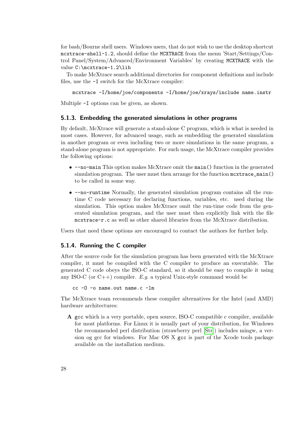for bash/Bourne shell users. Windows users, that do not wish to use the desktop shortcut mcxtrace-shell-1.2, should define the MCXTRACE from the menu 'Start/Settings/Control Panel/System/Advanced/Environment Variables' by creating MCXTRACE with the value C:\mcxtrace-1.2\lib

To make McXtrace search additional directories for component definitions and include files, use the  $-I$  switch for the McXtrace compiler:

```
mcxtrace -I/home/joe/components -I/home/joe/xrays/include name.instr
```
Multiple -I options can be given, as shown.

#### <span id="page-27-0"></span>5.1.3. Embedding the generated simulations in other programs

By default, McXtrace will generate a stand-alone C program, which is what is needed in most cases. However, for advanced usage, such as embedding the generated simulation in another program or even including two or more simulations in the same program, a stand-alone program is not appropriate. For such usage, the McXtrace compiler provides the following options:

- --no-main This option makes McXtrace omit the main() function in the generated simulation program. The user must then arrange for the function  $maxtrace\_main()$ to be called in some way.
- --no-runtime Normally, the generated simulation program contains all the runtime C code necessary for declaring functions, variables, etc. used during the simulation. This option makes McXtrace omit the run-time code from the generated simulation program, and the user must then explicitly link with the file mcxtrace-r.c as well as other shared libraries from the McXtrace distribution.

Users that need these options are encouraged to contact the authors for further help.

#### <span id="page-27-1"></span>5.1.4. Running the C compiler

After the source code for the simulation program has been generated with the McXtrace compiler, it must be compiled with the C compiler to produce an executable. The generated C code obeys the ISO-C standard, so it should be easy to compile it using any ISO-C (or  $C_{++}$ ) compiler. E.g. a typical Unix-style command would be

cc -O -o name.out name.c -lm

The McXtrace team recommends these compiler alternatives for the Intel (and AMD) hardware architectures:

A gcc which is a very portable, open source, ISO-C compatible c compiler, available for most platforms. For Linux it is usually part of your distribution, for Windows the recommended perl distribution (strawberry perl [\[Str\]](#page-100-10)) includes mingw, a version og gcc for windows. For Mac OS X gcc is part of the Xcode tools package available on the installation medium.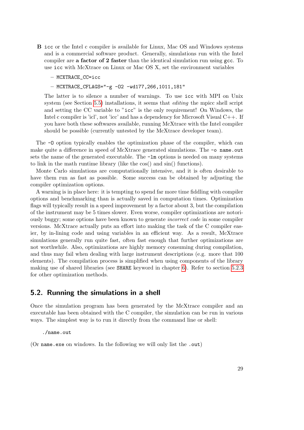- B icc or the Intel c compiler is available for Linux, Mac OS and Windows systems and is a commercial software product. Generally, simulations run with the Intel compiler are a factor of 2 faster than the identical simulation run using  $\gcd$ . To use icc with McXtrace on Linux or Mac OS X, set the environment variables
	- MCXTRACE\_CC=icc
	- MCXTRACE\_CFLAGS="-g -O2 -wd177,266,1011,181"

The latter is to silence a number of warnings. To use icc with MPI on Unix system (see Section [5.5\)](#page-48-0) installations, it seems that *editing* the mpicc shell script and setting the CC variable to "icc" is the only requirement! On Windows, the Intel c compiler is 'icl', not 'icc' and has a dependency for Microsoft Visual C++. If you have both these softwares available, running McXtrace with the Intel compiler should be possible (currently untested by the McXtrace developer team).

The -O option typically enables the optimization phase of the compiler, which can make quite a difference in speed of McXtrace generated simulations. The -o name.out sets the name of the generated executable. The  $-\text{lm}$  options is needed on many systems to link in the math runtime library (like the cos() and sin() functions).

Monte Carlo simulations are computationally intensive, and it is often desirable to have them run as fast as possible. Some success can be obtained by adjusting the compiler optimization options.

A warning is in place here: it is tempting to spend far more time fiddling with compiler options and benchmarking than is actually saved in computation times. Optimization flags will typically result in a speed improvement by a factor about 3, but the compilation of the instrument may be 5 times slower. Even worse, compiler optimizations are notoriously buggy; some options have been known to generate incorrect code in some compiler versions. McXtrace actually puts an effort into making the task of the C compiler easier, by in-lining code and using variables in an efficient way. As a result, McXtrace simulations generally run quite fast, often fast enough that further optimizations are not worthwhile. Also, optimizations are highly memory consuming during compilation, and thus may fail when dealing with large instrument descriptions (e.g. more that 100 elements). The compilation process is simplified when using components of the library making use of shared libraries (see SHARE keyword in chapter [6\)](#page-54-0). Refer to section [5.2.3](#page-33-0) for other optimization methods.

### <span id="page-28-0"></span>5.2. Running the simulations in a shell

Once the simulation program has been generated by the McXtrace compiler and an executable has been obtained with the C compiler, the simulation can be run in various ways. The simplest way is to run it directly from the command line or shell:

./name.out

(Or name.exe on windows. In the following we will only list the .out)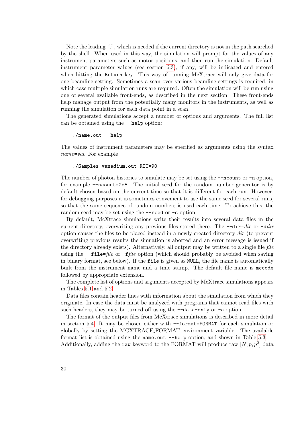Note the leading ".", which is needed if the current directory is not in the path searched by the shell. When used in this way, the simulation will prompt for the values of any instrument parameters such as motor positions, and then run the simulation. Default instrument parameter values (see section [6.3\)](#page-58-0), if any, will be indicated and entered when hitting the Return key. This way of running McXtrace will only give data for one beamline setting. Sometimes a scan over various beamline settings is required, in which case multiple simulation runs are required. Often the simulation will be run using one of several available front-ends, as described in the next section. These front-ends help manage output from the potentially many monitors in the instruments, as well as running the simulation for each data point in a scan.

The generated simulations accept a number of options and arguments. The full list can be obtained using the --help option:

./name.out --help

The values of instrument parameters may be specified as arguments using the syntax name=val. For example

#### ./Samples\_vanadium.out ROT=90

The number of photon histories to simulate may be set using the  $\neg$ -ncount or  $\neg$ n option, for example --ncount=2e5. The initial seed for the random number generator is by default chosen based on the current time so that it is different for each run. However, for debugging purposes it is sometimes convenient to use the same seed for several runs, so that the same sequence of random numbers is used each time. To achieve this, the random seed may be set using the  $\sim$ -seed or  $\sim$ s option.

By default, McXtrace simulations write their results into several data files in the current directory, overwriting any previous files stored there. The  $-\text{dir}=dir$  or  $-\text{dir}$ option causes the files to be placed instead in a newly created directory dir (to prevent overwriting previous results the simuation is aborted and an error message is issued if the directory already exists). Alternatively, all output may be written to a single file file using the  $\text{-file}=file$  or  $\text{-file}$  option (which should probably be avoided when saving in binary format, see below). If the file is given as NULL, the file name is automatically built from the instrument name and a time stamp. The default file name is mccode followed by appropriate extension.

The complete list of options and arguments accepted by McXtrace simulations appears in Tables [5.1](#page-30-1) and [5.2.](#page-31-0)

Data files contain header lines with information about the simulation from which they originate. In case the data must be analyzed with programs that cannot read files with such headers, they may be turned off using the  $-$ -data-only or -a option.

The format of the output files from McXtrace simulations is described in more detail in section [5.4.](#page-46-0) It may be chosen either with --format=FORMAT for each simulation or globally by setting the MCXTRACE FORMAT environment variable. The available format list is obtained using the name.out --help option, and shown in Table [5.3.](#page-32-1)

Additionally, adding the raw keyword to the FORMAT will produce raw  $[N, p, p^2]$  data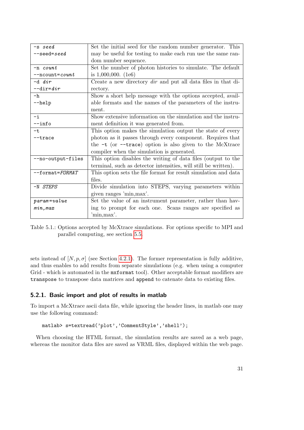| -s seed             | Set the initial seed for the random number generator. This           |
|---------------------|----------------------------------------------------------------------|
| $--seed = seed$     | may be useful for testing to make each run use the same ran-         |
|                     | dom number sequence.                                                 |
| $-n$ count          | Set the number of photon histories to simulate. The default          |
| $--ncount=count$    | is $1,000,000.$ (1e6)                                                |
| $-d dir$            | Create a new directory <i>dir</i> and put all data files in that di- |
| $-$ dir=dir         | rectory.                                                             |
| $-h$                | Show a short help message with the options accepted, avail-          |
| $-\text{help}$      | able formats and the names of the parameters of the instru-          |
|                     | ment.                                                                |
| $-i$                | Show extensive information on the simulation and the instru-         |
| $--info$            | ment definition it was generated from.                               |
| $-t$                | This option makes the simulation output the state of every           |
| $-$ trace           | photon as it passes through every component. Requires that           |
|                     | the $-t$ (or $-trace$ ) option is also given to the McXtrace         |
|                     | compiler when the simulation is generated.                           |
| --no-output-files   | This option disables the writing of data files (output to the        |
|                     | terminal, such as detector intensities, will still be written).      |
| $--format = FORMAT$ | This option sets the file format for result simulation and data      |
|                     | files.                                                               |
| -N STEPS            | Divide simulation into STEPS, varying parameters within              |
|                     | given ranges 'min, max'.                                             |
| $param = value$     | Set the value of an instrument parameter, rather than hav-           |
| min, max            | ing to prompt for each one. Scans ranges are specified as            |
|                     | 'min, max'.                                                          |

<span id="page-30-1"></span>Table 5.1.: Options accepted by McXtrace simulations. For options specific to MPI and parallel computing, see section [5.5.](#page-48-0)

sets instead of  $[N, p, \sigma]$  (see Section [4.2.1\)](#page-19-0). The former representation is fully additive, and thus enables to add results from separate simulations (e.g. when using a computer Grid - which is automated in the  $m$ **xformat** tool). Other acceptable format modifiers are transpose to transpose data matrices and append to catenate data to existing files.

### <span id="page-30-0"></span>5.2.1. Basic import and plot of results in matlab

To import a McXtrace ascii data file, while ignoring the header lines, in matlab one may use the following command:

```
matlab> s=textread('plot','CommentStyle','shell');
```
When choosing the HTML format, the simulation results are saved as a web page, whereas the monitor data files are saved as VRML files, displayed within the web page.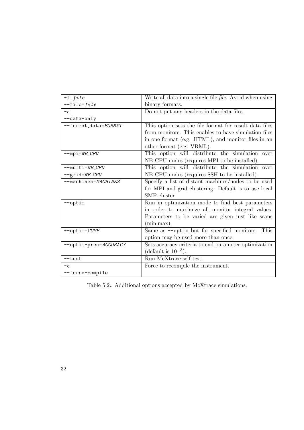| $-f file$                        | Write all data into a single file file. Avoid when using |
|----------------------------------|----------------------------------------------------------|
| $-\texttt{file} = \texttt{file}$ | binary formats.                                          |
| $-a$                             | Do not put any headers in the data files.                |
| --data-only                      |                                                          |
| --format_data=FORMAT             | This option sets the file format for result data files   |
|                                  | from monitors. This enables to have simulation files     |
|                                  | in one format (e.g. HTML), and monitor files in an       |
|                                  | other format (e.g. VRML).                                |
| $-$ mpi= $NB$ <sub>-CPU</sub>    | This option will distribute the simulation over          |
|                                  | NB_CPU nodes (requires MPI to be installed).             |
| $--multi=NB_CPU$                 | This option will distribute the simulation over          |
| --grid=NB_CPU                    | NB_CPU nodes (requires SSH to be installed).             |
| --machines=MACHINES              | Specify a list of distant machines/nodes to be used      |
|                                  | for MPI and grid clustering. Default is to use local     |
|                                  | SMP cluster.                                             |
| -optim                           | Run in optimization mode to find best parameters         |
|                                  | in order to maximize all monitor integral values.        |
|                                  | Parameters to be varied are given just like scans        |
|                                  | (min, max).                                              |
| --optim=COMP                     | Same as --optim but for specified monitors. This         |
|                                  | option may be used more than once.                       |
| --optim-prec=ACCURACY            | Sets accuracy criteria to end parameter optimization     |
|                                  | (default is $10^{-3}$ ).                                 |
| $-$ test                         | Run McXtrace self test.                                  |
| $-c$                             | Force to recompile the instrument.                       |
| --force-compile                  |                                                          |

<span id="page-31-0"></span>Table 5.2.: Additional options accepted by McXtrace simulations.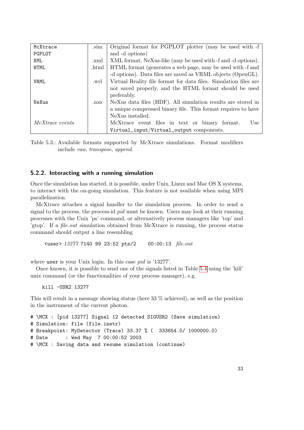| .sim             | Original format for PGPLOT plotter (may be used with -f          |
|------------------|------------------------------------------------------------------|
|                  | and -d options)                                                  |
| .xml             | XML format, NeXus-like (may be used with -f and -d options).     |
| .html            | HTML format (generates a web page, may be used with -f and       |
|                  | -d options). Data files are saved as VRML objects (OpenGL).      |
| .wrl             | Virtual Reality file format for data files. Simulation files are |
|                  | not saved properly, and the HTML format should be used           |
|                  | preferably.                                                      |
| . <sub>nxs</sub> | NeXus data files (HDF). All simulation results are stored in     |
|                  | a unique compressed binary file. This format requires to have    |
|                  | NeXus installed.                                                 |
|                  | McXtrace event files in text or binary format.<br>Use            |
|                  | Virtual_input/Virtual_output components.                         |
|                  |                                                                  |

<span id="page-32-1"></span>Table 5.3.: Available formats supported by McXtrace simulations. Format modifiers include raw, transpose, append.

#### <span id="page-32-0"></span>5.2.2. Interacting with a running simulation

Once the simulation has started, it is possible, under Unix, Linux and Mac OS X systems, to interact with the on-going simulation. This feature is not available when using MPI parallelization.

McXtrace attaches a signal handler to the simulation process. In order to send a signal to the process, the process-id pid must be known. Users may look at their running processes with the Unix 'ps' command, or alternatively process managers like 'top' and 'gtop'. If a file.out simulation obtained from McXtrace is running, the process status command should output a line resembling

<user> 13277 7140 99 23:52 pts/2 00:00:13 file.out

where user is your Unix login. In this case *pid* is '13277'.

Once known, it is possible to send one of the signals listed in Table [5.4](#page-33-1) using the 'kill' unix command (or the functionalities of your process manager), e.g.

kill -USR2 13277

This will result in a message showing status (here 33 % achieved), as well as the position in the instrument of the current photon.

```
# \MCX : [pid 13277] Signal 12 detected SIGUSR2 (Save simulation)
# Simulation: file (file.instr)
# Breakpoint: MyDetector (Trace) 33.37 % ( 333654.0/ 1000000.0)
# Date : Wed May 7 00:00:52 2003
# \MCX : Saving data and resume simulation (continue)
```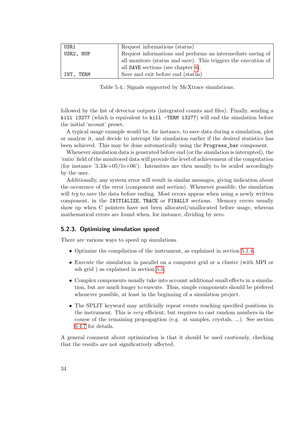| USR1      | Request informations (status)                                  |
|-----------|----------------------------------------------------------------|
| USR2, HUP | Request informations and performs an intermediate saving of    |
|           | all monitors (status and save). This triggers the execution of |
|           | all SAVE sections (see chapter $6$ ).                          |
| INT. TERM | Save and exit before end (status)                              |

<span id="page-33-1"></span>Table 5.4.: Signals supported by McXtrace simulations.

followed by the list of detector outputs (integrated counts and files). Finally, sending a kill 13277 (which is equivalent to kill -TERM 13277) will end the simulation before the initial 'ncount' preset.

A typical usage example would be, for instance, to save data during a simulation, plot or analyze it, and decide to interupt the simulation earlier if the desired statistics has been achieved. This may be done automatically using the Progress\_bar component.

Whenever simulation data is generated before end (or the simulation is interupted), the 'ratio' field of the monitored data will provide the level of achievement of the computation (for instance '3.33e+05/1e+06'). Intensities are then usually to be scaled accordingly by the user.

Additionally, any system error will result in similar messages, giving indication about the occurence of the error (component and section). Whenever possible, the simulation will try to save the data before ending. Most errors appear when using a newly written component, in the INITIALIZE, TRACE or FINALLY sections. Memory errors usually show up when C pointers have not been allocated/unallocated before usage, whereas mathematical errors are found when, for instance, dividing by zero.

#### <span id="page-33-0"></span>5.2.3. Optimizing simulation speed

There are various ways to speed up simulations

- Optimize the compilation of the instrument, as explained in section [5.1.4.](#page-27-1)
- Execute the simulation in parallel on a computer grid or a cluster (with MPI or ssh grid ) as explained in section [5.5.](#page-48-0)
- Complex components usually take into account additional small effects in a simulation, but are much longer to execute. Thus, simple components should be prefered whenever possible, at least in the beginning of a simulation project.
- The SPLIT keyword may artificially repeat events reaching specified positions in the instrument. This is very efficient, but requires to cast random numbers in the course of the remaining propogagtion (e.g. at samples, crystals, ...). See section [6.4.7](#page-68-0) for details.

A general comment about optimization is that it should be used cautiously, checking that the results are not significatively affected.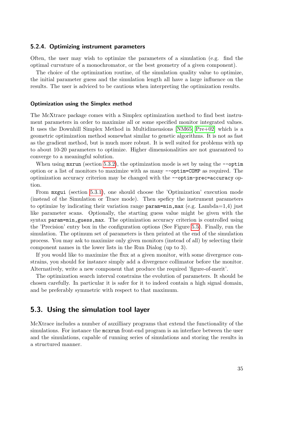#### <span id="page-34-0"></span>5.2.4. Optimizing instrument parameters

Often, the user may wish to optimize the parameters of a simulation (e.g. find the optimal curvature of a monochromator, or the best geometry of a given component).

The choice of the optimization routine, of the simulation quality value to optimize, the initial parameter guess and the simulation length all have a large influence on the results. The user is adviced to be cautious when interpreting the optimization results.

#### Optimization using the Simplex method

The McXtrace package comes with a Simplex optimization method to find best instrument parameters in order to maximize all or some specified monitor integrated values. It uses the Downhill Simplex Method in Multidimensions [\[NM65;](#page-100-11) [Pre+02\]](#page-100-12) which is a geometric optimization method somewhat similar to genetic algorithms. It is not as fast as the gradient method, but is much more robust. It is well suited for problems with up to about 10-20 parameters to optimize. Higher dimensionalities are not guaranteed to converge to a meaningful solution.

When using  $mxrun$  (section [5.3.2\)](#page-41-0), the optimization mode is set by using the  $-\text{optim}$ option or a list of monitors to maximize with as many --optim=COMP as required. The optimization accuracy criterion may be changed with the --optim-prec=accuracy option.

From mxgui (section [5.3.1\)](#page-35-0), one should choose the 'Optimization' execution mode (instead of the Simulation or Trace mode). Then speficy the instrument parameters to optimize by indicating their variation range  $\texttt{param=min}, \texttt{max}$  (e.g. Lambda=1,4) just like parameter scans. Optionally, the starting guess value might be given with the syntax param=min,guess,max. The optimization accuracy criterion is controlled using the 'Precision' entry box in the configuration options (See Figure [5.5\)](#page-37-0). Finally, run the simulation. The optimum set of parameters is then printed at the end of the simulation process. You may ask to maximize only given monitors (instead of all) by selecting their component names in the lower lists in the Run Dialog (up to 3).

If you would like to maximize the flux at a given monitor, with some divergence constrains, you should for instance simply add a divergence collimator before the monitor. Alternatively, write a new component that produce the required 'figure-of-merit'.

The optimization search interval constrains the evolution of parameters. It should be chosen carefully. In particular it is safer for it to indeed contain a high signal domain, and be preferably symmetric with respect to that maximum.

### <span id="page-34-1"></span>5.3. Using the simulation tool layer

McXtrace includes a number of auxilliary programs that extend the functionality of the simulations. For instance the mcxrun front-end program is an interface between the user and the simulations, capable of running series of simulations and storing the results in a structured manner.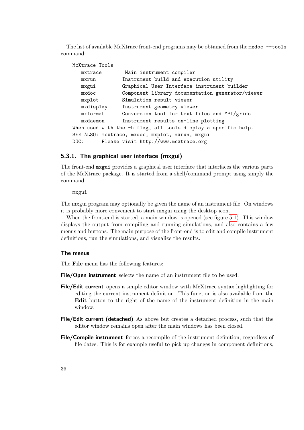The list of available McXtrace front-end programs may be obtained from the mxdoc --tools command:

```
McXtrace Tools
  mxtrace Main instrument compiler
  mxrun Instrument build and execution utility
  mxgui Graphical User Interface instrument builder
  mxdoc Component library documentation generator/viewer
  mxplot Simulation result viewer
  mxdisplay Instrument geometry viewer
  mxformat Conversion tool for text files and MPI/grids
  mxdaemon Instrument results on-line plotting
When used with the -h flag, all tools display a specific help.
SEE ALSO: mcxtrace, mxdoc, mxplot, mxrun, mxgui
DOC: Please visit http://www.mcxtrace.org
```
#### <span id="page-35-0"></span>5.3.1. The graphical user interface (mxgui)

The front-end mxgui provides a graphical user interface that interfaces the various parts of the McXtrace package. It is started from a shell/command prompt using simply the command

#### mxgui

The mxgui program may optionally be given the name of an instrument file. On windows it is probably more convenient to start mxgui using the desktop icon.

When the front-end is started, a main window is opened (see figure [5.1\)](#page-24-1). This window displays the output from compiling and running simulations, and also contains a few menus and buttons. The main purpose of the front-end is to edit and compile instrument definitions, run the simulations, and visualize the results.

#### The menus

The File menu has the following features:

File/Open instrument selects the name of an instrument file to be used.

- File/Edit current opens a simple editor window with McXtrace syntax highlighting for editing the current instrument definition. This function is also available from the Edit button to the right of the name of the instrument definition in the main window.
- File/Edit current (detached) As above but creates a detached process, such that the editor window remains open after the main windows has been closed.
- File/Compile instrument forces a recompile of the instrument definition, regardless of file dates. This is for example useful to pick up changes in component definitions,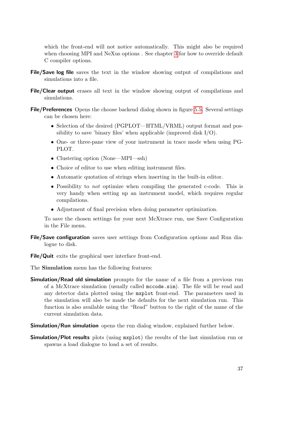which the front-end will not notice automatically. This might also be required when choosing MPI and NeXus options . See chapter [3](#page-16-0) for how to override default C compiler options.

- File/Save log file saves the text in the window showing output of compilations and simulations into a file.
- File/Clear output erases all text in the window showing output of compilations and simulations.
- File/Preferences Opens the choose backend dialog shown in figure [5.5.](#page-37-0) Several settings can be chosen here:
	- Selection of the desired (PGPLOT—HTML/VRML) output format and possibility to save 'binary files' when applicable (improved disk I/O).
	- One- or three-pane view of your instrument in trace mode when using PG-PLOT.
	- Clustering option (None—MPI—ssh)
	- Choice of editor to use when editing instrument files.
	- Automatic quotation of strings when inserting in the built-in editor.
	- Possibility to *not* optimize when compiling the generated c-code. This is very handy when setting up an instrument model, which requires regular compilations.
	- Adjustment of final precision when doing parameter optimization.

To save the chosen settings for your next McXtrace run, use Save Configuration in the File menu.

- File/Save configuration saves user settings from Configuration options and Run dialogue to disk.
- File/Quit exits the graphical user interface front-end.

The Simulation menu has the following features:

- **Simulation/Read old simulation** prompts for the name of a file from a previous run of a McXtrace simulation (usually called mccode.sim). The file will be read and any detector data plotted using the mxplot front-end. The parameters used in the simulation will also be made the defaults for the next simulation run. This function is also available using the "Read" button to the right of the name of the current simulation data.
- **Simulation/Run simulation** opens the run dialog window, explained further below.
- Simulation/Plot results plots (using mxplot) the results of the last simulation run or spawns a load dialogue to load a set of results.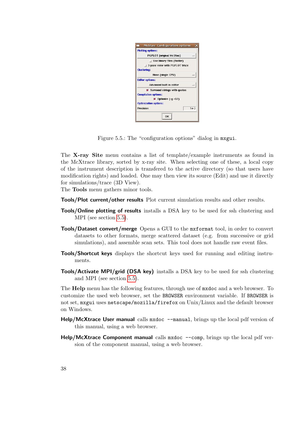| <b>Plotting options:</b>                                    |                                                                      |        |
|-------------------------------------------------------------|----------------------------------------------------------------------|--------|
|                                                             | <b>PGPLOT (original McStas)</b>                                      |        |
| <b>Clustering:</b>                                          | J Use binary files (faster)<br>$\perp$ 3-pane view with PGPLOT trace |        |
|                                                             | None (single CPU)                                                    |        |
| <b>Editor options:</b>                                      |                                                                      |        |
|                                                             | <b>Advanced built-in editor</b>                                      |        |
| <b>Compilation options:</b><br><b>Optimization options:</b> | $\blacksquare$ Surround strings with quotes<br>Optimize $(-q - 02)$  |        |
| <b>Precision</b>                                            |                                                                      | $1e-3$ |
|                                                             | 0K                                                                   |        |

<span id="page-37-0"></span>Figure 5.5.: The "configuration options" dialog in mxgui.

The X-ray Site menu contains a list of template/example instruments as found in the McXtrace library, sorted by x-ray site. When selecting one of these, a local copy of the instrument description is transfered to the active directory (so that users have modification rights) and loaded. One may then view its source (Edit) and use it directly for simulations/trace (3D View).

The Tools menu gathers minor tools.

Tools/Plot current/other results Plot current simulation results and other results.

- Tools/Online plotting of results installs a DSA key to be used for ssh clustering and MPI (see section [5.5\)](#page-48-0).
- Tools/Dataset convert/merge Opens a GUI to the mxformat tool, in order to convert datasets to other formats, merge scattered dataset (e.g. from successive or grid simulations), and assemble scan sets. This tool does not handle raw event files.
- Tools/Shortcut keys displays the shortcut keys used for running and editing instruments.
- Tools/Activate MPI/grid (DSA key) installs a DSA key to be used for ssh clustering and MPI (see section [5.5\)](#page-48-0).

The Help menu has the following features, through use of mxdoc and a web browser. To customize the used web browser, set the BROWSER environment variable. If BROWSER is not set, mxgui uses netscape/mozilla/firefox on Unix/Linux and the default browser on Windows.

- **Help/McXtrace User manual** calls  $mxdoc$  --manual, brings up the local pdf version of this manual, using a web browser.
- Help/McXtrace Component manual calls  $m \times d$  --comp, brings up the local pdf version of the component manual, using a web browser.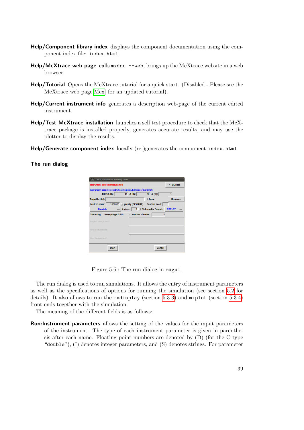- Help/Component library index displays the component documentation using the component index file: index.html.
- Help/McXtrace web page calls  $m \times d$  --web, brings up the McXtrace website in a web browser.
- Help/Tutorial Opens the McXtrace tutorial for a quick start. (Disabled Please see the McXtrace web page[\[Mcx\]](#page-100-0) for an updated tutorial).
- Help/Current instrument info generates a description web-page of the current edited instrument.
- Help/Test McXtrace installation launches a self test procedure to check that the McXtrace package is installed properly, generates accurate results, and may use the plotter to display the results.
- Help/Generate component index  $\text{locally (re-)generates the component index.html.}$

The run dialog

| Instrument source: midtvej.instr                               |                                      |                         | <b>HTML docs</b> |
|----------------------------------------------------------------|--------------------------------------|-------------------------|------------------|
| Instrument parameters (D=floating point, I=integer, S=string): |                                      |                         |                  |
| THETA (D):                                                     | 45 L1 (D):                           | 10 L <sub>2</sub> (D):  |                  |
| Output to (dir):                                               |                                      | $\Box$ force            | Browse           |
| <b>Neutron count:</b>                                          | 1000000 gravity (BEWARE)             | <b>Random seed:</b>     |                  |
| <b>Simulate</b>                                                | # steps:<br>$\overline{\phantom{0}}$ | 0 Plot results, Format: | <b>PGPLOT</b>    |
| <b>Clustering:</b><br>Inspect component:                       | None (single CPU) - Number of nodes: | $\overline{2}$          |                  |
| First component:                                               |                                      |                         |                  |
|                                                                |                                      |                         |                  |

Figure 5.6.: The run dialog in mxgui.

The run dialog is used to run simulations. It allows the entry of instrument parameters as well as the specifications of options for running the simulation (see section [5.2](#page-28-0) for details). It also allows to run the mxdisplay (section [5.3.3\)](#page-42-0) and mxplot (section [5.3.4\)](#page-44-0) front-ends together with the simulation.

The meaning of the different fields is as follows:

Run:Instrument parameters allows the setting of the values for the input parameters of the instrument. The type of each instrument parameter is given in parenthesis after each name. Floating point numbers are denoted by  $(D)$  (for the C type "double"), (I) denotes integer parameters, and (S) denotes strings. For parameter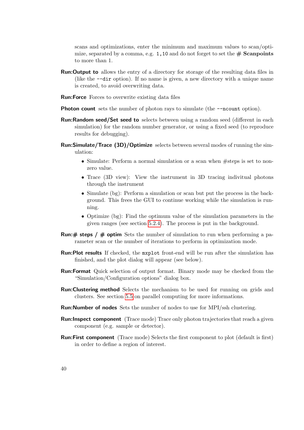scans and optimizations, enter the minimum and maximum values to scan/optimize, separated by a comma, e.g. 1,10 and do not forget to set the  $\#$  **Scanpoints** to more than 1.

- Run:Output to allows the entry of a directory for storage of the resulting data files in (like the --dir option). If no name is given, a new directory with a unique name is created, to avoid overwriting data.
- Run:Force Forces to overwrite existing data files
- **Photon count** sets the number of photon rays to simulate (the --ncount option).
- Run:Random seed/Set seed to selects between using a random seed (different in each simulation) for the random number generator, or using a fixed seed (to reproduce results for debugging).
- Run:Simulate/Trace (3D)/Optimize selects between several modes of running the simulation:
	- Simulate: Perform a normal simulation or a scan when  $\#$ steps is set to nonzero value.
	- Trace (3D view): View the instrument in 3D tracing indivitual photons through the instrument
	- Simulate (bg): Perform a simulation or scan but put the process in the background. This frees the GUI to continue working while the simulation is running.
	- Optimize (bg): Find the optimum value of the simulation parameters in the given ranges (see section [5.2.4\)](#page-34-0). The process is put in the background.
- **Run:# steps / # optim** Sets the number of simulation to run when performing a parameter scan or the number of iterations to perform in optimization mode.
- Run:Plot results If checked, the mxplot front-end will be run after the simulation has finished, and the plot dialog will appear (see below).
- Run:Format Quick selection of output format. Binary mode may be checked from the "Simulation/Configuration options" dialog box.
- Run:Clustering method Selects the mechanism to be used for running on grids and clusters. See section [5.5](#page-48-0) on parallel computing for more informations.
- Run:Number of nodes Sets the number of nodes to use for MPI/ssh clustering.
- **Run:Inspect component** (Trace mode) Trace only photon trajectories that reach a given component (e.g. sample or detector).
- Run:First component (Trace mode) Selects the first component to plot (default is first) in order to define a region of interest.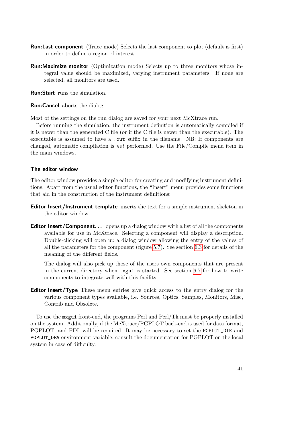- Run:Last component (Trace mode) Selects the last component to plot (default is first) in order to define a region of interest.
- Run:Maximize monitor (Optimization mode) Selects up to three monitors whose integral value should be maximized, varying instrument parameters. If none are selected, all monitors are used.

Run:Start runs the simulation.

Run:Cancel aborts the dialog.

Most of the settings on the run dialog are saved for your next McXtrace run.

Before running the simulation, the instrument definition is automatically compiled if it is newer than the generated C file (or if the C file is newer than the executable). The executable is assumed to have a .out suffix in the filename. NB: If components are changed, automatic compilation is not performed. Use the File/Compile menu item in the main windows.

# The editor window

The editor window provides a simple editor for creating and modifying instrument definitions. Apart from the usual editor functions, the "Insert" menu provides some functions that aid in the construction of the instrument definitions:

- Editor Insert/Instrument template inserts the text for a simple instrument skeleton in the editor window.
- **Editor Insert/Component...** opens up a dialog window with a list of all the components available for use in McXtrace. Selecting a component will display a description. Double-clicking will open up a dialog window allowing the entry of the values of all the parameters for the component (figure [5.7\)](#page-41-0). See section [6.3](#page-58-0) for details of the meaning of the different fields.

The dialog will also pick up those of the users own components that are present in the current directory when mxgui is started. See section [6.7](#page-81-0) for how to write components to integrate well with this facility.

Editor Insert/Type These menu entries give quick access to the entry dialog for the various component types available, i.e. Sources, Optics, Samples, Monitors, Misc, Contrib and Obsolete.

To use the mxgui front-end, the programs Perl and Perl/Tk must be properly installed on the system. Additionally, if the McXtrace/PGPLOT back-end is used for data format, PGPLOT, and PDL will be required. It may be necessary to set the PGPLOT\_DIR and PGPLOT\_DEV environment variable; consult the documentation for PGPLOT on the local system in case of difficulty.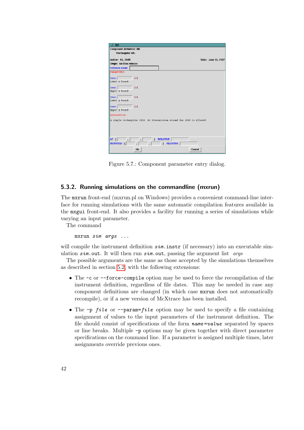| Slit                                                                   |                      |
|------------------------------------------------------------------------|----------------------|
| <b>Component definition: Slit</b>                                      |                      |
| Rectangular slit.                                                      |                      |
|                                                                        |                      |
| Author: KL, HMR                                                        | Date: June 16, 1997  |
| Origin: McStas release                                                 |                      |
| Instance name:                                                         |                      |
| <b>PARAMETERS:</b>                                                     |                      |
| m<br>kmin:                                                             |                      |
| Lower x bound                                                          |                      |
| m<br>xanax:                                                            |                      |
| Upper x bound                                                          |                      |
|                                                                        |                      |
| ymin:<br>m                                                             |                      |
| Lower y bound                                                          |                      |
| m<br>vmax:                                                             |                      |
| Upper y bound                                                          |                      |
| DESCRIPTION:                                                           |                      |
|                                                                        |                      |
| A simple rectangular slit. No transmission around the slit is allowed. |                      |
|                                                                        |                      |
|                                                                        |                      |
|                                                                        |                      |
| AT (<br>$\mathcal{L}$<br>$\overline{ }$                                | <b>RELATIVE</b>      |
| <b>ROTATED</b>                                                         | <b>RELATIVE</b><br>١ |
| <b>Ok</b>                                                              | Cancel               |
|                                                                        |                      |

<span id="page-41-0"></span>Figure 5.7.: Component parameter entry dialog.

# <span id="page-41-1"></span>5.3.2. Running simulations on the commandline (mxrun)

The mxrun front-end (mxrun.pl on Windows) provides a convenient command-line interface for running simulations with the same automatic compilation features available in the mxgui front-end. It also provides a facility for running a series of simulations while varying an input parameter.

The command

mxrun sim args ...

will compile the instrument definition  $sim$ . instr (if necessary) into an executable simulation  $sim$ . Out. It will then run  $sim$ . out, passing the argument list args

The possible arguments are the same as those accepted by the simulations themselves as described in section [5.2,](#page-28-0) with the following extensions:

- The  $-c$  or  $-c$  force-compile option may be used to force the recompilation of the instrument definition, regardless of file dates. This may be needed in case any component definitions are changed (in which case mxrun does not automatically recompile), or if a new version of McXtrace has been installed.
- The  $-p$  file or  $-p$ aram=file option may be used to specify a file containing assignment of values to the input parameters of the instrument definition. The file should consist of specifications of the form  $name =value$  separated by spaces or line breaks. Multiple -p options may be given together with direct parameter specifications on the command line. If a parameter is assigned multiple times, later assignments override previous ones.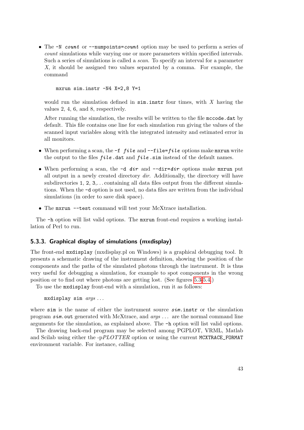• The -N count or --numpoints=count option may be used to perform a series of count simulations while varying one or more parameters within specified intervals. Such a series of simulations is called a scan. To specify an interval for a parameter X, it should be assigned two values separated by a comma. For example, the command

mxrun sim.instr -N4 X=2,8 Y=1

would run the simulation defined in  $\sin$  instr four times, with X having the values 2, 4, 6, and 8, respectively.

After running the simulation, the results will be written to the file mccode.dat by default. This file contains one line for each simulation run giving the values of the scanned input variables along with the integrated intensity and estimated error in all monitors.

- When performing a scan, the  $-f\$ ile and  $-f\$ ile= $file$  options make mxrun write the output to the files  $file$  dat and  $file$  sim instead of the default names.
- When performing a scan, the  $-d$  dir and  $-dir=dir$  options make mxrun put all output in a newly created directory  $\text{dir.}$  Additionally, the directory will have subdirectories 1, 2, 3,... containing all data files output from the different simulations. When the -d option is not used, no data files are written from the individual simulations (in order to save disk space).
- The mxrun --test command will test your McXtrace installation.

The -h option will list valid options. The mxrun front-end requires a working installation of Perl to run.

#### <span id="page-42-0"></span>5.3.3. Graphical display of simulations (mxdisplay)

The front-end mxdisplay (mxdisplay.pl on Windows) is a graphical debugging tool. It presents a schematic drawing of the instrument definition, showing the position of the components and the paths of the simulated photons through the instrument. It is thus very useful for debugging a simulation, for example to spot components in the wrong position or to find out where photons are getting lost. (See figures [5.3-](#page-25-0)[5.4.](#page-25-1))

To use the mxdisplay front-end with a simulation, run it as follows:

mxdisplay sim args . . .

where sim is the name of either the instrument source  $sim$ . instr or the simulation program sim.out generated with McXtrace, and  $args \ldots$  are the normal command line arguments for the simulation, as explained above. The -h option will list valid options.

The drawing back-end program may be selected among PGPLOT, VRML, Matlab and Scilab using either the  $-pPLOTTER$  option or using the current MCXTRACE\_FORMAT environment variable. For instance, calling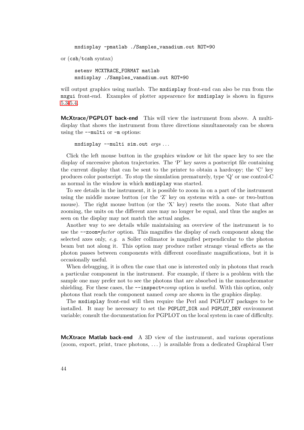```
mxdisplay -pmatlab ./Samples_vanadium.out ROT=90
or (csh/tcsh syntax)
```
setenv MCXTRACE\_FORMAT matlab mxdisplay ./Samples\_vanadium.out ROT=90

will output graphics using matlab. The mxdisplay front-end can also be run from the mxgui front-end. Examples of plotter appearence for mxdisplay is shown in figures [5.3-](#page-25-0)[5.4.](#page-25-1)

McXtrace/PGPLOT back-end This will view the instrument from above. A multidisplay that shows the instrument from three directions simultaneously can be shown using the --multi or -m options:

 $mxdisplay$  --multi sim.out  $args...$ 

Click the left mouse button in the graphics window or hit the space key to see the display of successive photon trajectories. The 'P' key saves a postscript file containing the current display that can be sent to the printer to obtain a hardcopy; the 'C' key produces color postscript. To stop the simulation prematurely, type 'Q' or use control-C as normal in the window in which mxdisplay was started.

To see details in the instrument, it is possible to zoom in on a part of the instrument using the middle mouse button (or the 'Z' key on systems with a one- or two-button mouse). The right mouse button (or the 'X' key) resets the zoom. Note that after zooming, the units on the different axes may no longer be equal, and thus the angles as seen on the display may not match the actual angles.

Another way to see details while maintaining an overview of the instrument is to use the  $\alpha$ -zoom=*factor* option. This magnifies the display of each component along the selected axes only, e.g. a Soller collimator is magnified perpendicular to the photon beam but not along it. This option may produce rather strange visual effects as the photon passes between components with different coordinate magnifications, but it is occasionally useful.

When debugging, it is often the case that one is interested only in photons that reach a particular component in the instrument. For example, if there is a problem with the sample one may prefer not to see the photons that are absorbed in the monochromator shielding. For these cases, the  $-\text{inspect} = comp$  option is useful. With this option, only photons that reach the component named comp are shown in the graphics display.

The mxdisplay front-end will then require the Perl and PGPLOT packages to be installed. It may be necessary to set the PGPLOT\_DIR and PGPLOT\_DEV environment variable; consult the documentation for PGPLOT on the local system in case of difficulty.

McXtrace Matlab back-end A 3D view of the instrument, and various operations (zoom, export, print, trace photons, . . . ) is available from a dedicated Graphical User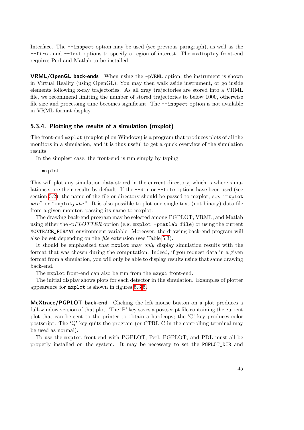Interface. The --inspect option may be used (see previous paragraph), as well as the --first and --last options to specify a region of interest. The mxdisplay front-end requires Perl and Matlab to be installed.

VRML/OpenGL back-ends When using the -pVRML option, the instrument is shown in Virtual Reality (using OpenGL). You may then walk aside instrument, or go inside elements following x-ray trajectories. As all xray trajectories are stored into a VRML file, we recommend limiting the number of stored trajectories to below 1000, otherwise file size and processing time becomes significant. The  $-\text{inspect}$  option is not available in VRML format display.

# <span id="page-44-0"></span>5.3.4. Plotting the results of a simulation (mxplot)

The front-end mxplot (mxplot.pl on Windows) is a program that produces plots of all the monitors in a simulation, and it is thus useful to get a quick overview of the simulation results.

In the simplest case, the front-end is run simply by typing

mxplot

This will plot any simulation data stored in the current directory, which is where simulations store their results by default. If the  $-\text{dir}$  or  $-\text{file}$  options have been used (see section [5.2\)](#page-28-0), the name of the file or directory should be passed to mxplot,  $e.g.$  "mxplot  $dir$ " or "mxplotfile". It is also possible to plot one single text (not binary) data file from a given monitor, passing its name to mxplot.

The drawing back-end program may be selected among PGPLOT, VRML, and Matlab using either the -pPLOTTER option (e.g.  $m$ xplot -pmatlab file) or using the current MCXTRACE\_FORMAT environment variable. Moreover, the drawing back-end program will also be set depending on the file extension (see Table [5.3\)](#page-32-0).

It should be emphasized that mxplot may only display simulation results with the format that was chosen during the computation. Indeed, if you request data in a given format from a simulation, you will only be able to display results using that same drawing back-end.

The mxplot front-end can also be run from the mxgui front-end.

The initial display shows plots for each detector in the simulation. Examples of plotter appearence for mxplot is shown in figures [5.3](#page-25-0)[-5.](#page-24-0)

McXtrace/PGPLOT back-end Clicking the left mouse button on a plot produces a full-window version of that plot. The 'P' key saves a postscript file containing the current plot that can be sent to the printer to obtain a hardcopy; the 'C' key produces color postscript. The 'Q' key quits the program (or CTRL-C in the controlling terminal may be used as normal).

To use the mxplot front-end with PGPLOT, Perl, PGPLOT, and PDL must all be properly installed on the system. It may be necessary to set the PGPLOT\_DIR and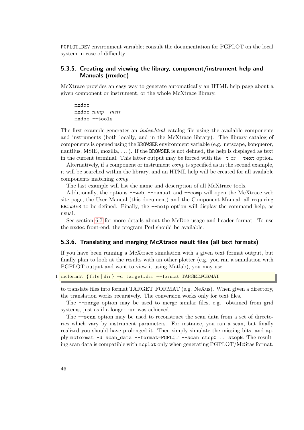PGPLOT\_DEV environment variable; consult the documentation for PGPLOT on the local system in case of difficulty.

# 5.3.5. Creating and viewing the library, component/instrument help and Manuals (mxdoc)

McXtrace provides an easy way to generate automatically an HTML help page about a given component or instrument, or the whole McXtrace library.

mxdoc mxdoc comp—instr mxdoc --tools

The first example generates an *index.html* catalog file using the available components and instruments (both locally, and in the McXtrace library). The library catalog of components is opened using the BROWSER environment variable (e.g. netscape, konqueror, nautilus, MSIE, mozilla,  $\dots$ ). If the BROWSER is not defined, the help is displayed as text in the current terminal. This latter output may be forced with the  $-t$  or  $-\text{text}$  option.

Alternatively, if a component or instrument comp is specified as in the second example, it will be searched within the library, and an HTML help will be created for all available components matching comp.

The last example will list the name and description of all McXtrace tools.

Additionally, the options --web, --manual and --comp will open the McXtrace web site page, the User Manual (this document) and the Component Manual, all requiring BROWSER to be defined. Finally, the --help option will display the command help, as usual.

See section [6.7](#page-81-0) for more details about the McDoc usage and header format. To use the mxdoc front-end, the program Perl should be available.

#### <span id="page-45-0"></span>5.3.6. Translating and merging McXtrace result files (all text formats)

If you have been running a McXtrace simulation with a given text format output, but finally plan to look at the results with an other plotter (e.g. you ran a simulation with PGPLOT output and want to view it using Matlab), you may use

 $mcformat$  { file | dir } -d target\_dir --format=TARGET FORMAT

to translate files into format TARGET FORMAT (e.g. NeXus). When given a directory, the translation works recursively. The conversion works only for text files.

The --merge option may be used to merge similar files, e.g. obtained from grid systems, just as if a longer run was achieved.

The --scan option may be used to reconstruct the scan data from a set of directories which vary by instrument parameters. For instance, you ran a scan, but finally realized you should have prolonged it. Then simply simulate the missing bits, and apply mcformat -d scan\_data --format=PGPLOT --scan step0 .. stepN. The resulting scan data is compatible with mcplot only when generating PGPLOT/McStas format.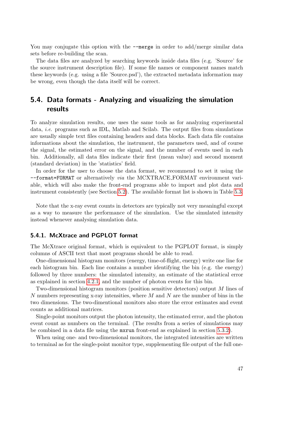You may conjugate this option with the  $-\text{merge}$  in order to add/merge similar data sets before re-building the scan.

The data files are analyzed by searching keywords inside data files (e.g. 'Source' for the source instrument description file). If some file names or component names match these keywords (e.g. using a file 'Source.psd'), the extracted metadata information may be wrong, even though the data itself will be correct.

# 5.4. Data formats - Analyzing and visualizing the simulation results

To analyze simulation results, one uses the same tools as for analyzing experimental data, i.e. programs such as IDL, Matlab and Scilab. The output files from simulations are usually simple text files containing headers and data blocks. Each data file contains informations about the simulation, the instrument, the parameters used, and of course the signal, the estimated error on the signal, and the number of events used in each bin. Additionally, all data files indicate their first (mean value) and second moment (standard deviation) in the 'statistics' field.

In order for the user to choose the data format, we recommend to set it using the --format=FORMAT or alternatively via the MCXTRACE FORMAT environment variable, which will also make the front-end programs able to import and plot data and instrument consistently (see Section [5.2\)](#page-28-0). The available format list is shown in Table [5.3.](#page-32-0)

Note that the x-ray event counts in detectors are typically not very meaningful except as a way to measure the performance of the simulation. Use the simulated intensity instead whenever analysing simulation data.

# 5.4.1. McXtrace and PGPLOT format

The McXtrace original format, which is equivalent to the PGPLOT format, is simply columns of ASCII text that most programs should be able to read.

One-dimensional histogram monitors (energy, time-of-flight, energy) write one line for each histogram bin. Each line contains a number identifying the bin (e.g. the energy) followed by three numbers: the simulated intensity, an estimate of the statistical error as explained in section [4.2.1,](#page-19-0) and the number of photon events for this bin.

Two-dimensional histogram monitors (position sensitive detectors) output M lines of N numbers representing x-ray intensities, where  $M$  and  $N$  are the number of bins in the two dimensions. The two-dimentional monitors also store the error estimates and event counts as additional matrices.

Single-point monitors output the photon intensity, the estimated error, and the photon event count as numbers on the terminal. (The results from a series of simulations may be combined in a data file using the mxrun front-end as explained in section [5.3.2\)](#page-41-1).

When using one- and two-dimensional monitors, the integrated intensities are written to terminal as for the single-point monitor type, supplementing file output of the full one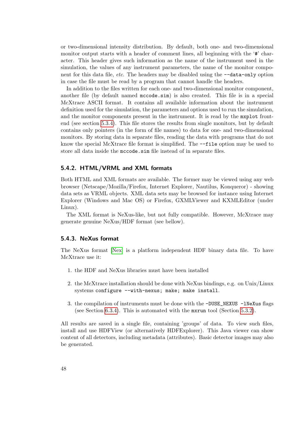or two-dimensional intensity distribution. By default, both one- and two-dimensional monitor output starts with a header of comment lines, all beginning with the '#' character. This header gives such information as the name of the instrument used in the simulation, the values of any instrument parameters, the name of the monitor component for this data file, etc. The headers may be disabled using the  $-\text{data-only option}$ in case the file must be read by a program that cannot handle the headers.

In addition to the files written for each one- and two-dimensional monitor component, another file (by default named mccode.sim) is also created. This file is in a special McXtrace ASCII format. It contains all available information about the instrument definition used for the simulation, the parameters and options used to run the simulation, and the monitor components present in the instrument. It is read by the mxplot frontend (see section [5.3.4\)](#page-44-0). This file stores the results from single monitors, but by default contains only pointers (in the form of file names) to data for one- and two-dimensional monitors. By storing data in separate files, reading the data with programs that do not know the special McXtrace file format is simplified. The --file option may be used to store all data inside the mccode.sim file instead of in separate files.

# 5.4.2. HTML/VRML and XML formats

Both HTML and XML formats are available. The former may be viewed using any web browser (Netscape/Mozilla/Firefox, Internet Explorer, Nautilus, Konqueror) - showing data sets as VRML objects. XML data sets may be browsed for instance using Internet Explorer (Windows and Mac OS) or Firefox, GXMLViewer and KXMLEditor (under Linux).

The XML format is NeXus-like, but not fully compatible. However, McXtrace may generate genuine NeXus/HDF format (see bellow).

#### 5.4.3. NeXus format

The NeXus format [\[Nex\]](#page-100-1) is a platform independent HDF binary data file. To have McXtrace use it:

- 1. the HDF and NeXus libraries must have been installed
- 2. the McXtrace installation should be done with NeXus bindings, e.g. on Unix/Linux systems configure --with-nexus; make; make install.
- 3. the compilation of instruments must be done with the -DUSE\_NEXUS -1NeXus flags (see Section [6.3.4\)](#page-59-0). This is automated with the  $\pi x$  run tool (Section [5.3.2\)](#page-41-1).

All results are saved in a single file, containing 'groups' of data. To view such files, install and use HDFView (or alternatively HDFExplorer). This Java viewer can show content of all detectors, including metadata (attributes). Basic detector images may also be generated.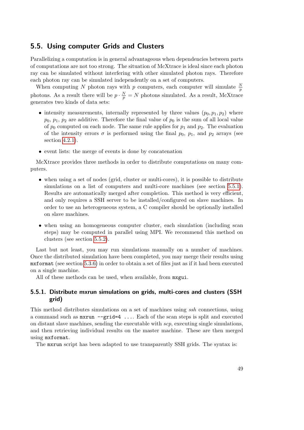# <span id="page-48-0"></span>5.5. Using computer Grids and Clusters

Parallelizing a computation is in general advantageous when dependencies between parts of computations are not too strong. The situation of McXtrace is ideal since each photon ray can be simulated without interfering with other simulated photon rays. Therefore each photon ray can be simulated independently on a set of computers.

When computing N photon rays with p computers, each computer will simulate  $\frac{N}{p}$ photons. As a result there will be  $p \cdot \frac{N}{p} = N$  photons simulated. As a result, McXtrace generates two kinds of data sets:

- intensity measurements, internally represented by three values  $(p_0, p_1, p_2)$  where  $p_0, p_1, p_2$  are additive. Therefore the final value of  $p_0$  is the sum of all local value of  $p_0$  computed on each node. The same rule applies for  $p_1$  and  $p_2$ . The evaluation of the intensity errors  $\sigma$  is performed using the final  $p_0$ ,  $p_1$ , and  $p_2$  arrays (see section [4.2.1\)](#page-19-0).
- event lists: the merge of events is done by concatenation

McXtrace provides three methods in order to distribute computations on many computers.

- when using a set of nodes (grid, cluster or multi-cores), it is possible to distribute simulations on a list of computers and multi-core machines (see section [5.5.1\)](#page-48-1). Results are automatically merged after completion. This method is very efficient, and only requires a SSH server to be installed/configured on slave machines. In order to use an heterogeneous system, a C compiler should be optionally installed on slave machines.
- when using an homogeneous computer cluster, each simulation (including scan steps) may be computed in parallel using MPI. We recommend this method on clusters (see section [5.5.2\)](#page-50-0).

Last but not least, you may run simulations manually on a number of machines. Once the distributed simulation have been completed, you may merge their results using mxformat (see section [5.3.6\)](#page-45-0) in order to obtain a set of files just as if it had been executed on a single machine.

All of these methods can be used, when available, from mxgui.

# <span id="page-48-1"></span>5.5.1. Distribute mxrun simulations on grids, multi-cores and clusters (SSH grid)

This method distributes simulations on a set of machines using ssh connections, using a command such as mxrun --grid=4 .... Each of the scan steps is split and executed on distant slave machines, sending the executable with  $\mathfrak{so}_p$ , executing single simulations, and then retrieving individual results on the master machine. These are then merged using mxformat.

The mxrun script has been adapted to use transparently SSH grids. The syntax is: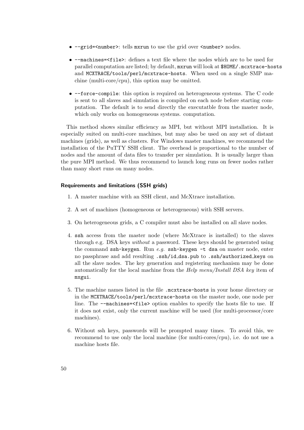- --grid=<number>: tells mxrun to use the grid over <number> nodes.
- --machines=<file>: defines a text file where the nodes which are to be used for parallel computation are listed; by default, mxrun will look at \$HOME/.mcxtrace-hosts and MCXTRACE/tools/perl/mcxtrace-hosts. When used on a single SMP machine (multi-core/cpu), this option may be omitted.
- --force-compile: this option is required on heterogeneous systems. The C code is sent to all slaves and simulation is compiled on each node before starting computation. The default is to send directly the executatble from the master node, which only works on homogeneous systems. computation.

This method shows similar efficiency as MPI, but without MPI installation. It is especially suited on multi-core machines, but may also be used on any set of distant machines (grids), as well as clusters. For Windows master machines, we recommend the installation of the PuTTY SSH client. The overhead is proportional to the number of nodes and the amount of data files to transfer per simulation. It is usually larger than the pure MPI method. We thus recommend to launch long runs on fewer nodes rather than many short runs on many nodes.

#### Requirements and limitations (SSH grids)

- 1. A master machine with an SSH client, and McXtrace installation.
- 2. A set of machines (homogeneous or heterogeneous) with SSH servers.
- 3. On heterogeneous grids, a C compiler must also be installed on all slave nodes.
- 4. ssh access from the master node (where McXtrace is installed) to the slaves through e.g. DSA keys without a password. These keys should be generated using the command  $\text{ssh-keygen}$ . Run e.g.  $\text{ssh-keygen}$  -t dsa on master node, enter no passphrase and add resulting .ssh/id dsa.pub to .ssh/authorized keys on all the slave nodes. The key generation and registering mechanism may be done automatically for the local machine from the Help menu/Install DSA key item of mxgui.
- 5. The machine names listed in the file .mcxtrace-hosts in your home directory or in the MCXTRACE/tools/perl/mcxtrace-hosts on the master node, one node per line. The --machines=<file> option enables to specify the hosts file to use. If it does not exist, only the current machine will be used (for multi-processor/core machines).
- 6. Without ssh keys, passwords will be prompted many times. To avoid this, we recommend to use only the local machine (for multi-cores/cpu), i.e. do not use a machine hosts file.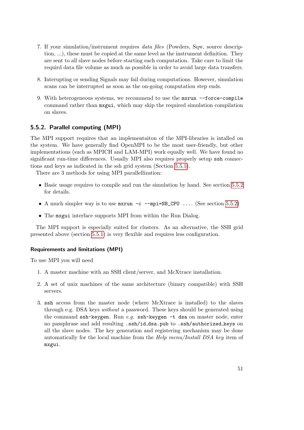- 7. If your simulation/instrument requires data files (Powders, Sqw, source description, ...), these must be copied at the same level as the instrument definition. They are sent to all slave nodes before starting each computation. Take care to limit the requird data file volume as much as possible in order to avoid large data transfers.
- 8. Interupting or sending Signals may fail during computations. However, simulation scans can be interrupted as soon as the on-going computation step ends.
- 9. With heterogeneous systems, we recommend to use the mxrun --force-compile command rather than mxgui, which may skip the required simulation compilation on slaves.

# <span id="page-50-0"></span>5.5.2. Parallel computing (MPI)

The MPI support requires that an implementaiton of the MPI-libraries is intalled on the system. We have generally find OpenMPI to be the most user-friendly, but other implementations (such as MPICH and LAM-MPI) work equally well. We have found no significant run-time differences. Usually MPI also requires properly setup ssh connections and keys as indicated in the ssh grid system (Section [5.5.1\)](#page-48-1).

There are 3 methods for using MPI parallellization:

- Basic usage requires to compile and run the simulation by hand. See section [5.5.2](#page-51-0) for details.
- A much simpler way is to use  $mxrun -c$  --mpi=NB\_CPU .... (See section [5.5.2\)](#page-51-1)
- The mxgui interface supports MPI from within the Run Dialog.

The MPI support is especially suited for clusters. As an alternative, the SSH grid presented above (section [5.5.1\)](#page-48-1) is very flexible and requires less configuration.

#### Requirements and limitations (MPI)

To use MPI you will need

- 1. A master machine with an SSH client/server, and McXtrace installation.
- 2. A set of unix machines of the same architecture (binary compatible) with SSH servers.
- 3. ssh access from the master node (where McXtrace is installed) to the slaves through e.g. DSA keys without a password. These keys should be generated using the command ssh-keygen. Run  $e.g.$  ssh-keygen -t dsa on master node, enter no passphrase and add resulting .ssh/id dsa.pub to .ssh/authorized keys on all the slave nodes. The key generation and registering mechanism may be done automatically for the local machine from the Help menu/Install DSA key item of mxgui.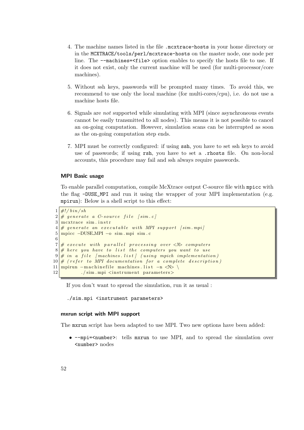- 4. The machine names listed in the file .mcxtrace-hosts in your home directory or in the MCXTRACE/tools/perl/mcxtrace-hosts on the master node, one node per line. The --machines=<file> option enables to specify the hosts file to use. If it does not exist, only the current machine will be used (for multi-processor/core machines).
- 5. Without ssh keys, passwords will be prompted many times. To avoid this, we recommend to use only the local machine (for multi-cores/cpu), i.e. do not use a machine hosts file.
- 6. Signals are not supported while simulating with MPI (since asynchroneous events cannot be easily transmitted to all nodes). This means it is not possible to cancel an on-going computation. However, simulation scans can be interrupted as soon as the on-going computation step ends.
- 7. MPI must be correctly configured: if using ssh, you have to set ssh keys to avoid use of passwords; if using rsh, you have to set a .rhosts file. On non-local accounts, this procedure may fail and ssh always require passwords.

### <span id="page-51-0"></span>MPI Basic usage

To enable parallel computation, compile McXtrace output C-source file with mpicc with the flag -DUSE\_MPI and run it using the wrapper of your MPI implementation (e.g. mpirun): Below is a shell script to this effect:

```
1 \frac{\#!}{\mathfrak{b}in} / sh2 \# generate a C-source file [sim.c]
 3 mcxtrace sim. instr
 4 \# generate an executable with MPI support [sim.mpi]
 5 mpicc −DUSE MPI −o sim . mpi sim . c
 6
 7 \neq \emptyset execute with parallel processing over \langle N \rangle computers
 8 \# here you have to list the computers you want to use
 9 \mid \# \text{ in a file } [machines. \text{ list }] (using mpich implementation)
10 \vert \text{# (refer to MPI documentation for a complete description)}11 \frac{\text{mpirun} -\text{machine file machines}.\text{list } -\text{n} \ll N}12 ./sim.mpi <instrument parameters>
```
If you don't want to spread the simulation, run it as usual :

./sim.mpi <instrument parameters>

#### <span id="page-51-1"></span>mxrun script with MPI support

The mxrun script has been adapted to use MPI. Two new options have been added:

• --mpi=<number>: tells mxrun to use MPI, and to spread the simulation over <number> nodes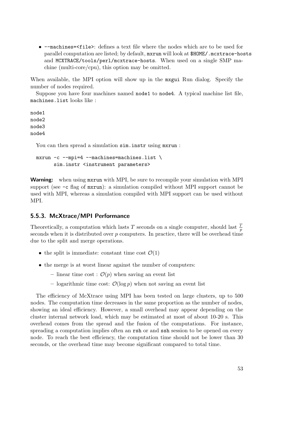• --machines=<file>: defines a text file where the nodes which are to be used for parallel computation are listed; by default, mxrun will look at \$HOME/.mcxtrace-hosts and MCXTRACE/tools/perl/mcxtrace-hosts. When used on a single SMP machine (multi-core/cpu), this option may be omitted.

When available, the MPI option will show up in the mxgui Run dialog. Specify the number of nodes required.

Suppose you have four machines named node1 to node4. A typical machine list file, machines.list looks like :

node1 node2 node3 node4

You can then spread a simulation  $\sin$ . instrusing mxrun:

```
mxxun -c --mpi=4 --machines=machines.list \
      sim.instr <instrument parameters>
```
**Warning:** when using maximum with MPI, be sure to recompile your simulation with MPI support (see -c flag of mxrun): a simulation compiled without MPI support cannot be used with MPI, whereas a simulation compiled with MPI support can be used without MPI.

# 5.5.3. McXtrace/MPI Performance

Theoretically, a computation which lasts T seconds on a single computer, should last  $\frac{7}{p}$ seconds when it is distributed over  $p$  computers. In practice, there will be overhead time due to the split and merge operations.

- the split is immediate: constant time cost  $\mathcal{O}(1)$
- the merge is at worst linear against the number of computers:
	- linear time cost :  $\mathcal{O}(p)$  when saving an event list
	- logarithmic time cost:  $\mathcal{O}(\log p)$  when not saving an event list

The efficiency of McXtrace using MPI has been tested on large clusters, up to 500 nodes. The computation time decreases in the same proportion as the number of nodes, showing an ideal efficiency. However, a small overhead may appear depending on the cluster internal network load, which may be estimated at most of about 10-20 s. This overhead comes from the spread and the fusion of the computations. For instance, spreading a computation implies often an rsh or and ssh session to be opened on every node. To reach the best efficiency, the computation time should not be lower than 30 seconds, or the overhead time may become significant compared to total time.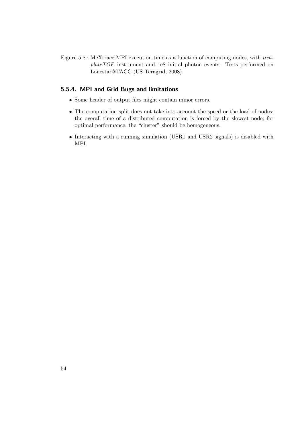Figure 5.8.: McXtrace MPI execution time as a function of computing nodes, with templateTOF instrument and 1e8 initial photon events. Tests performed on Lonestar@TACC (US Teragrid, 2008).

# 5.5.4. MPI and Grid Bugs and limitations

- Some header of output files might contain minor errors.
- The computation split does not take into account the speed or the load of nodes: the overall time of a distributed computation is forced by the slowest node; for optimal performance, the "cluster" should be homogeneous.
- Interacting with a running simulation (USR1 and USR2 signals) is disabled with MPI.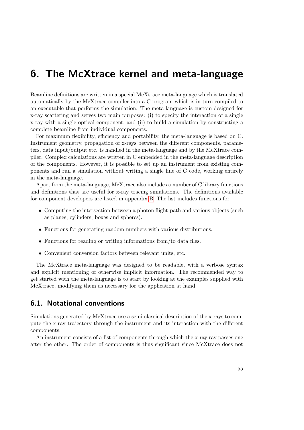# 6. The McXtrace kernel and meta-language

Beamline definitions are written in a special McXtrace meta-language which is translated automatically by the McXtrace compiler into a C program which is in turn compiled to an executable that performs the simulation. The meta-language is custom-designed for x-ray scattering and serves two main purposes: (i) to specify the interaction of a single x-ray with a single optical component, and (ii) to build a simulation by constructing a complete beamline from individual components.

For maximum flexibility, efficiency and portability, the meta-language is based on C. Instrument geometry, propagation of x-rays between the different components, parameters, data input/output etc. is handled in the meta-language and by the McXtrace compiler. Complex calculations are written in C embedded in the meta-language description of the components. However, it is possible to set up an instrument from existing components and run a simulation without writing a single line of C code, working entirely in the meta-language.

Apart from the meta-language, McXtrace also includes a number of C library functions and definitions that are useful for x-ray tracing simulations. The definitions available for component developers are listed in appendix [B.](#page-89-0) The list includes functions for

- Computing the intersection between a photon flight-path and various objects (such as planes, cylinders, boxes and spheres).
- Functions for generating random numbers with various distributions.
- Functions for reading or writing informations from/to data files.
- Convenient conversion factors between relevant units, etc.

The McXtrace meta-language was designed to be readable, with a verbose syntax and explicit mentioning of otherwise implicit information. The recommended way to get started with the meta-language is to start by looking at the examples supplied with McXtrace, modifying them as necessary for the application at hand.

# 6.1. Notational conventions

Simulations generated by McXtrace use a semi-classical description of the x-rays to compute the x-ray trajectory through the instrument and its interaction with the different components.

An instrument consists of a list of components through which the x-ray ray passes one after the other. The order of components is thus significant since McXtrace does not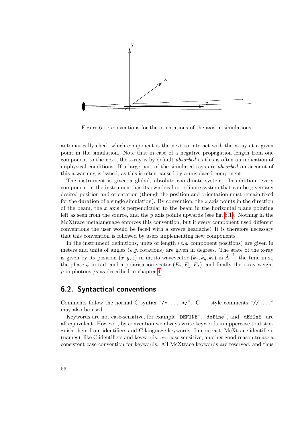

<span id="page-55-0"></span>Figure 6.1.: conventions for the orientations of the axis in simulations.

automatically check which component is the next to interact with the x-ray at a given point in the simulation. Note that in case of a negative propagation length from one component to the next, the x-ray is by default absorbed as this is often an indication of unphysical conditions. If a large part of the simulated rays are absorbed on account of this a warning is issued, as this is often caused by a misplaced component.

The instrument is given a global, absolute coordinate system. In addition, every component in the instrument has its own local coordinate system that can be given any desired position and orientation (though the position and orientation must remain fixed for the duration of a single simulation). By convention, the  $z$  axis points in the direction of the beam, the  $x$  axis is perpendicular to the beam in the horizontal plane pointing left as seen from the source, and the y axis points upwards (see fig. [6.1\)](#page-55-0). Nothing in the McXtrace metalanguage enforces this convention, but if every component used different conventions the user would be faced with a severe headache! It is therefore necessary that this convention is followed by users implementing new components.

In the instrument definitions, units of length  $(e.g.$  component positions) are given in meters and units of angles  $(e.g.$  rotations) are given in degrees. The state of the x-ray is given by its position  $(x, y, z)$  in m, its wavevector  $(k_x, k_y, k_z)$  in  $\mathring{A}^{-1}$ , the time in s, the phase  $\phi$  in rad, and a polarisation vector  $(E_x, E_y, E_z)$ , and finally the x-ray weight p in photons /s as described in chapter [4.](#page-17-0)

# 6.2. Syntactical conventions

Comments follow the normal C syntax "/\* ... \*/". C++ style comments "// ..." may also be used.

Keywords are not case-sensitive, for example "DEFINE", "define", and "dEfInE" are all equivalent. However, by convention we always write keywords in uppercase to distinguish them from identifiers and C language keywords. In contrast, McXtrace identifiers (names), like C identifiers and keywords, are case sensitive, another good reason to use a consistent case convention for keywords. All McXtrace keywords are reserved, and thus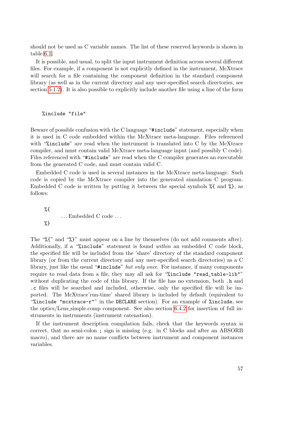should not be used as C variable names. The list of these reserved keywords is shown in table [6.1.](#page-57-0)

It is possible, and usual, to split the input instrument definition across several different files. For example, if a component is not explicitly defined in the instrument, McXtrace will search for a file containing the component definition in the standard component library (as well as in the current directory and any user-specified search directories, see section [5.1.2\)](#page-26-0). It is also possible to explicitly include another file using a line of the form

%include "file"

Beware of possible confusion with the C language "#include" statement, especially when it is used in C code embedded within the McXtrace meta-language. Files referenced with "%include" are read when the instrument is translated into C by the McXtrace compiler, and must contain valid McXtrace meta-language input (and possibly C code). Files referenced with "#include" are read when the C compiler generates an executable from the generated C code, and must contain valid C.

Embedded C code is used in several instances in the McXtrace meta-language. Such code is copied by the McXtrace compiler into the generated simulation C program. Embedded C code is written by putting it between the special symbols  $\mathcal{E}$  and  $\mathcal{E}$ , as follows:

%{ . . . Embedded C code . . . %}

The "%{" and "%}" must appear on a line by themselves (do not add comments after). Additionally, if a "%include" statement is found within an embedded C code block, the specified file will be included from the 'share' directory of the standard component library (or from the current directory and any user-specified search directories) as a C library, just like the usual "#include" but only once. For instance, if many components require to read data from a file, they may all ask for "%include "read\_table-lib"" without duplicating the code of this library. If the file has no extension, both  $\cdot$  h and .c files will be searched and included, otherwise, only the specified file will be imported. The McXtrace'run-time' shared library is included by default (equivalent to "%include "mcxtrace-r"" in the DECLARE section). For an example of %include, see the optics/Lens simple.comp component. See also section [6.4.2](#page-63-0) for insertion of full instruments in instruments (instrument catenation).

If the instrument description compilation fails, check that the keywords syntax is correct, that no semi-colon ; sign is missing (e.g. in C blocks and after an ABSORB macro), and there are no name conflicts between instrument and component instances variables.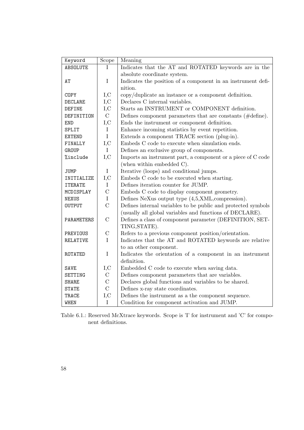| Keyword         | Scope          | Meaning                                                         |
|-----------------|----------------|-----------------------------------------------------------------|
| ABSOLUTE        | T              | Indicates that the AT and ROTATED keywords are in the           |
|                 |                | absolute coordinate system.                                     |
| AT              | $\mathbf I$    | Indicates the position of a component in an instrument defi-    |
|                 |                | nition.                                                         |
| COPY            | I, C           | copy/duplicate an instance or a component definition.           |
| DECLARE         | I, C           | Declares C internal variables.                                  |
| <b>DEFINE</b>   | I, C           | Starts an INSTRUMENT or COMPONENT definition.                   |
| DEFINITION      | $\mathcal{C}$  | Defines component parameters that are constants ( $\#$ define). |
| <b>END</b>      | I, C           | Ends the instrument or component definition.                    |
| SPLIT           | $\mathbf I$    | Enhance incoming statistics by event repetition.                |
| <b>EXTEND</b>   | $\mathbf I$    | Extends a component TRACE section (plug-in).                    |
| FINALLY         | I, C           | Embeds C code to execute when simulation ends.                  |
| GROUP           | $\mathbf I$    | Defines an exclusive group of components.                       |
| %include        | I, C           | Imports an instrument part, a component or a piece of C code    |
|                 |                | (when within embedded $C$ ).                                    |
| <b>JUMP</b>     | $\bf{I}$       | Iterative (loops) and conditional jumps.                        |
| INITIALIZE      | I, C           | Embeds C code to be executed when starting.                     |
| <b>ITERATE</b>  | $\mathbf I$    | Defines iteration counter for JUMP.                             |
| MCDISPLAY       | $\mathcal{C}$  | Embeds C code to display component geometry.                    |
| <b>NEXUS</b>    | $\mathbf I$    | Defines NeXus output type (4,5,XML, compression).               |
| <b>OUTPUT</b>   | $\overline{C}$ | Defines internal variables to be public and protected symbols   |
|                 |                | (usually all global variables and functions of DECLARE).        |
| PARAMETERS      | $\mathcal{C}$  | Defines a class of component parameter (DEFINITION, SET-        |
|                 |                | TING, STATE).                                                   |
| PREVIOUS        | $\mathcal{C}$  | Refers to a previous component position/orientation.            |
| <b>RELATIVE</b> | $\mathbf{I}$   | Indicates that the AT and ROTATED keywords are relative         |
|                 |                | to an other component.                                          |
| ROTATED         | $\rm I$        | Indicates the orientation of a component in an instrument       |
|                 |                | definition.                                                     |
| <b>SAVE</b>     | I, C           | Embedded C code to execute when saving data.                    |
| SETTING         | $\mathcal{C}$  | Defines component parameters that are variables.                |
| <b>SHARE</b>    | $\mathcal{C}$  | Declares global functions and variables to be shared.           |
| <b>STATE</b>    | $\overline{C}$ | Defines x-ray state coordinates.                                |
| TRACE           | $_{\rm I,C}$   | Defines the instrument as a the component sequence.             |
| <b>WHEN</b>     | $\mathbf I$    | Condition for component activation and JUMP.                    |

<span id="page-57-0"></span>Table 6.1.: Reserved McXtrace keywords. Scope is 'I' for instrument and 'C' for component definitions.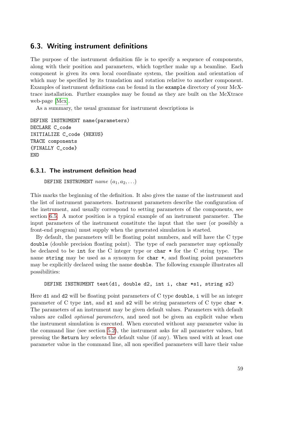# <span id="page-58-0"></span>6.3. Writing instrument definitions

The purpose of the instrument definition file is to specify a sequence of components, along with their position and parameters, which together make up a beamline. Each component is given its own local coordinate system, the position and orientation of which may be specified by its translation and rotation relative to another component. Examples of instrument definitions can be found in the example directory of your McXtrace installation. Further examples may be found as they are built on the McXtrace web-page [\[Mcx\]](#page-100-0).

As a summary, the usual grammar for instrument descriptions is

```
DEFINE INSTRUMENT name(parameters)
DECLARE C_code
INITIALIZE C_code {NEXUS}
TRACE components
{FINALLY C_code}
END
```
# 6.3.1. The instrument definition head

DEFINE INSTRUMENT  $name (a_1, a_2, ...)$ 

This marks the beginning of the definition. It also gives the name of the instrument and the list of instrument parameters. Instrument parameters describe the configuration of the instrument, and usually correspond to setting parameters of the components, see section [6.5.](#page-68-0) A motor position is a typical example of an instrument parameter. The input parameters of the instrument constitute the input that the user (or possibly a front-end program) must supply when the generated simulation is started.

By default, the parameters will be floating point numbers, and will have the C type double (double precision floating point). The type of each parameter may optionally be declared to be int for the C integer type or char \* for the C string type. The name string may be used as a synonym for char  $\ast$ , and floating point parameters may be explicitly declared using the name double. The following example illustrates all possibilities:

```
DEFINE INSTRUMENT test(d1, double d2, int i, char *s1, string s2)
```
Here d1 and d2 will be floating point parameters of C type double, i will be an integer parameter of C type int, and s1 and s2 will be string parameters of C type char \*. The parameters of an instrument may be given default values. Parameters with default values are called optional parameters, and need not be given an explicit value when the instrument simulation is executed. When executed without any parameter value in the command line (see section [5.2\)](#page-28-0), the instrument asks for all parameter values, but pressing the Return key selects the default value (if any). When used with at least one parameter value in the command line, all non specified parameters will have their value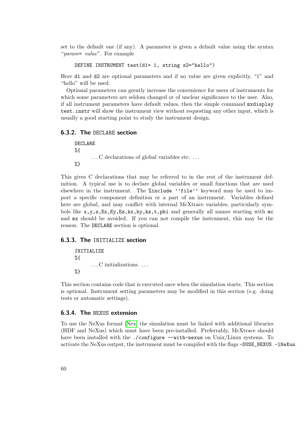set to the default one (if any). A parameter is given a default value using the syntax "param= value". For example

```
DEFINE INSTRUMENT test(d1= 1, string s2="hello")
```
Here d1 and d2 are optional parameters and if no value are given explicitly, "1" and "hello" will be used.

Optional parameters can greatly increase the convenience for users of instruments for which some parameters are seldom changed or of unclear significance to the user. Also, if all instrument parameters have default values, then the simple command mxdisplay test.instr will show the instrument view without requesting any other input, which is usually a good starting point to study the instrument design.

### 6.3.2. The DECLARE section

DECLARE %{ ... C declarations of global variables etc... %}

This gives C declarations that may be referred to in the rest of the instrument definition. A typical use is to declare global variables or small functions that are used elsewhere in the instrument. The %include ''file'' keyword may be used to import a specific component definition or a part of an instrument. Variables defined here are global, and may conflict with internal McXtrace variables, particularly symbols like  $x, y, z, Ex, Ey, Ez, kx, ky, kz, t, phi$  and generally all names starting with mc nad mx should be avoided. If you can not compile the instrument, this may be the reason. The DECLARE section is optional.

#### 6.3.3. The INITIALIZE section

INITIALIZE %{ . . . C initializations. . . . %}

This section contains code that is executed once when the simulation starts. This section is optional. Instrument setting parameters may be modified in this section (e.g. doing tests or automatic settings).

#### <span id="page-59-0"></span>6.3.4. The NEXUS extension

To use the NeXus format [\[Nex\]](#page-100-1) the simulation must be linked with additional libraries (HDF and NeXus) which must have been pre-installed. Preferrably, McXtrace should have been installed with the ./configure --with-nexus on Unix/Linux systems. To activate the NeXus output, the instrument must be compiled with the flags -DUSE\_NEXUS -1NeXus.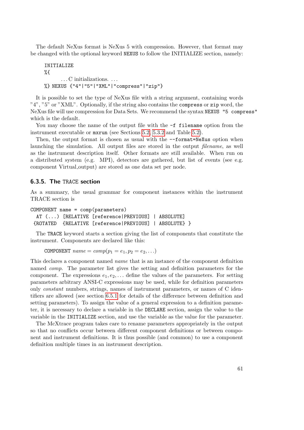The default NeXus format is NeXus 5 with compression. However, that format may be changed with the optional keyword NEXUS to follow the INITIALIZE section, namely:

```
INITIALIZE
%{
      . . . C initializations. . . .
%} NEXUS {"4"|"5"|"XML"|"compress"|"zip"}
```
It is possible to set the type of NeXus file with a string argument, containing words "4", "5" or "XML". Optionally, if the string also contains the compress or zip word, the NeXus file will use compression for Data Sets. We recommend the syntax NEXUS "5 compress" which is the default.

You may choose the name of the output file with the  $-f$  filename option from the instrument executable or mxrun (see Sections [5.2,](#page-28-0) [5.3.2](#page-41-1) and Table [5.2\)](#page-31-0).

Then, the output format is chosen as usual with the  $--format=NeXus$  option when launching the simulation. All output files are stored in the output filename, as well as the instrument description itself. Other formats are still available. When run on a distributed system (e.g. MPI), detectors are gathered, but list of events (see e.g. component Virtual output) are stored as one data set per node.

# 6.3.5. The TRACE section

As a summary, the usual grammar for component instances within the instrument TRACE section is

```
COMPONENT name = comp(parameters)
 AT (...) [RELATIVE [reference|PREVIOUS] | ABSOLUTE]
 {ROTATED {RELATIVE [reference|PREVIOUS] | ABSOLUTE} }
```
The TRACE keyword starts a section giving the list of components that constitute the instrument. Components are declared like this:

COMPONENT  $name = comp(p_1 = e_1, p_2 = e_2, ...)$ 

This declares a component named name that is an instance of the component definition named comp. The parameter list gives the setting and definition parameters for the component. The expressions  $e_1, e_2, \ldots$  define the values of the parameters. For setting parameters arbitrary ANSI-C expressions may be used, while for definition parameters only constant numbers, strings, names of instrument parameters, or names of C identifiers are allowed (see section [6.5.1](#page-69-0) for details of the difference between definition and setting parameters). To assign the value of a general expression to a definition parameter, it is necessary to declare a variable in the DECLARE section, assign the value to the variable in the INITIALIZE section, and use the variable as the value for the parameter.

The McXtrace program takes care to rename parameters appropriately in the output so that no conflicts occur between different component definitions or between component and instrument definitions. It is thus possible (and common) to use a component definition multiple times in an instrument description.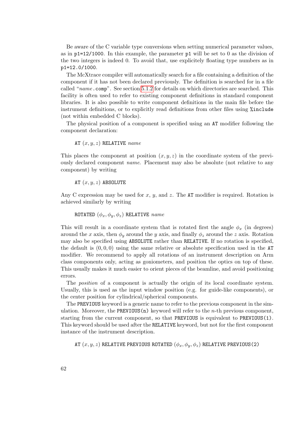Be aware of the C variable type conversions when setting numerical parameter values, as in  $p1=12/1000$ . In this example, the parameter p1 will be set to 0 as the division of the two integers is indeed 0. To avoid that, use explicitely floating type numbers as in p1=12.0/1000.

The McXtrace compiler will automatically search for a file containing a definition of the component if it has not been declared previously. The definition is searched for in a file called "name.comp". See section [5.1.2](#page-26-0) for details on which directories are searched. This facility is often used to refer to existing component definitions in standard component libraries. It is also possible to write component definitions in the main file before the instrument definitions, or to explicitly read definitions from other files using %include (not within embedded C blocks).

The physical position of a component is specified using an AT modifier following the component declaration:

AT  $(x, y, z)$  RELATIVE name

This places the component at position  $(x, y, z)$  in the coordinate system of the previously declared component name. Placement may also be absolute (not relative to any component) by writing

AT  $(x, y, z)$  ABSOLUTE

Any C expression may be used for  $x, y$ , and  $z$ . The AT modifier is required. Rotation is achieved similarly by writing

ROTATED  $(\phi_x, \phi_y, \phi_z)$  RELATIVE name

This will result in a coordinate system that is rotated first the angle  $\phi_x$  (in degrees) around the x axis, then  $\phi_y$  around the y axis, and finally  $\phi_z$  around the z axis. Rotation may also be specified using ABSOLUTE rather than RELATIVE. If no rotation is specified, the default is  $(0, 0, 0)$  using the same relative or absolute specification used in the AT modifier. We recommend to apply all rotations of an instrument description on Arm class components only, acting as goniometers, and position the optics on top of these. This usually makes it much easier to orient pieces of the beamline, and avoid positioning errors.

The position of a component is actually the origin of its local coordinate system. Usually, this is used as the input window position (e.g. for guide-like components), or the center position for cylindrical/spherical components.

The PREVIOUS keyword is a generic name to refer to the previous component in the simulation. Moreover, the PREVIOUS(n) keyword will refer to the *n*-th previous component, starting from the current component, so that PREVIOUS is equivalent to PREVIOUS(1). This keyword should be used after the RELATIVE keyword, but not for the first component instance of the instrument description.

AT  $(x, y, z)$  RELATIVE PREVIOUS ROTATED  $(\phi_x, \phi_y, \phi_z)$  RELATIVE PREVIOUS(2)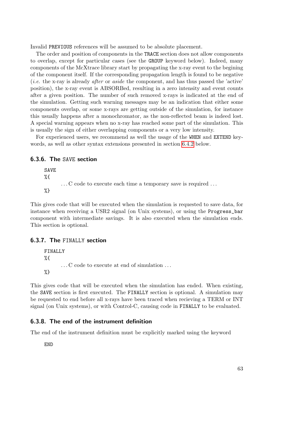Invalid PREVIOUS references will be assumed to be absolute placement.

The order and position of components in the TRACE section does not allow components to overlap, except for particular cases (see the GROUP keyword below). Indeed, many components of the McXtrace library start by propagating the x-ray event to the begining of the component itself. If the corresponding propagation length is found to be negative (i.e. the x-ray is already after or aside the component, and has thus passed the 'active' position), the x-ray event is ABSORBed, resulting in a zero intensity and event counts after a given position. The number of such removed x-rays is indicated at the end of the simulation. Getting such warning messages may be an indication that either some components overlap, or some x-rays are getting outside of the simulation, for instance this usually happens after a monochromator, as the non-reflected beam is indeed lost. A special warning appears when no x-ray has reached some part of the simulation. This is usually the sign of either overlapping components or a very low intensity.

For experienced users, we recommend as well the usage of the WHEN and EXTEND keywords, as well as other syntax extensions presented in section [6.4.2](#page-63-0) below.

#### 6.3.6. The SAVE section

SAVE %{ . . . C code to execute each time a temporary save is required . . . %}

This gives code that will be executed when the simulation is requested to save data, for instance when receiving a USR2 signal (on Unix systems), or using the Progress\_bar component with intermediate savings. It is also executed when the simulation ends. This section is optional.

## 6.3.7. The FINALLY section

FINALLY %{ . . . C code to execute at end of simulation . . . %}

This gives code that will be executed when the simulation has ended. When existing, the SAVE section is first executed. The FINALLY section is optional. A simulation may be requested to end before all x-rays have been traced when recieving a TERM or INT signal (on Unix systems), or with Control-C, causing code in FINALLY to be evaluated.

# 6.3.8. The end of the instrument definition

The end of the instrument definition must be explicitly marked using the keyword

END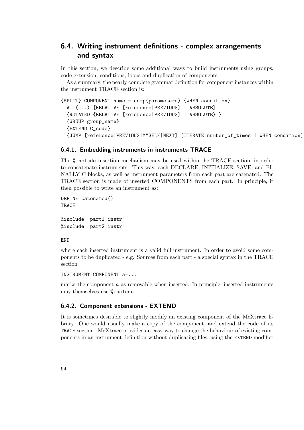# 6.4. Writing instrument definitions - complex arrangements and syntax

In this section, we describe some additional ways to build instruments using groups, code extension, conditions, loops and duplication of components.

As a summary, the nearly complete grammar definition for component instances within the instrument TRACE section is:

```
{SPLIT} COMPONENT name = comp(parameters) {WHEN condition}
 AT (...) [RELATIVE [reference|PREVIOUS] | ABSOLUTE]
  {ROTATED {RELATIVE [reference|PREVIOUS] | ABSOLUTE} }
  {GROUP group_name}
  {EXTEND C_code}
  {JUMP [reference|PREVIOUS|MYSELF|NEXT] [ITERATE number_of_times | WHEN condition] }
```
# 6.4.1. Embedding instruments in instruments TRACE

The %include insertion mechanism may be used within the TRACE section, in order to concatenate instruments. This way, each DECLARE, INITIALIZE, SAVE, and FI-NALLY C blocks, as well as instrument parameters from each part are catenated. The TRACE section is made of inserted COMPONENTS from each part. In principle, it then possible to write an instrument as:

DEFINE catenated() TRACE

%include "part1.instr" %include "part2.instr"

END

where each inserted instrument is a valid full instrument. In order to avoid some components to be duplicated - e.g. Sources from each part - a special syntax in the TRACE section

INSTRUMENT COMPONENT a=...

marks the component  $\alpha$  as removable when inserted. In principle, inserted instruments may themselves use %include.

### <span id="page-63-0"></span>6.4.2. Component extensions - EXTEND

It is sometimes desirable to slightly modify an existing component of the McXtrace library. One would usually make a copy of the component, and extend the code of its TRACE section. McXtrace provides an easy way to change the behaviour of existing components in an instrument definition without duplicating files, using the EXTEND modifier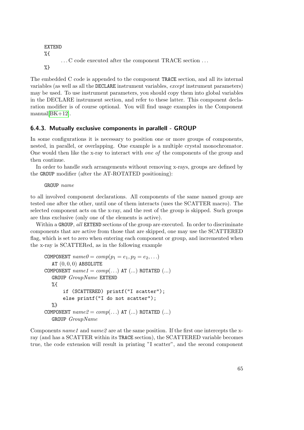```
EXTEND
%{
       . . . C code executed after the component TRACE section . . .
%}
```
The embedded C code is appended to the component TRACE section, and all its internal variables (as well as all the DECLARE instrument variables, except instrument parameters) may be used. To use instrument parameters, you should copy them into global variables in the DECLARE instrument section, and refer to these latter. This component declaration modifier is of course optional. You will find usage examples in the Component  $manual[BK+12]$  $manual[BK+12]$ .

# 6.4.3. Mutually exclusive components in parallell - GROUP

In some configurations it is necessary to position one or more groups of components, nested, in parallel, or overlapping. One example is a multiple crystal monochromator. One would then like the x-ray to interact with one of the components of the group and then continue.

In order to handle such arrangements without removing x-rays, groups are defined by the GROUP modifier (after the AT-ROTATED positioning):

GROUP name

to all involved component declarations. All components of the same named group are tested one after the other, until one of them interacts (uses the SCATTER macro). The selected component acts on the x-ray, and the rest of the group is skipped. Such groups are thus exclusive (only one of the elements is active).

Within a GROUP, all EXTEND sections of the group are executed. In order to discriminate components that are active from those that are skipped, one may use the SCATTERED flag, which is set to zero when entering each component or group, and incremented when the x-ray is SCATTERed, as in the following example

```
COMPONENT name\theta = comp(p_1 = e_1, p_2 = e_2, \ldots)AT (0, 0, 0) ABSOLUTE
COMPONENT name1 = comp(...) AT (...) ROTATED (...)GROUP GroupName EXTEND
  \%if (SCATTERED) printf("I scatter");
       else printf("I do not scatter");
  %}
COMPONENT name2 = comp(...) AT (...) ROTATED (...)GROUP GroupName
```
Components namel and namel are at the same position. If the first one intercepts the xray (and has a SCATTER within its TRACE section), the SCATTERED variable becomes true, the code extension will result in printing "I scatter", and the second component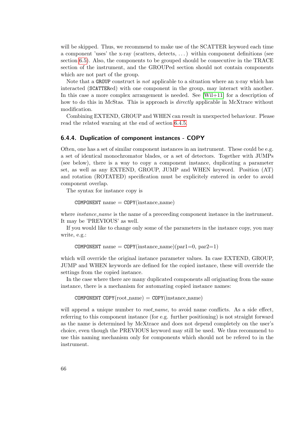will be skipped. Thus, we recommend to make use of the SCATTER keyword each time a component 'uses' the x-ray (scatters, detects, . . . ) within component definitions (see section [6.5\)](#page-68-0). Also, the components to be grouped should be consecutive in the TRACE section of the instrument, and the GROUPed section should not contain components which are not part of the group.

Note that a GROUP construct is *not* applicable to a situation where an x-ray which has interacted (SCATTERed) with one component in the group, may interact with another. In this case a more complex arrangement is needed. See [\[Wil+11\]](#page-101-0) for a description of how to do this in McStas. This is approach is *directly* applicable in McXtrace without modification.

Combining EXTEND, GROUP and WHEN can result in unexpected behaviour. Please read the related warning at the end of section [6.4.5.](#page-66-0)

#### 6.4.4. Duplication of component instances - COPY

Often, one has a set of similar component instances in an instrument. These could be e.g. a set of identical monochromator blades, or a set of detectors. Together with JUMPs (see below), there is a way to copy a component instance, duplicating a parameter set, as well as any EXTEND, GROUP, JUMP and WHEN keyword. Position (AT) and rotation (ROTATED) specification must be explicitely entered in order to avoid component overlap.

The syntax for instance copy is

 $COMPONENT$  name  $= \text{COPY}(\text{instance\_name})$ 

where *instance\_name* is the name of a preceeding component instance in the instrument. It may be 'PREVIOUS' as well.

If you would like to change only some of the parameters in the instance copy, you may write, e.g.:

COMPONENT name =  $COPY$ (instance\_name)(par1=0, par2=1)

which will override the original instance parameter values. In case EXTEND, GROUP, JUMP and WHEN keywords are defined for the copied instance, these will override the settings from the copied instance.

In the case where there are many duplicated components all originating from the same instance, there is a mechanism for automating copied instance names:

 $COMPONENT COPY(root_name) = COPY(instance_name)$ 

will append a unique number to *root\_name*, to avoid name conflicts. As a side effect, referring to this component instance (for e.g. further positioning) is not straight forward as the name is determined by McXtrace and does not depend completely on the user's choice, even though the PREVIOUS keyword may still be used. We thus recommend to use this naming mechanism only for components which should not be refered to in the instrument.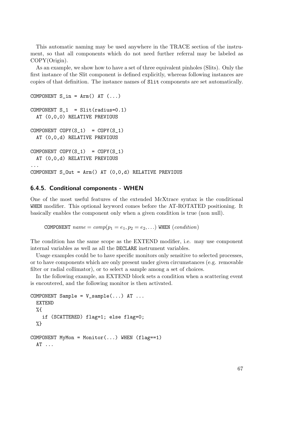This automatic naming may be used anywhere in the TRACE section of the instrument, so that all components which do not need further referral may be labeled as COPY(Origin).

As an example, we show how to have a set of three equivalent pinholes (Slits). Only the first instance of the Slit component is defined explicitly, whereas following instances are copies of that definition. The instance names of Slit components are set automatically.

```
COMPONENT S_in = Arm() AT (. . .)COMPONENT S_1 = Slit(radius=0.1)AT (0,0,0) RELATIVE PREVIOUS
COMPONENT COPY(S_1) = COPY(S_1)AT (0,0,d) RELATIVE PREVIOUS
COMPONENT COPY(S_1) = COPY(S_1)AT (0,0,d) RELATIVE PREVIOUS
...
COMPONENT S_U = Arm() AT (0,0,d) RELATIVE PREVIOUS
```
# <span id="page-66-0"></span>6.4.5. Conditional components - WHEN

One of the most useful features of the extended McXtrace syntax is the conditional WHEN modifier. This optional keyword comes before the AT-ROTATED positioning. It basically enables the component only when a given condition is true (non null).

COMPONENT  $name = comp(p_1 = e_1, p_2 = e_2, ...)$  WHEN  $(condition)$ 

The condition has the same scope as the EXTEND modifier, i.e. may use component internal variables as well as all the DECLARE instrument variables.

Usage examples could be to have specific monitors only sensitive to selected processes, or to have components which are only present under given circumstances (e.g. removable filter or radial collimator), or to select a sample among a set of choices.

In the following example, an EXTEND block sets a condition when a scattering event is encoutered, and the following monitor is then activated.

```
COMPONENT Sample = V\_sample(...) AT ...EXTEND
  %{
    if (SCATTERED) flag=1; else flag=0;
  %}
COMPONENT MyMon = Monitor(...) WHEN (flag==1)
  AT ...
```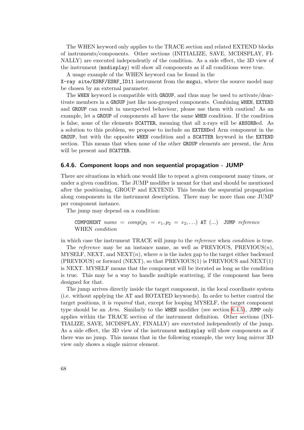The WHEN keyword only applies to the TRACE section and related EXTEND blocks of instruments/components. Other sections (INITIALIZE, SAVE, MCDISPLAY, FI-NALLY) are executed independently of the condition. As a side effect, the 3D view of the instrument (mxdisplay) will show all components as if all conditions were true.

A usage example of the WHEN keyword can be found in the X-ray site/ESRF/ESRF\_ID11 instrument from the mxgui, where the source model may be chosen by an external parameter.

The WHEN keyword is compatible with GROUP, and thus may be used to activate/deactivate members in a GROUP just like non-grouped components. Combining WHEN, EXTEND and GROUP can result in unexpected behaviour, please use them with caution! As an example, let a GROUP of components all have the same WHEN condition. If the condition is false, none of the elements SCATTER, meaning that all x-rays will be ABSORBed. As a solution to this problem, we propose to include an EXTENDed Arm component in the GROUP, but with the opposite WHEN condition and a SCATTER keyword in the EXTEND section. This means that when none of the other GROUP elements are present, the Arm will be present and SCATTER.

#### 6.4.6. Component loops and non sequential propagation - JUMP

There are situations in which one would like to repeat a given component many times, or under a given condition. The JUMP modifier is meant for that and should be mentioned after the positioning, GROUP and EXTEND. This breaks the sequential propagation along components in the instrument description. There may be more than one JUMP per component instance.

The jump may depend on a condition:

COMPONENT name =  $comp(p_1 = e_1, p_2 = e_2, ...)$  AT (...) JUMP reference WHEN condition

in which case the instrument TRACE will jump to the reference when condition is true.

The reference may be an instance name, as well as PREVIOUS,  $PREVIOUS(n)$ , MYSELF, NEXT, and  $NEXT(n)$ , where n is the index gap to the target either backward  $(PREVIOUS)$  or forward  $(NEXT)$ , so that  $PREVIOUS(1)$  is  $PREVIOUS$  and  $NEXT(1)$ is NEXT. MYSELF means that the component will be iterated as long as the condition is true. This may be a way to handle multiple scattering, if the component has been designed for that.

The jump arrives directly inside the target component, in the local coordinate system (i.e. without applying the AT and ROTATED keywords). In order to better control the target positions, it is required that, except for looping MYSELF, the target component type should be an  $Arm$ . Similarly to the WHEN modifier (see section [6.4.5\)](#page-66-0), JUMP only applies within the TRACE section of the instrument definition. Other sections (INI-TIALIZE, SAVE, MCDISPLAY, FINALLY) are exectuted independently of the jump. As a side effect, the 3D view of the instrument mxdisplay will show components as if there was no jump. This means that in the following example, the very long mirror 3D view only shows a single mirror element.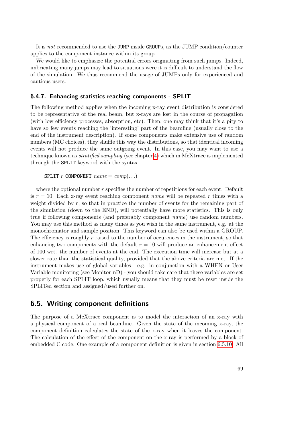It is not recommended to use the JUMP inside GROUPs, as the JUMP condition/counter applies to the component instance within its group.

We would like to emphasize the potential errors originating from such jumps. Indeed, imbricating many jumps may lead to situations were it is difficult to understand the flow of the simulation. We thus recommend the usage of JUMPs only for experienced and cautious users.

#### 6.4.7. Enhancing statistics reaching components - SPLIT

The following method applies when the incoming x-ray event distribution is considered to be representative of the real beam, but x-rays are lost in the course of propagation (with low efficiency processes, absorption, etc). Then, one may think that it's a pity to have so few events reaching the 'interesting' part of the beamline (usually close to the end of the instrument description). If some components make extensive use of random numbers (MC choices), they shuffle this way the distributions, so that identical incoming events will not produce the same outgoing event. In this case, you may want to use a technique known as stratified sampling (see chapter [4\)](#page-17-0) which in McXtrace is implemented through the SPLIT keyword with the syntax

SPLIT r COMPONENT  $name = comp(...)$ 

where the optional number  $r$  specifies the number of repetitions for each event. Default is  $r = 10$ . Each x-ray event reaching component *name* will be repeated r times with a weight divided by  $r$ , so that in practice the number of events for the remaining part of the simulation (down to the END), will potentially have more statistics. This is only true if following components (and preferably component name) use random numbers. You may use this method as many times as you wish in the same instrument, e.g. at the monochromator and sample position. This keyword can also be used within a GROUP. The efficiency is roughly  $r$  raised to the number of occurences in the instrument, so that enhancing two components with the default  $r = 10$  will produce an enhancement effect of 100 wrt. the number of events at the end. The execution time will increase but at a slower rate than the statistical quality, provided that the above criteria are met. If the instrument makes use of global variables - e.g. in conjunction with a WHEN or User Variable monitoring (see Monitor nD) - you should take care that these variables are set properly for each SPLIT loop, which usually means that they must be reset inside the SPLITed section and assigned/used further on.

# <span id="page-68-0"></span>6.5. Writing component definitions

The purpose of a McXtrace component is to model the interaction of an x-ray with a physical component of a real beamline. Given the state of the incoming x-ray, the component definition calculates the state of the x-ray when it leaves the component. The calculation of the effect of the component on the x-ray is performed by a block of embedded C code. One example of a component definition is given in section [6.5.10.](#page-78-0) All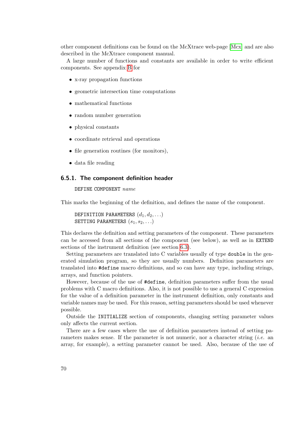other component definitions can be found on the McXtrace web-page [\[Mcx\]](#page-100-0) and are also described in the McXtrace component manual.

A large number of functions and constants are available in order to write efficient components. See appendix [B](#page-89-0) for

- x-ray propagation functions
- geometric intersection time computations
- mathematical functions
- random number generation
- physical constants
- coordinate retrieval and operations
- file generation routines (for monitors),
- data file reading

# <span id="page-69-0"></span>6.5.1. The component definition header

DEFINE COMPONENT name

This marks the beginning of the definition, and defines the name of the component.

DEFINITION PARAMETERS  $(d_1, d_2, ...)$ SETTING PARAMETERS  $(s_1, s_2, \ldots)$ 

This declares the definition and setting parameters of the component. These parameters can be accessed from all sections of the component (see below), as well as in EXTEND sections of the instrument definition (see section [6.3\)](#page-58-0).

Setting parameters are translated into C variables usually of type double in the generated simulation program, so they are usually numbers. Definition parameters are translated into #define macro definitions, and so can have any type, including strings, arrays, and function pointers.

However, because of the use of #define, definition parameters suffer from the usual problems with C macro definitions. Also, it is not possible to use a general C expression for the value of a definition parameter in the instrument definition, only constants and variable names may be used. For this reason, setting parameters should be used whenever possible.

Outside the INITIALIZE section of components, changing setting parameter values only affects the current section.

There are a few cases where the use of definition parameters instead of setting parameters makes sense. If the parameter is not numeric, nor a character string (*i.e.* an array, for example), a setting parameter cannot be used. Also, because of the use of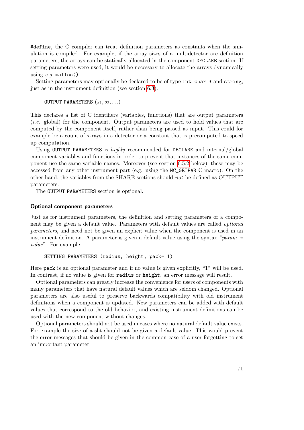#define, the C compiler can treat definition parameters as constants when the simulation is compiled. For example, if the array sizes of a multidetector are definition parameters, the arrays can be statically allocated in the component DECLARE section. If setting parameters were used, it would be necessary to allocate the arrays dynamically using  $e.g.$  malloc().

Setting parameters may optionally be declared to be of type int, char  $*$  and string, just as in the instrument definition (see section [6.3\)](#page-58-0).

OUTPUT PARAMETERS  $(s_1, s_2, \ldots)$ 

This declares a list of C identifiers (variables, functions) that are output parameters (i.e. global) for the component. Output parameters are used to hold values that are computed by the component itself, rather than being passed as input. This could for example be a count of x-rays in a detector or a constant that is precomputed to speed up computation.

Using OUTPUT PARAMETERS is *highly* recommended for DECLARE and internal/global component variables and functions in order to prevent that instances of the same component use the same variable names. Moreover (see section [6.5.2](#page-71-0) below), these may be accessed from any other instrument part (e.g. using the MC\_GETPAR C macro). On the other hand, the variables from the SHARE sections should not be defined as OUTPUT parameters.

The OUTPUT PARAMETERS section is optional.

#### Optional component parameters

Just as for instrument parameters, the definition and setting parameters of a component may be given a default value. Parameters with default values are called optional parameters, and need not be given an explicit value when the component is used in an instrument definition. A parameter is given a default value using the syntax " $param$ value". For example

```
SETTING PARAMETERS (radius, height, pack= 1)
```
Here pack is an optional parameter and if no value is given explicitly, "1" will be used. In contrast, if no value is given for radius or height, an error message will result.

Optional parameters can greatly increase the convenience for users of components with many parameters that have natural default values which are seldom changed. Optional parameters are also useful to preserve backwards compatibility with old instrument definitions when a component is updated. New parameters can be added with default values that correspond to the old behavior, and existing instrument definitions can be used with the new component without changes.

Optional parameters should not be used in cases where no natural default value exists. For example the size of a slit should not be given a default value. This would prevent the error messages that should be given in the common case of a user forgetting to set an important parameter.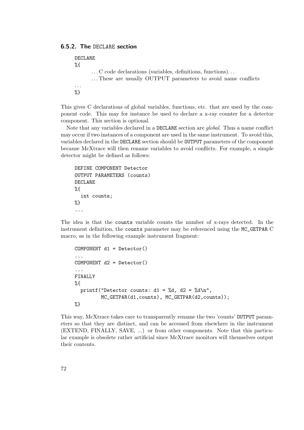# <span id="page-71-0"></span>6.5.2. The DECLARE section

```
DECLARE
%{
       . . . C code declarations (variables, definitions, functions). . .
       . . . These are usually OUTPUT parameters to avoid name conflicts
. . .
%}
```
This gives C declarations of global variables, functions, etc. that are used by the component code. This may for instance be used to declare a x-ray counter for a detector component. This section is optional.

Note that any variables declared in a DECLARE section are *global*. Thus a name conflict may occur if two instances of a component are used in the same instrument. To avoid this, variables declared in the DECLARE section should be OUTPUT parameters of the component because McXtrace will then rename variables to avoid conflicts. For example, a simple detector might be defined as follows:

```
DEFINE COMPONENT Detector
OUTPUT PARAMETERS (counts)
DECLARE
%{
  int counts;
%}
...
```
The idea is that the counts variable counts the number of x-rays detected. In the instrument definition, the counts parameter may be referenced using the MC\_GETPAR C macro, as in the following example instrument fragment:

```
COMPONENT d1 = Detector()
...
COMPONENT d2 = Detector()
...
FINALLY
%{
  printf("Detector counts: d1 = \n\% d, d2 = \frac{\% d}{n}",
          MC_GETPAR(d1,counts), MC_GETPAR(d2,counts));
%}
```
This way, McXtrace takes care to transparently rename the two 'counts' OUTPUT parameters so that they are distinct, and can be accessed from elsewhere in the instrument (EXTEND, FINALLY, SAVE, ...) or from other components. Note that this particular example is obsolete rather artificial since McXtrace monitors will themselves output their contents.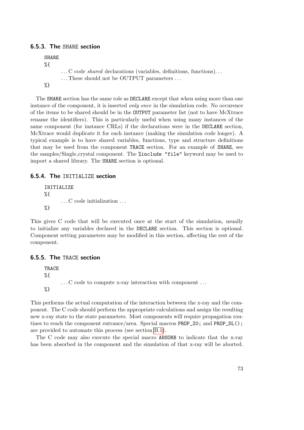### 6.5.3. The SHARE section

```
SHARE
%{
       . . . C code shared declarations (variables, definitions, functions). . .
       . . . These should not be OUTPUT parameters . . .
%}
```
The SHARE section has the same role as DECLARE except that when using more than one instance of the component, it is inserted *only once* in the simulation code. No occurence of the items to be shared should be in the OUTPUT parameter list (not to have McXtrace rename the identifiers). This is particularly useful when using many instances of the same component (for instance CRLs) if the declarations were in the DECLARE section, McXtrace would duplicate it for each instance (making the simulation code longer). A typical example is to have shared variables, functions, type and structure definitions that may be used from the component TRACE section. For an example of SHARE, see the samples/Single crystal component. The %include "file" keyword may be used to import a shared library. The SHARE section is optional.

### 6.5.4. The INITIALIZE section

```
INITIALIZE
%{
       . . . C code initialization . . .
%}
```
This gives C code that will be executed once at the start of the simulation, usually to initialize any variables declared in the DECLARE section. This section is optional. Component setting parameters may be modified in this section, affecting the rest of the component.

### 6.5.5. The TRACE section

TRACE %{ . . . C code to compute x-ray interaction with component . . . %}

This performs the actual computation of the interaction between the x-ray and the component. The C code should perform the appropriate calculations and assign the resulting new x-ray state to the state parameters. Most components will require propagation routines to reach the component entrance/area. Special macros PROP\_Z0; and PROP\_DL(); are provided to automate this process (see section [B.1\)](#page-89-0).

The C code may also execute the special macro ABSORB to indicate that the x-ray has been absorbed in the component and the simulation of that x-ray will be aborted.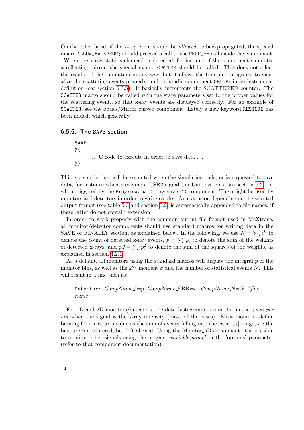On the other hand, if the x-ray event should be allowed be backpropagated, the special macro ALLOW\_BACKPROP; should preceed a call to the PROP\_\*\* call inside the component.

When the x-ray state is changed or detected, for instance if the component simulates a reflecting mirror, the special macro SCATTER should be called. This does not affect the results of the simulation in any way, but it allows the front-end programs to visualize the scattering events properly, and to handle component GROUPs in an instrument definition (see section [6.3.5\)](#page-60-0). It basically increments the SCATTERED counter. The SCATTER macro should be called with the state parameters set to the proper values for the scattering event., so that x-ray events are displayed correctly. For an example of SCATTER, see the optics/Mirror curved component. Lately a new keyword RESTORE has been added, which generally

### 6.5.6. The SAVE section

SAVE %{ . . . C code to execute in order to save data . . . %}

This gives code that will be executed when the simulation ends, or is requested to save data, for instance when receiving a USR2 signal (on Unix systems, see section [5.2\)](#page-28-0), or when triggered by the Progress\_bar(flag\_save=1) component. This might be used by monitors and detectors in order to write results. An extension depending on the selected output format (see table [5.3](#page-32-0) and section [5.2\)](#page-28-0) is automatically appended to file names, if these latter do not contain extension.

In order to work properly with the common output file format used in McXtrace, all monitor/detector components should use standard macros for writing data in the SAVE or FINALLY section, as explained below. In the following, we use  $N = \sum_i p_i^0$  to denote the count of detected x-ray events,  $p = \sum_i p_i$  to denote the sum of the weights of detected x-rays, and  $p2 = \sum_i p_i^2$  to denote the sum of the squares of the weights, as explained in section [4.2.1.](#page-19-0)

As a default, all monitors using the standard macros will display the integral  $p$  of the monitor bins, as well as the  $2^{nd}$  moment  $\sigma$  and the number of statistical events N. This will result in a line such as:

```
Detector: CompName \rightrightarrows p CompName \rightrightarrows RR= \sigma CompName \rightrightarrows P The \rightrightarrows pname"
```
For 1D and 2D monitors/detectors, the data histogram store in the files is given per bin when the signal is the x-ray intensity (most of the cases). Most monitors define binning for an  $x_n$  axis value as the sum of events falling into the  $[x_n x_{n+1}]$  range, *i.e* the bins are not centered, but left aligned. Using the Monitor nD component, it is possible to monitor other signals using the 'signal=variable\_name' in the 'options' parameter (refer to that component documentation).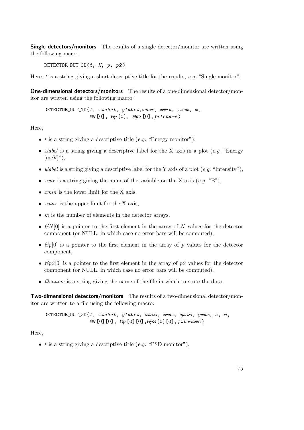**Single detectors/monitors** The results of a single detector/monitor are written using the following macro:

DETECTOR\_OUT\_OD( $t$ ,  $N$ ,  $p$ ,  $p$ 2)

Here, t is a string giving a short descriptive title for the results, e.g. "Single monitor".

One-dimensional detectors/monitors The results of a one-dimensional detector/monitor are written using the following macro:

 $DEFECTOR_$   $OUT_1D(t, xlabel, ylabel, xvar, xmin, xmax, m$ ,  $\mathcal{C}N$  [0],  $\mathcal{C}p$  [0],  $\mathcal{C}p2$  [0], filename)

Here,

- t is a string giving a descriptive title (e.g. "Energy monitor"),
- *xlabel* is a string giving a descriptive label for the X axis in a plot (*e.g.* "Energy  $[meV]$ "),
- ylabel is a string giving a descriptive label for the Y axis of a plot  $(e,q, "Intensity")$ ,
- *xvar* is a string giving the name of the variable on the X axis  $(e.g. "E").$
- $xmin$  is the lower limit for the X axis,
- $xmax$  is the upper limit for the X axis,
- $\bullet$  *m* is the number of elements in the detector arrays,
- $\mathcal{B}N[0]$  is a pointer to the first element in the array of N values for the detector component (or NULL, in which case no error bars will be computed),
- $\mathcal{E}p[0]$  is a pointer to the first element in the array of p values for the detector component,
- $\mathcal{E}_p[0]$  is a pointer to the first element in the array of p2 values for the detector component (or NULL, in which case no error bars will be computed),
- *filename* is a string giving the name of the file in which to store the data.

Two-dimensional detectors/monitors The results of a two-dimensional detector/monitor are written to a file using the following macro:

DETECTOR\_OUT\_2D( $t$ ,  $x \, label$ ,  $y \, label$ ,  $x \, min$ ,  $x \, max$ ,  $y \, min$ ,  $y \, max$ ,  $m$ ,  $n$ ,  $\mathcal{E}N$ [0][0],  $\mathcal{E}p$ [0][0], $\mathcal{E}p$ 2[0][0], filename)

Here,

•  $t$  is a string giving a descriptive title (e.g. "PSD monitor"),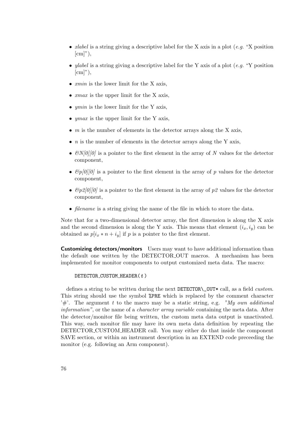- *xlabel* is a string giving a descriptive label for the X axis in a plot (*e.g.* "X position  $[cm]$ "),
- ylabel is a string giving a descriptive label for the Y axis of a plot (e.g. "Y position  $[cm]$ "),
- *xmin* is the lower limit for the X axis,
- *xmax* is the upper limit for the X axis,
- $ymin$  is the lower limit for the Y axis,
- $ymax$  is the upper limit for the Y axis,
- $\bullet$  *m* is the number of elements in the detector arrays along the X axis,
- $n$  is the number of elements in the detector arrays along the Y axis,
- $\mathcal{B}N[0]/0$  is a pointer to the first element in the array of N values for the detector component,
- $\mathcal{E}_{p}[0]/[0]$  is a pointer to the first element in the array of p values for the detector component,
- $\mathcal{E}_p[\mathcal{D}]/[\mathcal{O}]$  is a pointer to the first element in the array of p2 values for the detector component,
- *filename* is a string giving the name of the file in which to store the data.

Note that for a two-dimensional detector array, the first dimension is along the X axis and the second dimension is along the Y axis. This means that element  $(i_x, i_y)$  can be obtained as  $p[i_x * n + i_y]$  if p is a pointer to the first element.

**Customizing detectors/monitors** Users may want to have additional information than the default one written by the DETECTOR OUT macros. A mechanism has been implemented for monitor components to output customized meta data. The macro:

#### DETECTOR\_CUSTOM\_HEADER(t)

defines a string to be written during the next DETECTOR\\_OUT\* call, as a field custom. This string should use the symbol %PRE which is replaced by the comment character  $\mathcal{H}$ . The argument t to the macro may be a static string, e.g. "My own additional" information", or the name of a *character array variable* containing the meta data. After the detector/monitor file being written, the custom meta data output is unactivated. This way, each monitor file may have its own meta data definition by repeating the DETECTOR CUSTOM HEADER call. You may either do that inside the component SAVE section, or within an instrument description in an EXTEND code preceeding the monitor (e.g. following an Arm component).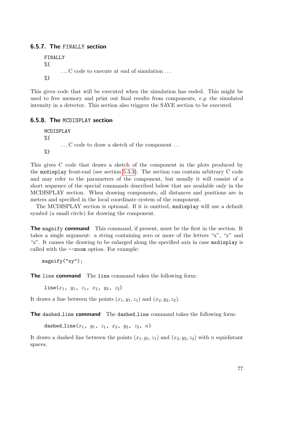### 6.5.7. The FINALLY section

```
FINALLY
%{
       . . . C code to execute at end of simulation . . .
%}
```
This gives code that will be executed when the simulation has ended. This might be used to free memory and print out final results from components, e.g. the simulated intensity in a detector. This section also triggers the SAVE section to be executed.

### 6.5.8. The MCDISPLAY section

MCDISPLAY  $\%$ . . . C code to draw a sketch of the component . . . %}

This gives C code that draws a sketch of the component in the plots produced by the mxdisplay front-end (see section [5.3.3\)](#page-42-0). The section can contain arbitrary C code and may refer to the parameters of the component, but usually it will consist of a short sequence of the special commands described below that are available only in the MCDISPLAY section. When drawing components, all distances and positions are in meters and specified in the local coordinate system of the component.

The MCDISPLAY section is optional. If it is omitted, mxdisplay will use a default symbol (a small circle) for drawing the component.

The magnify command This command, if present, must be the first in the section. It takes a single argument: a string containing zero or more of the letters "x", "y" and "z". It causes the drawing to be enlarged along the specified axis in case mxdisplay is called with the --zoom option. For example:

magnify("xy");

The line command The line command takes the following form:

 $line(x_1, y_1, z_1, x_2, y_2, z_2)$ 

It draws a line between the points  $(x_1, y_1, z_1)$  and  $(x_2, y_2, z_2)$ .

The dashed line command The dashed line command takes the following form:

dashed\_line $(x_1, y_1, z_1, x_2, y_2, z_2, n)$ 

It draws a dashed line between the points  $(x_1, y_1, z_1)$  and  $(x_2, y_2, z_2)$  with n equidistant spaces.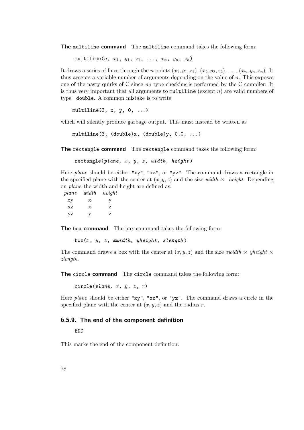The multiline command The multiline command takes the following form:

multiline $(n, x_1, y_1, z_1, \ldots, x_n, y_n, z_n)$ 

It draws a series of lines through the n points  $(x_1, y_1, z_1)$ ,  $(x_2, y_2, z_2)$ , ...,  $(x_n, y_n, z_n)$ . It thus accepts a variable number of arguments depending on the value of  $n$ . This exposes one of the nasty quirks of C since no type checking is performed by the C compiler. It is thus very important that all arguments to multiline (except  $n$ ) are valid numbers of type double. A common mistake is to write

multiline $(3, x, y, 0, ...)$ 

which will silently produce garbage output. This must instead be written as

```
multiline(3, (double)x, (double)y, 0.0, ...)
```
The rectangle command The rectangle command takes the following form:

 $rectangle(plane, x, y, z, width, height)$ 

Here *plane* should be either "xy", "xz", or "yz". The command draws a rectangle in the specified plane with the center at  $(x, y, z)$  and the size width  $\times$  height. Depending on plane the width and height are defined as:

plane width height

xy x y  $\mathbf{XZ} \qquad \qquad \mathbf{X} \qquad \qquad \mathbf{Z}$ yz y z

The box command The box command takes the following form:

 $box(x, y, z, xwidth, yheight, zlength)$ 

The command draws a box with the center at  $(x, y, z)$  and the size *xwidth*  $\times$  *yheight*  $\times$ zlength.

The circle command The circle command takes the following form:

circle(plane,  $x, y, z, r$ )

Here *plane* should be either "xy", "xz", or "yz". The command draws a circle in the specified plane with the center at  $(x, y, z)$  and the radius r.

### 6.5.9. The end of the component definition

END

This marks the end of the component definition.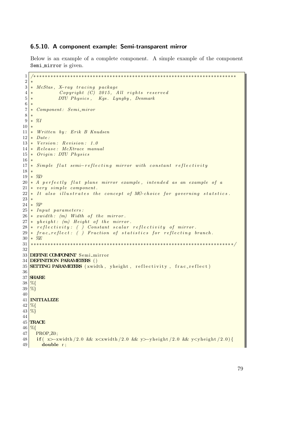### 6.5.10. A component example: Semi-transparent mirror

Below is an example of a complete component. A simple example of the component Semi mirror is given.

```
1 /∗ ∗∗∗∗∗∗∗∗∗∗∗∗∗∗∗∗∗∗∗∗∗∗∗∗∗∗∗∗∗∗∗∗∗∗∗∗∗∗∗∗∗∗∗∗∗∗∗∗∗∗∗∗∗∗∗∗∗∗∗∗∗∗∗∗∗∗∗∗∗∗∗
 2 ∗
 3 ∗ McStas, X-ray tracing package
 4 \times \text{Copyright} (C) 2015, All rights reserved
 5 \times \text{DTU Physics}, \quad \text{Kgs. Lyngby}, \quad \text{Denmark}\frac{6}{7}* Component: Semi_miror
 8 ∗
 9 \times \%I10 ∗
11 \times Written by: Erik B Knudsen
12 \times Date13 \times Version: Revision: 1.014 \times Release: McXtrace manual
15 \times Origin: DTU\ Physics16 ∗
17 * Simple flat semi-reflecting mirror with constant reflectivity
18 ∗
19 \times \%D20 * A perfectly flat plane mirror example, intended as an example of a
21 * very simple component.
22 \times It also illustrates the concept of MC-choice for governing statstics.
23 ∗
24 \times %25 \times Input \ parameters:
26 \left| * \; xwidth : \; (m) \; Width \; of \; the \; mirror.27 \times y \cdot height: (m) Height of the mirror.
28 \times \text{reflectivity}: ( ) Constant scalar reflectivity of mirror.
29 \times \frac{1}{29} frac_reflect: () Fraction of statistics for reflecting branch.
30 * \%E31 ∗∗∗∗∗∗∗∗∗∗∗∗∗∗∗∗∗∗∗∗∗∗∗∗∗∗∗∗∗∗∗∗∗∗∗∗∗∗∗∗∗∗∗∗∗∗∗∗∗∗∗∗∗∗∗∗∗∗∗∗∗∗∗∗∗∗∗∗∗∗∗ ∗/
32
33 DEFINE COMPONENT Semi_mirror
34 DEFINITION PARAMETERS ( )
35 SETTING PARAMETERS (xwidth, yheight, reflectivity, frac_reflect)
36
37 SHARE
38 %{
39 \, \cancel{ \%}40
41 INITIALIZE
42 \, \frac{\%}{66}43 %}
44
45 TRACE
46 \frac{9}{6}47 PROP 20;
48 if (x\rightarrow xw) it \left( x\right) and \left( x\right) and \left( x\right) and \left( x\right) and \left( x\right) and \left( x\right) and \left( x\right) and \left( x\right) and \left( x\right) and \left( x\right) and \left( x\right) and \left( x\right) and \left( x\right) and \left( x\right) and \left( x\right49 double r;
```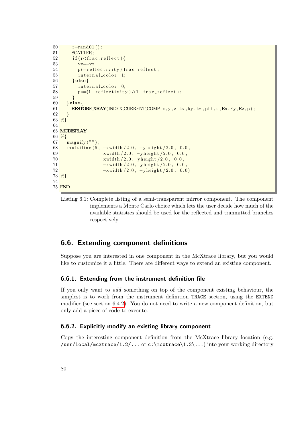```
50 r=rand01();
51 SCATTER;
52 if (r < r < r e^{-re\theta}53 vz=–vz;
54 p<sup>*</sup>= reflectivity / frac_reflect;
55 internal_color=1;
56 } else {
57 internal_color=0;
58 p*=(1 - \text{reflectivity})/(1 - \text{frac\_reflect});
59 }
60 } else {
61 RESTORE XRAY (INDEX CURRENT COMP, x, y, z, kx, ky, kz, phi, t, Ex, Ey, Ez, p);
62 }
63 %}
64
65 MCDISPLAY
66 %{
67 \mid \text{  magnify } (\text{''}) ;
68 \, \text{multiline} (5, -x \text{width} / 2.0, -y \text{height} / 2.0, 0.0,69 xwidth / 2.0, -yheight / 2.0, 0.0,70 xwidth /2.0, yheight /2.0, 0.0,
71 -xwidth/2.0, yheight/2.0, 0.0,72 \vert -xwidth /2.0, -yheight /2.0, 0.0 ;
73 %}
74
75 END
```
Listing 6.1: Complete listing of a semi-transparent mirror component. The component implements a Monte Carlo choice which lets the user decide how much of the available statistics should be used for the reflected and tranmitted branches respectively.

## 6.6. Extending component definitions

Suppose you are interested in one component in the McXtrace library, but you would like to customize it a little. There are different ways to extend an existing component.

### 6.6.1. Extending from the instrument definition file

If you only want to add something on top of the component existing behaviour, the simplest is to work from the instrument definition TRACE section, using the EXTEND modifier (see section [6.4.2\)](#page-63-0). You do not need to write a new component definition, but only add a piece of code to execute.

### 6.6.2. Explicitly modify an existing library component

Copy the interesting component definition from the McXtrace library location (e.g.  $\text{user}/\text{local}/\text{mc}$ xtrace $\text{1.2}/\ldots$  or c:\mcxtrace\1.2\...) into your working directory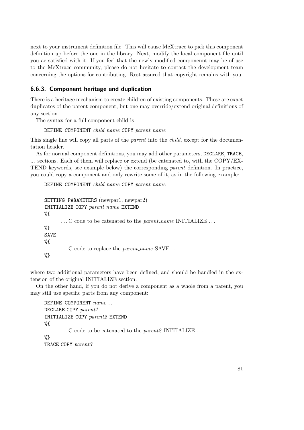next to your instrument definition file. This will cause McXtrace to pick this component definition up before the one in the library. Next, modify the local component file until you ae satisfied with it. If you feel that the newly modified componennt may be of use to the McXtrace community, please do not hesitate to contact the development team concerning the options for contributing. Rest assured that copyright remains with you.

### 6.6.3. Component heritage and duplication

There is a heritage mechanism to create children of existing components. These are exact duplicates of the parent component, but one may override/extend original definitions of any section.

The syntax for a full component child is

### DEFINE COMPONENT  $child_name$  COPY parent\_name

This single line will copy all parts of the *parent* into the *child*, except for the documentation header.

As for normal component definitions, you may add other parameters, DECLARE, TRACE, ... sections. Each of them will replace or extend (be catenated to, with the COPY/EX-TEND keywords, see example below) the corresponding parent definition. In practice, you could copy a component and only rewrite some of it, as in the following example:

DEFINE COMPONENT child\_name COPY parent\_name

```
SETTING PARAMETERS (newpar1, newpar2)
INITIALIZE COPY parent_name EXTEND
%{
      ...C code to be catenated to the parent_name INITIALIZE ...
%}
SAVE
%{
      ...C code to replace the parent_name SAVE ...
%}
```
where two additional parameters have been defined, and should be handled in the extension of the original INITIALIZE section.

On the other hand, if you do not derive a component as a whole from a parent, you may still use specific parts from any component:

```
DEFINE COMPONENT name \dotsDECLARE COPY parent1
INITIALIZE COPY parent2 EXTEND
%{
      ...C code to be catenated to the parent2 INITIALIZE...
%}
TRACE COPY parent3
```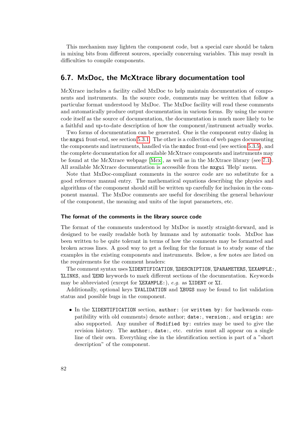<span id="page-81-0"></span>This mechanism may lighten the component code, but a special care should be taken in mixing bits from different sources, specially concerning variables. This may result in difficulties to compile components.

### 6.7. MxDoc, the McXtrace library documentation tool

McXtrace includes a facility called MxDoc to help maintain documentation of components and instruments. In the source code, comments may be written that follow a particular format understood by MxDoc. The MxDoc facility will read these comments and automatically produce output documentation in various forms. By using the source code itself as the source of documentation, the documentation is much more likely to be a faithful and up-to-date description of how the component/instrument actually works.

Two forms of documentation can be generated. One is the component entry dialog in the mxgui front-end, see section [5.3.1.](#page-35-0) The other is a collection of web pages documenting the components and instruments, handled via the mxdoc front-end (see section [5.3.5\)](#page-45-0), and the complete documentation for all available McXtrace components and instruments may be found at the McXtrace webpage [\[Mcx\]](#page-100-0), as well as in the McXtrace library (see [7.1\)](#page-83-0). All available McXtrace documentation is accessible from the mxgui 'Help' menu.

Note that MxDoc-compliant comments in the source code are no substitute for a good reference manual entry. The mathematical equations describing the physics and algorithms of the component should still be written up carefully for inclusion in the component manual. The MxDoc comments are useful for describing the general behaviour of the component, the meaning and units of the input parameters, etc.

#### The format of the comments in the library source code

The format of the comments understood by MxDoc is mostly straight-forward, and is designed to be easily readable both by humans and by automatic tools. MxDoc has been written to be quite tolerant in terms of how the comments may be formatted and broken across lines. A good way to get a feeling for the format is to study some of the examples in the existing components and instruments. Below, a few notes are listed on the requirements for the comment headers:

The comment syntax uses %IDENTIFICATION, %DESCRIPTION, %PARAMETERS, %EXAMPLE:, %LINKS, and %END keywords to mark different sections of the documentation. Keywords may be abbreviated (except for *\**EXAMPLE:), e.g. as \*IDENT or \*I.

Additionally, optional keys %VALIDATION and %BUGS may be found to list validation status and possible bugs in the component.

• In the %IDENTIFICATION section, author: (or written by: for backwards compatibility with old comments) denote author; date:, version:, and origin: are also supported. Any number of Modified by: entries may be used to give the revision history. The author:, date:, etc. entries must all appear on a single line of their own. Everything else in the identification section is part of a "short description" of the component.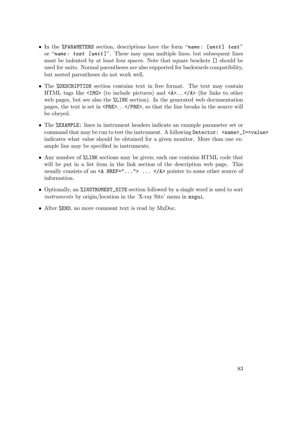- In the %PARAMETERS section, descriptions have the form "name: [unit] text" or "name: text [unit]". These may span multiple lines, but subsequent lines must be indented by at least four spaces. Note that square brackets [] should be used for units. Normal parentheses are also supported for backwards compatibility, but nested parentheses do not work well.
- The %DESCRIPTION section contains text in free format. The text may contain HTML tags like  $\langle M, \mathcal{L}\rangle$  (to include pictures) and  $\langle A, \mathcal{L}\rangle$ .  $\langle A \rangle$  (for links to other web pages, but see also the  $\frac{0}{2}$ LINK section). In the generated web documentation pages, the text is set in <PRE>. . . </PRE>, so that the line breaks in the source will be obeyed.
- The %EXAMPLE: lines in instrument headers indicate an example parameter set or command that may be run to test the instrument. A following Detector:  $\langle name \rangle_I = \langle value \rangle$ indicates what value should be obtained for a given monitor. More than one example line may be specified in instruments.
- Any number of %LINK sections may be given; each one contains HTML code that will be put in a list item in the link section of the description web page. This usually consists of an  $\leq A$  HREF="..."> ...  $\leq$ /A> pointer to some other source of information.
- Optionally, an %INSTRUMENT\_SITE section followed by a single word is used to sort instruments by origin/location in the 'X-ray Site' menu in mxgui.
- After *%END*, no more comment text is read by MxDoc.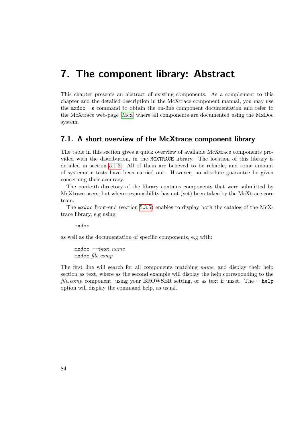## <span id="page-83-1"></span>7. The component library: Abstract

This chapter presents an abstract of existing components. As a complement to this chapter and the detailed description in the McXtrace component manual, you may use the mxdoc -s command to obtain the on-line component documentation and refer to the McXtrace web-page [\[Mcx\]](#page-100-0) where all components are documented using the MxDoc system.

### <span id="page-83-0"></span>7.1. A short overview of the McXtrace component library

The table in this section gives a quick overview of available McXtrace components provided with the distribution, in the MCXTRACE library. The location of this library is detailed in section [5.1.2.](#page-26-0) All of them are believed to be reliable, and some amount of systematic tests have been carried out. However, no absolute guarantee be given concerning their accuracy.

The contrib directory of the library contains components that were submitted by McXtrace users, but where responsibility has not (yet) been taken by the McXtrace core team.

The mxdoc front-end (section [5.3.5\)](#page-45-0) enables to display both the catalog of the McXtrace library, e.g using:

mxdoc

as well as the documentation of specific components, e.g with:

mxdoc --text name mxdoc file.comp

The first line will search for all components matching name, and display their help section as text, where as the second example will display the help corresponding to the file.comp component, using your BROWSER setting, or as text if unset. The  $-\text{help}$ option will display the command help, as usual.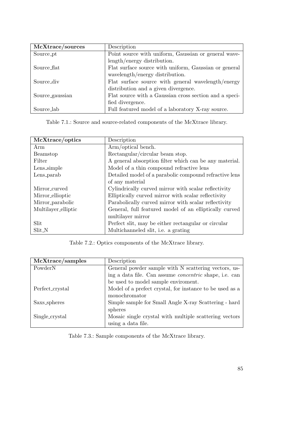| McXtrace/sources      | Description                                            |  |
|-----------------------|--------------------------------------------------------|--|
| Source <sub>-pt</sub> | Point source with uniform, Gaussian or general wave-   |  |
|                       | length/energy distribution.                            |  |
| Source_flat           | Flat surface source with uniform, Gaussian or general  |  |
|                       | wavelength/energy distribution.                        |  |
| Source_div            | Flat surface source with general wavelength/energy     |  |
|                       | distribution and a given divergence.                   |  |
| Source_gaussian       | Flat source with a Gaussian cross section and a speci- |  |
|                       | fied divergence.                                       |  |
| Source_lab            | Full featured model of a laboratory X-ray source.      |  |

Table 7.1.: Source and source-related components of the McXtrace library.

| McXtrace/optics     | Description                                            |  |
|---------------------|--------------------------------------------------------|--|
| Arm                 | Arm/optical bench.                                     |  |
| Beamstop            | Rectangular/circular beam stop.                        |  |
| Filter              | A general absorption filter which can be any material. |  |
| Lens_simple         | Model of a thin compound refractive lens               |  |
| Lens_parab          | Detailed model of a parabolic compound refractive lens |  |
|                     | of any material                                        |  |
| Mirror_curved       | Cylindrically curved mirror with scalar reflectivity   |  |
| Mirror_ellioptic    | Elliptically curved mirror with scalar reflectivity    |  |
| Mirror_parabolic    | Parabolically curved mirror with scalar reflectivity   |  |
| Multilayer_elliptic | General, full featured model of an elliptically curved |  |
|                     | multilayer mirror                                      |  |
| Slit                | Perfect slit, may be either rectangular or circular    |  |
| Slit_N              | Multichanneled slit, <i>i.e.</i> a grating             |  |

Table 7.2.: Optics components of the McXtrace library.

| McXtrace/samples | Description                                                   |  |
|------------------|---------------------------------------------------------------|--|
| PowderN          | General powder sample with N scattering vectors, us-          |  |
|                  | ing a data file. Can assume <i>concentric</i> shape, i.e. can |  |
|                  | be used to model sample enviroment.                           |  |
| Perfect_crystal  | Model of a prefect crystal, for instance to be used as a      |  |
|                  | monochromator                                                 |  |
| Saxs_spheres     | Simple sample for Small Angle X-ray Scattering - hard         |  |
|                  | spheres                                                       |  |
| Single_crystal   | Mosaic single crystal with multiple scattering vectors        |  |
|                  | using a data file.                                            |  |

Table 7.3.: Sample components of the McXtrace library.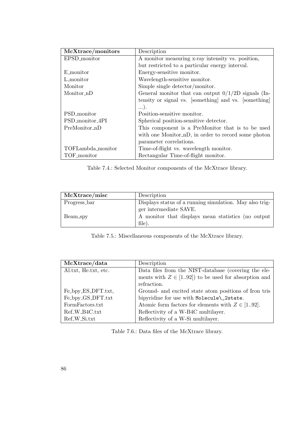| McXtrace/monitors | Description                                           |  |  |
|-------------------|-------------------------------------------------------|--|--|
| EPSD_monitor      | A monitor measuring x-ray intensity vs. position,     |  |  |
|                   | but restricted to a particular energy interval.       |  |  |
| E_monitor         | Energy-sensitive monitor.                             |  |  |
| L_monitor         | Wavelength-sensitive monitor.                         |  |  |
| Monitor           | Simple single detector/monitor.                       |  |  |
| Monitor nD        | General monitor that can output $0/1/2D$ signals (In- |  |  |
|                   | tensity or signal vs. [something] and vs. [something] |  |  |
|                   | $\ldots$ ).                                           |  |  |
| PSD_monitor       | Position-sensitive monitor.                           |  |  |
| PSD_monitor_4PI   | Spherical position-sensitive detector.                |  |  |
| PreMonitor_nD     | This component is a PreMonitor that is to be used     |  |  |
|                   | with one Monitor_nD, in order to record some photon   |  |  |
|                   | parameter correlations.                               |  |  |
| TOFLambda_monitor | Time-of-flight vs. wavelength monitor.                |  |  |
| TOF_monitor       | Rectangular Time-of-flight monitor.                   |  |  |

Table 7.4.: Selected Monitor components of the McXtrace library.

| McXtrace/misc | Description                                                                            |  |
|---------------|----------------------------------------------------------------------------------------|--|
| Progress_bar  | Displays status of a running simulation. May also trig-                                |  |
| Beam_spy      | ger intermediate SAVE.<br>A monitor that displays mean statistics (no output<br>file). |  |

Table 7.5.: Miscellaneous components of the McXtrace library.

| McXtrace/data             | Description                                            |  |
|---------------------------|--------------------------------------------------------|--|
| Al.txt, He.txt, etc.      | Data files from the NIST-database (covering the ele-   |  |
|                           | ments with $Z \in [192]$ to be used for absorption and |  |
|                           | refraction.                                            |  |
| Fe_bpy_ES_DFT.txt,        | Ground- and excited state atom positions of Iron tris  |  |
| Fe_bpy_GS_DFT.txt         | bipyridine for use with Molecule\_2state.              |  |
| FormFactors.txt           | Atomic form factors for elements with $Z \in [192]$ .  |  |
| Ref <sub>-W-B4C.txt</sub> | Reflectivity of a W-B4C multilayer.                    |  |
| Ref <sub>-W-Sitxt</sub>   | Reflectivity of a W-Si multilayer.                     |  |

<span id="page-85-0"></span>Table 7.6.: Data files of the McXtrace library.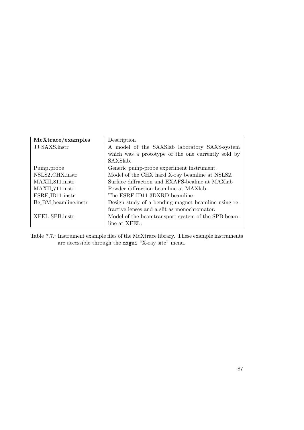| McXtrace/examples           | Description                                         |  |  |
|-----------------------------|-----------------------------------------------------|--|--|
| JJ_SAXS.instr               | A model of the SAXS ab laboratory SAXS-system       |  |  |
|                             | which was a prototype of the one currently sold by  |  |  |
|                             | SAXSlab.                                            |  |  |
| Pump_probe                  | Generic pump-probe experiment instrument.           |  |  |
| NSLS2_CHX.instr             | Model of the CHX hard X-ray beamline at NSLS2.      |  |  |
| MAXIL <sub>811</sub> .instr | Surface diffraction and EXAFS-bealine at MAXlab     |  |  |
| MAXIL711.instr              | Powder diffraction beamline at MAXlab.              |  |  |
| ESRF_ID11.instr             | The ESRF ID11 3DXRD beamline.                       |  |  |
| Be BM beamline instr        | Design study of a bending magnet beamline using re- |  |  |
|                             | fractive lenses and a slit as monochromator.        |  |  |
| XFEL SPB.instr              | Model of the beamtransport system of the SPB beam-  |  |  |
|                             | line at XFEL.                                       |  |  |

Table 7.7.: Instrument example files of the McXtrace library. These example instruments are accessible through the mxgui "X-ray site" menu.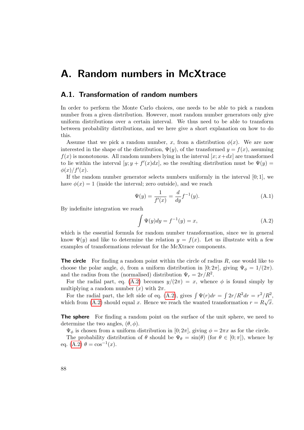## A. Random numbers in McXtrace

### A.1. Transformation of random numbers

In order to perform the Monte Carlo choices, one needs to be able to pick a random number from a given distribution. However, most random number generators only give uniform distributions over a certain interval. We thus need to be able to transform between probability distributions, and we here give a short explanation on how to do this.

Assume that we pick a random number, x, from a distribution  $\phi(x)$ . We are now interested in the shape of the distribution,  $\Psi(y)$ , of the transformed  $y = f(x)$ , assuming  $f(x)$  is monotonous. All random numbers lying in the interval  $[x; x+dx]$  are transformed to lie within the interval  $[y; y + f'(x)dx]$ , so the resulting distribution must be  $\Psi(y)$  $\phi(x)/f'(x)$ .

If the random number generator selects numbers uniformly in the interval  $[0; 1]$ , we have  $\phi(x) = 1$  (inside the interval; zero outside), and we reach

$$
\Psi(y) = \frac{1}{f'(x)} = \frac{d}{dy} f^{-1}(y).
$$
\n(A.1)

By indefinite integration we reach

<span id="page-87-0"></span>
$$
\int \Psi(y)dy = f^{-1}(y) = x,\tag{A.2}
$$

which is the essential formula for random number transformation, since we in general know  $\Psi(y)$  and like to determine the relation  $y = f(x)$ . Let us illustrate with a few examples of transformations relevant for the McXtrace components.

**The circle** For finding a random point within the circle of radius  $R$ , one would like to choose the polar angle,  $\phi$ , from a uniform distribution in [0; 2π], giving  $\Psi_{\phi} = 1/(2\pi)$ . and the radius from the (normalised) distribution  $\Psi_r = 2r/R^2$ .

For the radial part, eq. [\(A.2\)](#page-87-0) becomes  $y/(2\pi) = x$ , whence  $\phi$  is found simply by multiplying a random number  $(x)$  with  $2\pi$ .

For the radial part, the left side of eq. [\(A.2\)](#page-87-0), gives  $\int \Psi(r)dr = \int \frac{2r}{R^2}dr = r^2/R^2$ which from [\(A.2\)](#page-87-0) should equal x. Hence we reach the wanted transformation  $r = R\sqrt{x}$ .

The sphere For finding a random point on the surface of the unit sphere, we need to determine the two angles,  $(\theta, \phi)$ .

 $\Psi_{\phi}$  is chosen from a uniform distribution in  $[0; 2\pi]$ , giving  $\phi = 2\pi x$  as for the circle.

The probability distribution of  $\theta$  should be  $\Psi_{\theta} = \sin(\theta)$  (for  $\theta \in [0, \pi]$ ), whence by eq. [\(A.2\)](#page-87-0)  $\theta = \cos^{-1}(x)$ .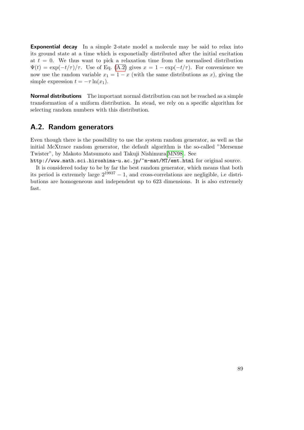<span id="page-88-0"></span>Exponential decay In a simple 2-state model a molecule may be said to relax into its ground state at a time which is exponetially distributed after the initial excitation at  $t = 0$ . We thus want to pick a relaxation time from the normalised distribution  $\Psi(t) = \exp(-t/\tau)/\tau$ . Use of Eq. [\(A.2\)](#page-87-0) gives  $x = 1 - \exp(-t/\tau)$ . For convenience we now use the random variable  $x_1 = 1 - x$  (with the same distributions as x), giving the simple expression  $t = -\tau \ln(x_1)$ .

**Normal distributions** The important normal distribution can not be reached as a simple transformation of a uniform distribution. In stead, we rely on a specific algorithm for selecting random numbers with this distribution.

## A.2. Random generators

fast.

Even though there is the possibility to use the system random generator, as well as the initial McXtrace random generator, the default algorithm is the so-called "Mersenne Twister", by Makoto Matsumoto and Takuji Nishimura[\[MN98\]](#page-100-1). See

http://www.math.sci.hiroshima-u.ac.jp/~m-mat/MT/emt.html for original source. It is considered today to be by far the best random generator, which means that both its period is extremely large  $2^{19937} - 1$ , and cross-correlations are negligible, i.e distributions are homogeneous and independent up to 623 dimensions. It is also extremely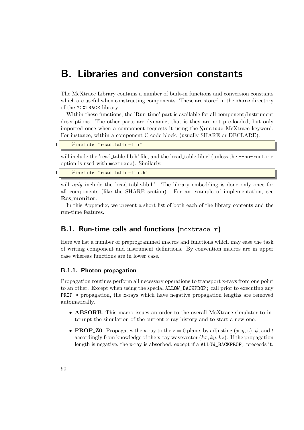## B. Libraries and conversion constants

The McXtrace Library contains a number of built-in functions and conversion constants which are useful when constructing components. These are stored in the share directory of the MCXTRACE library.

Within these functions, the 'Run-time' part is available for all component/instrument descriptions. The other parts are dynamic, that is they are not pre-loaded, but only imported once when a component requests it using the %include McXtrace keyword. For instance, within a component C code block, (usually SHARE or DECLARE):

| 1 <sub>1</sub> |  | "Minclude" read_table-lib" |
|----------------|--|----------------------------|
|----------------|--|----------------------------|

will include the 'read\_table-lib.h' file, and the 'read\_table-lib.c' (unless the  $\text{-no-multime}$ option is used with mcxtrace). Similarly,

```
%include "read_table-lib.h"
```
will *only* include the 'read\_table-lib.h'. The library embedding is done only once for all components (like the SHARE section). For an example of implementation, see Res monitor.

In this Appendix, we present a short list of both each of the library contents and the run-time features.

## <span id="page-89-0"></span>B.1. Run-time calls and functions (mcxtrace-r)

Here we list a number of preprogrammed macros and functions which may ease the task of writing component and instrument definitions. By convention macros are in upper case whereas functions are in lower case.

### B.1.1. Photon propagation

Propagation routines perform all necessary operations to transport x-rays from one point to an other. Except when using the special ALLOW\_BACKPROP; call prior to executing any PROP\_\* propagation, the x-rays which have negative propagation lengths are removed automatically.

- ABSORB. This macro issues an order to the overall McXtrace simulator to interrupt the simulation of the current x-ray history and to start a new one.
- **PROP\_Z0**. Propagates the x-ray to the  $z = 0$  plane, by adjusting  $(x, y, z)$ ,  $\phi$ , and t accordingly from knowledge of the x-ray wavevector  $(kx, ky, kz)$ . If the propagation length is negative, the x-ray is absorbed, except if a ALLOW\_BACKPROP; preceeds it.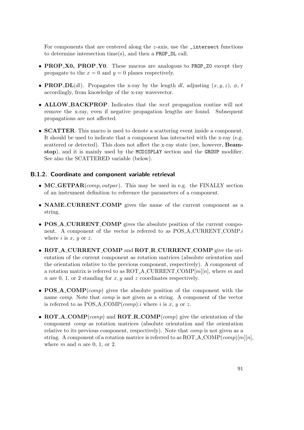For components that are centered along the  $z$ -axis, use the  $\Box$ intersect functions to determine intersection time(s), and then a PROP\_DL call.

- **PROP X0, PROP Y0.** These macros are analogous to **PROP** Z0 except they propagate to the  $x = 0$  and  $y = 0$  planes respectively.
- **PROP\_DL**(dl). Propagates the x-ray by the length dl, adjusting  $(x, y, z)$ ,  $\phi$ , t accordingly, from knowledge of the x-ray wavevector.
- ALLOW BACKPROP. Indicates that the *next* propagation routine will not remove the x-ray, even if negative propagation lengths are found. Subsequent propagations are not affected.
- SCATTER. This macro is used to denote a scattering event inside a component. It should be used to indicate that a component has interacted with the x-ray (e.g. scattered or detected). This does not affect the x-ray state (see, however, Beamstop), and it is mainly used by the MCDISPLAY section and the GROUP modifier. See also the SCATTERED variable (below).

### B.1.2. Coordinate and component variable retrieval

- MC\_GETPAR $(comp, output par)$ . This may be used in e.g. the FINALLY section of an instrument definition to reference the parameters of a component.
- NAME\_CURRENT\_COMP gives the name of the current component as a string.
- POS\_A\_CURRENT\_COMP gives the absolute position of the current component. A component of the vector is referred to as POS\_A\_CURRENT\_COMP.i where  $i$  is  $x, y$  or  $z$ .
- ROT\_A\_CURRENT\_COMP and ROT\_R\_CURRENT\_COMP give the orientation of the current component as rotation matrices (absolute orientation and the orientation relative to the previous component, respectively). A component of a rotation matrix is referred to as ROT\_A\_CURRENT\_COMP $[m][n]$ , where m and n are 0, 1, or 2 standing for  $x, y$  and z coordinates respectively.
- **POS\_A\_COMP** $(comp)$  gives the absolute position of the component with the name *comp*. Note that *comp* is not given as a string. A component of the vector is referred to as POS\_A\_COMP( $comp$ ).*i* where *i* is *x*, *y* or *z*.
- ROT\_A\_COMP(comp) and ROT\_R\_COMP(comp) give the orientation of the component comp as rotation matrices (absolute orientation and the orientation relative to its previous component, respectively). Note that comp is not given as a string. A component of a rotation matrice is referred to as  $ROT.A$ -COMP $(comp)[m][n]$ , where  $m$  and  $n$  are 0, 1, or 2.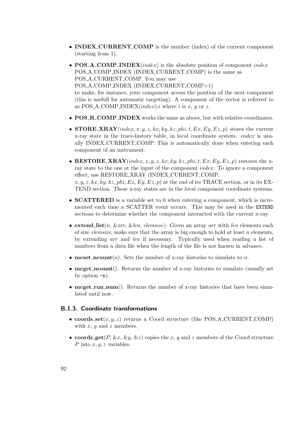- **INDEX\_CURRENT\_COMP** is the number (index) of the current component (starting from 1).
- POS\_A\_COMP\_INDEX(index) is the absolute position of component index. POS A COMP INDEX (INDEX CURRENT COMP) is the same as POS A CURRENT COMP. You may use POS A COMP INDEX (INDEX CURRENT COMP+1) to make, for instance, your component access the position of the next component (this is usefull for automatic targeting). A component of the vector is referred to as POS\_A\_COMP\_INDEX $(index).i$  where i is x, y or z.
- POS\_R\_COMP\_INDEX works the same as above, but with relative coordinates.
- STORE\_XRAY(index, x, y, z, kx, ky, kz, phi, t, Ex, Ey, Ez, p) stores the current x-ray state in the trace-history table, in local coordinate system. index is usually INDEX CURRENT COMP. This is automatically done when entering each component of an instrument.
- RESTORE XRAY(index, x, y, z, kx, ky, kz, phi, t, Ex, Ey, Ez, p) restores the xray state to the one at the input of the component index. To ignore a component effect, use RESTORE XRAY (INDEX CURRENT COMP,  $x, y, z, kx, ky, kz, phi, Ex, Ey, Ez, p$  at the end of its TRACE section, or in its EX-TEND section. These x-ray states are in the local component coordinate systems.
- **SCATTERED** is a variable set to 0 when entering a component, which is incremented each time a SCATTER event occurs. This may be used in the EXTEND sections to determine whether the component interacted with the current x-ray.
- extend  $list(n, \& arr, \& len, \text{ elements})$ . Given an array arr with len elements each of size *elemsize*, make sure that the array is big enough to hold at least  $n$  elements, by extending arr and len if necessary. Typically used when reading a list of numbers from a data file when the length of the file is not known in advance.
- mcset\_ncount $(n)$ . Sets the number of x-ray histories to simulate to n.
- mcget\_ncount(). Returns the number of x-ray histories to simulate (usually set by option  $-n$ ).
- mcget\_run\_num(). Returns the number of x-ray histories that have been simulated until now.

#### B.1.3. Coordinate transformations

- coords  $set(x, y, z)$  returns a Coord structure (like POS\_A\_CURRENT\_COMP) with  $x, y$  and  $z$  members.
- coords\_get(P, &x, &y, &z) copies the x, y and z members of the Coord structure P into  $x, y, z$  variables.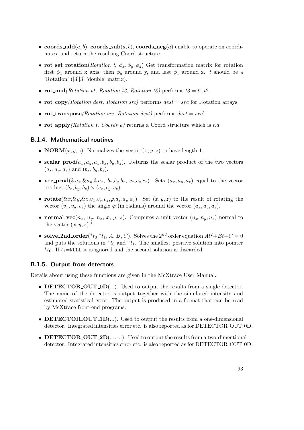- coords  $\text{add}(a, b)$ , coords  $\text{sub}(a, b)$ , coords neg(a) enable to operate on coordinates, and return the resulting Coord structure.
- rot\_set\_rotation(Rotation t,  $\phi_x, \phi_y, \phi_z$ ) Get transformation matrix for rotation first  $\phi_x$  around x axis, then  $\phi_y$  around y, and last  $\phi_z$  around z. t should be a 'Rotation' ([3][3] 'double' matrix).
- rot\_mul(Rotation t1, Rotation t2, Rotation t3) performs  $t3 = t1.t2$ .
- rot copy (Rotation dest, Rotation src) performs  $dest = src$  for Rotation arrays.
- rot\_transpose(Rotation src, Rotation dest) performs  $dest = src^t$ .
- rot apply (Rotation t, Coords a) returns a Coord structure which is t.a

### B.1.4. Mathematical routines

- **NORM** $(x, y, z)$ . Normalizes the vector  $(x, y, z)$  to have length 1.
- scalar\_prod( $a_x, a_y, a_z, b_x, b_y, b_z$ ). Returns the scalar product of the two vectors  $(a_x, a_y, a_z)$  and  $(b_x, b_y, b_z)$ .
- vec\_prod( $\&a_x,\&a_y,\&a_z,\;b_x,b_y,b_z,\;c_x,c_y,c_z$ ). Sets  $(a_x,a_y,a_z)$  equal to the vector product  $(b_x, b_y, b_z) \times (c_x, c_y, c_z)$ .
- rotate $(\&x,\&y,\&z,v_x,v_y,v_z,\varphi,a_x,a_y,a_z)$ . Set  $(x,y,z)$  to the result of rotating the vector  $(v_x, v_y, v_z)$  the angle  $\varphi$  (in radians) around the vector  $(a_x, a_y, a_z)$ .
- normal\_vec( $n_x, n_y, n_z, x, y, z$ ). Computes a unit vector  $(n_x, n_y, n_z)$  normal to the vector  $(x, y, z)$ .<sup>\*</sup>
- solve\_2nd\_order(\*t<sub>0</sub>,\*t<sub>1</sub>, A, B, C). Solves the 2<sup>nd</sup> order equation  $At^2+Bt+C=0$ and puts the solutions in  $*_t_0$  and  $*_t_1$ . The smallest positive solution into pointer  $*_{t_0}$ . If  $t_1$ =NULL it is ignored and the second solution is discarded.

### B.1.5. Output from detectors

Details about using these functions are given in the McXtrace User Manual.

- DETECTOR\_OUT\_0D $(...)$ . Used to output the results from a single detector. The name of the detector is output together with the simulated intensity and estimated statistical error. The output is produced in a format that can be read by McXtrace front-end programs.
- DETECTOR\_OUT\_1D $(...)$ . Used to output the results from a one-dimensional detector. Integrated intensities error etc. is also reported as for DETECTOR\_OUT\_0D.
- DETECTOR\_OUT\_2D(......). Used to output the results from a two-dimentional detector. Integrated intensities error etc. is also reported as for DETECTOR\_OUT\_0D.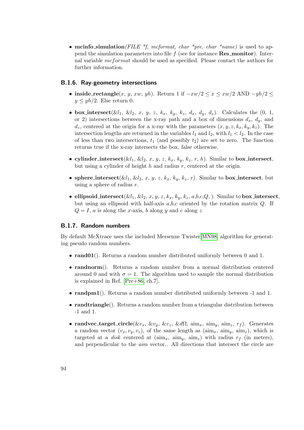<span id="page-93-0"></span>• mcinfo\_simulation(FILE \*f, mcformat, char \*pre, char \*name) is used to append the simulation parameters into file  $f$  (see for instance **Res\_monitor**). Internal variable mcformat should be used as specified. Please contact the authors for further information.

### B.1.6. Ray-geometry intersections

- inside\_rectangle(x, y, xw, yh). Return 1 if  $-xw/2 \leq x \leq xw/2$  AND  $-yh/2 \leq$  $y \leq yh/2$ . Else return 0.
- box intersect( $\&l_1$ ,  $\&l_2$ , x, y, z,  $k_x$ ,  $k_y$ ,  $k_z$ ,  $d_x$ ,  $d_y$ ,  $d_z$ ). Calculates the (0, 1, or 2) intersections between the x-ray path and a box of dimensions  $d_x$ ,  $d_y$ , and  $d_z$ , centered at the origin for a x-ray with the parameters  $(x, y, z, k_x, k_y, k_z)$ . The intersection lengths are returned in the variables  $l_1$  and  $l_2$ , with  $l_1 < l_2$ . In the case of less than two intersections,  $t_1$  (and possibly  $t_2$ ) are set to zero. The function returns true if the x-ray intersects the box, false otherwise.
- cylinder intersect( $\&l_1, \&l_2, x, y, z, k_x, k_y, k_z, r, h$ ). Similar to box intersect, but using a cylinder of height h and radius r, centered at the origin.
- sphere intersect( $\&l_1, \&l_2, x, y, z, k_x, k_y, k_z, r$ ). Similar to box intersect, but using a sphere of radius  $r$ .
- ellipsoid\_intersect( $\&l_1, \&l_2, x, y, z, k_x, k_y, k_z, a, b, c, Q$ ,). Similar to box\_intersect, but using an ellipsoid with half-axis  $a,b,c$  oriented by the rotation matrix  $Q$ . If  $Q = I$ , a is along the x-axis, b along y and c along z

### B.1.7. Random numbers

By default McXtrace uses the included Mersenne Twister[\[MN98\]](#page-100-1) algorithm for generating pseudo random numbers.

- rand01(). Returns a random number distributed uniformly between 0 and 1.
- randnorm(). Returns a random number from a normal distribution centered around 0 and with  $\sigma = 1$ . The algorithm used to sample the normal distribution is explained in Ref. [\[Pre+86,](#page-100-2) ch.7].
- randpm1(). Returns a random number distributed uniformly between -1 and 1.
- **randtriangle**(). Returns a random number from a triangular distribution between -1 and 1.
- randvec\_target\_circle( $&v_x, &v_y, &v_z, &d\Omega, \text{ aim}_x, \text{aim}_y, \text{aim}_z, r_f$ ). Generates a random vector  $(v_x, v_y, v_z)$ , of the same length as  $(\text{aim}_x, \text{aim}_y, \text{aim}_z)$ , which is targeted at a *disk* centered at  $(\text{aim}_x, \text{aim}_y, \text{aim}_z)$  with radius  $r_f$  (in meters), and perpendicular to the aim vector.. All directions that intersect the circle are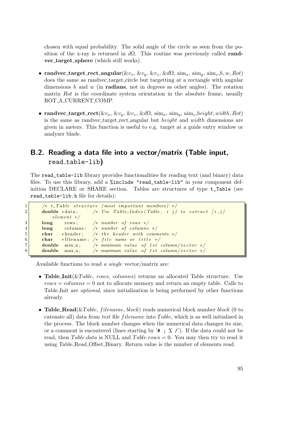chosen with equal probability. The solid angle of the circle as seen from the position of the x-ray is returned in  $d\Omega$ . This routine was previously called **rand**vec target sphere (which still works).

- randvec\_target\_rect\_angular( $\&v_x, \&v_y, \&v_z, \&d\Omega, \text{aim}_x, \text{aim}_y, \text{aim}_z,h,w,Rot)$ does the same as randvec target circle but targetting at a rectangle with angular dimensions h and w (in **radians**, not in degrees as other angles). The rotation matrix Rot is the coordinate system orientation in the absolute frame, usually ROT A CURRENT COMP.
- randvec\_target\_rect( $\&v_x, \&v_y, \&v_z, \&d\Omega$ ,  $\dim_x$ ,  $\dim_y$ ,  $\dim_z, height, width, Rot)$ is the same as randvec target rect angular but *height* and width dimensions are given in meters. This function is useful to e.g. target at a guide entry window or analyzer blade.

## B.2. Reading a data file into a vector/matrix (Table input, read table-lib)

The read\_table-lib library provides functionalities for reading text (and binary) data files. To use this library, add a %include "read\_table-lib" in your component definition DECLARE or SHARE section. Tables are structures of type t\_Table (see read\_table-lib.h file for details):

```
1 /* t_Table structure (most important members) */
2 double *data; /* Use Table_Index (Table, i j) to extract [i, j]element */
3 long rows; /* number of rows */4 long columns; /* number of columns */
5 char *header; /* the header with comments */
6 char *filename; /* file name or title */
7 double min_x; /* minimum value of 1st column/vector */8 double max.x; /* maximum value of 1st column/vector */
```
Available functions to read a single vector/matrix are:

- Table Init $(\& Table, rows, columns)$  returns an allocated Table structure. Use  $rows = columns = 0$  not to allocate memory and return an empty table. Calls to Table Init are optional, since initialization is being performed by other functions already.
- Table\_Read( $\&Table$ , filename, block) reads numerical block number block (0 to catenate all) data from text file filename into Table, which is as well initialized in the process. The block number changes when the numerical data changes its size, or a comment is encoutered (lines starting by  $^*$  ;  $^*$  ,  $^*$ ). If the data could not be read, then Table.data is NULL and Table.rows  $= 0$ . You may then try to read it using Table Read Offset Binary. Return value is the number of elements read.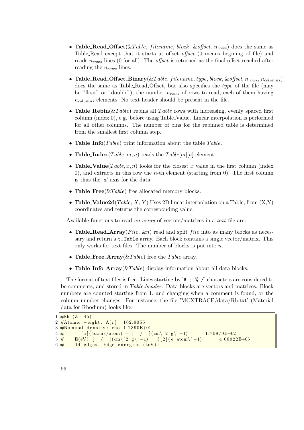- Table Read Offset (& Table, filename, block, & offset,  $n_{rows}$ ) does the same as Table Read except that it starts at offset offset (0 means begining of file) and reads  $n_{rows}$  lines (0 for all). The *offset* is returned as the final offset reached after reading the  $n_{rows}$  lines.
- Table\_Read\_Offset\_Binary( $&Table, filename, type, block, %offset, n<sub>rows</sub>, n<sub>columns</sub>$ ) does the same as Table Read Offset, but also specifies the type of the file (may be "float" or "double"), the number  $n_{rows}$  of rows to read, each of them having  $n_{columns}$  elements. No text header should be present in the file.
- Table\_Rebin( $\&Table$ ) rebins all Table rows with increasing, evenly spaced first column (index 0), e.g. before using Table Value. Linear interpolation is performed for all other columns. The number of bins for the rebinned table is determined from the smallest first column step.
- Table\_Info(Table) print information about the table Table.
- Table Index(Table, m, n) reads the Table[m][n] element.
- Table\_Value(Table, x, n) looks for the closest x value in the first column (index 0), and extracts in this row the *n*-th element (starting from 0). The first column is thus the 'x' axis for the data.
- Table\_Free( $&Table$ ) free allocated memory blocks.
- Table\_Value2d( $Table, X, Y$ ) Uses 2D linear interpolation on a Table, from  $(X, Y)$ coordinates and returns the corresponding value.

Available functions to read an array of vectors/matrices in a text file are:

- Table Read Array(File,  $\&$ n) read and split *file* into as many blocks as necessary and return a t\_Table array. Each block contains a single vector/matrix. This only works for text files. The number of blocks is put into  $n$ .
- Table\_Free\_Array( $&$ Table) free the Table array.
- Table Info  $Array(\&Table)$  display information about all data blocks.

The format of text files is free. Lines starting by '# ; % /' characters are considered to be comments, and stored in Table.header. Data blocks are vectors and matrices. Block numbers are counted starting from 1, and changing when a comment is found, or the column number changes. For instance, the file 'MCXTRACE/data/Rh.txt' (Material data for Rhodium) looks like:

```
1 \frac{4 \text{Rh} (Z \quad 45)}{2}2 \frac{4 \times 1000 \text{ m}}{2 \times 4000 \text{ m}} weight: A[r] 102.9055
3 \frac{4}{100} 3 \frac{4}{100} density: rho 1.2390E+01
4 \neq [a] (barns/atom) = [ / ] (cm\^2 g\^-1) 1.70879E+02
5 \neq E(eV) [ / ] (cm\^2 g\^-1) = f [2] (e atom\^-1) 4.08922E+05
\boxed{6} # 14 edges. Edge energies (keV):
```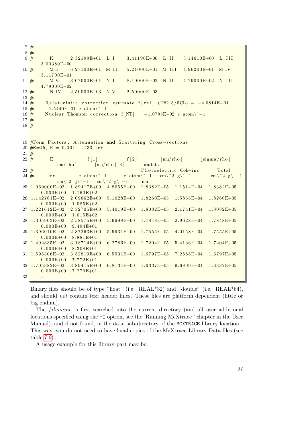$7 |#$  $8 \neq$  $9 \neq$  K 2.32199E+01 L I 3.41190E+00 L II 3.14610E+00 L III 3. 0 0 3 8 0E+00 10 # M I 6.27100E−01 M II 5.21000E−01 M III 4.96200E−01 M IV 3.11700E-01  $11 \frac{4}{11}$  MV 3.07000E-01 N I 8.10000E-02 N II 4.79000E-02 N III 4. 7 9 0 0 0E−02  $12 \neq N IV$  2.50000E–03 N V 2.50000E–03  $13 \neq$  $14 \frac{14}{\text{H}}$  Relativistic correction estimate f [rel] (H82,3/5CL) = -4.0814E-01,  $15 \# -2.5440E-01$  e atom $\^{-1}$  $16 \neq$  Nuclear Thomson correction f  $[NT] = -1.0795E-02$  e atom $\^{-1}$  $17 \frac{4}{5}$  $18 \, \frac{\text{H}}{\text{H}}$ 19 #Form Factors, Attenuation and Scattering Cross-sections  $20 \neq Z = 45$ ,  $E = 0.001 - 433$  keV  $21 \neq$  $22 \neq$  E f [1] f [2]  $\text{[mu/rho]}$  [sigma/rho] [mu/rho] [mu/rho ] [K] lambda  $23 \#$  Photoelectric Coh+inc Total 24  $\#$  keV e atom $\^$ −1 e atom $\^$ −1 cm $\^$ 2 g $\^$ −1 cm $\^2$  g $\^$ −1 cm\^2 g\^-1 cm\^2 g\^-1 nm 25 1.069000E−02 1.89417E+00 4.8055E+00 1.8382E+05 1.1514E−04 1.8382E+05  $0.000E+00$  1.160E+02 26 1.142761E−02 2.09662E+00 5.1028E+00 1.8260E+05 1.5865E−04 1.8260E+05  $0.000E+00$   $1.085E+02$ 27 1.221612E-02 2.32705E+00 5.4019E+00 1.8082E+05 2.1741E-04 1.8082E+05  $0.000E+00$  1.015E+02 28 1.305903E−02 2.58575E+00 5.6998E+00 1.7848E+05 2.9628E−04 1.7848E+05  $0.000E+00$   $9.494E+01$ 29 1.396010E-02 2.87263E+00 5.9931E+00 1.7555E+05 4.0158E-04 1.7555E+05  $0.000E+00$  8.881E+01 30 1.492335E−02 3.18714E+00 6.2786E+00 1.7204E+05 5.4136E−04 1.7204E+05  $0.000E+00$  8.308E+01 31 1.595306E−02 3.52819E+00 6.5531E+00 1.6797E+05 7.2588E−04 1.6797E+05  $0.000E+00$  7.772E+01 32 1.705382E−02 3.89415E+00 6.8134E+00 1.6337E+05 9.6809E−04 1.6337E+05  $0.000E+00$  7.270E+01  $33$  ...

Binary files should be of type "float" (i.e. REAL\*32) and "double" (i.e. REAL\*64), and should not contain text header lines. These files are platform dependent (little or big endian).

The *filename* is first searched into the current directory (and all user additional locations specified using the -I option, see the 'Running McXtrace ' chapter in the User Manual), and if not found, in the data sub-directory of the MCXTRACE library location. This way, you do not need to have local copies of the McXtrace Library Data files (see table [7.6\)](#page-85-0).

A usage example for this library part may be: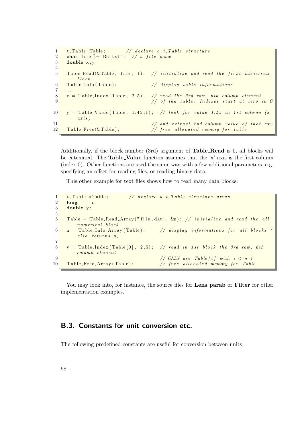```
1 \vert t-Table Table; \vert / \vert declare a t-Table structure
2 char file [] = "Rh.txt"; // a file name
3 double x, y;
4
5 Table_Read(\&Table, file, 1); // initialize and read the first numerical
        block
\boxed{6} Table Info (Table); \frac{1}{4} is play table informations
7
8 \mid x = \text{Table-Index}(\text{Table}, 2, 5); // read the 3rd row, 6th column element
9 // of the table. Indexes start at zero in C
                                     .
10 y = Table Value (Table, 1.45,1); // look for value 1.45 in 1st column (x)
        axis)11 / and extract 2nd column value of that row
12 Table Free (&Table); \frac{1}{\sqrt{2\pi}} free allocated memory for table
```
Additionally, if the block number (3rd) argument of Table Read is 0, all blocks will be catenated. The Table\_Value function assumes that the 'x' axis is the first column (index 0). Other functions are used the same way with a few additional parameters, e.g. specifying an offset for reading files, or reading binary data.

This other example for text files shows how to read many data blocks:

```
1 \vert t-Table *Table; \vert t \vert declare a t-Table structure array
2 \mid long n;
3 double y;
4
5 Table = Table Read Array ("file . dat", &n); // initialize and read the all
        numerical block
6 \n\vert n = \text{Table\_Info\_Array}(\text{Table}); // display informations for all blocks (
        also returns n)7
8 \mid y = \text{Table-Index}(\text{Table 0}, 2, 5); // read in 1st block the 3rd row, 6th
        column element9 \mid // ONLY use Table [i] with i < n !
10 Table_Free_Array (Table); // free allocated memory for Table
```
You may look into, for instance, the source files for **Lens parab** or **Filter** for other implementation examples.

## B.3. Constants for unit conversion etc.

The following predefined constants are useful for conversion between units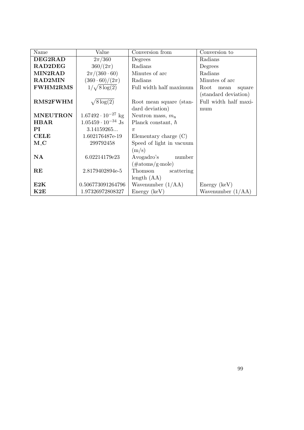| Name            | Value                       | Conversion from           | Conversion to          |
|-----------------|-----------------------------|---------------------------|------------------------|
| DEG2RAD         | $2\pi/360$                  | Degrees                   | Radians                |
| RAD2DEG         | $360/(2\pi)$                | Radians                   | Degrees                |
| MIN2RAD         | $2\pi/(360 \cdot 60)$       | Minutes of arc            | Radians                |
| <b>RAD2MIN</b>  | $(360 \cdot 60)/(2\pi)$     | Radians                   | Minutes of arc         |
| <b>FWHM2RMS</b> | $1/\sqrt{8\log(2)}$         | Full width half maximum   | Root<br>mean<br>square |
|                 |                             |                           | (standard deviation)   |
| <b>RMS2FWHM</b> | $\sqrt{8\log(2)}$           | Root mean square (stan-   | Full width half maxi-  |
|                 |                             | dard deviation)           | mum                    |
| <b>MNEUTRON</b> | $1.67492 \cdot 10^{-27}$ kg | Neutron mass, $m_n$       |                        |
| <b>HBAR</b>     | $1.05459 \cdot 10^{-34}$ Js | Planck constant, $\hbar$  |                        |
| PI              | 3.14159265                  | $\pi$                     |                        |
| <b>CELE</b>     | 1.602176487e-19             | Elementary charge $(C)$   |                        |
| $M_{-}C$        | 299792458                   | Speed of light in vacuum  |                        |
|                 |                             | (m/s)                     |                        |
| $\mathbf{NA}$   | 6.02214179e23               | Avogadro's number         |                        |
|                 |                             | $(\text{\#atoms/g-mole})$ |                        |
| $\mathbf{RE}$   | 2.8179402894e-5             | Thomson<br>scattering     |                        |
|                 |                             | length $(AA)$             |                        |
| E2K             | 0.506773091264796           | Wavenumber $(1/AA)$       | Energy (keV)           |
| K2E             | 1.97326972808327            | Energy (keV)              | Wavenumber $(1/AA)$    |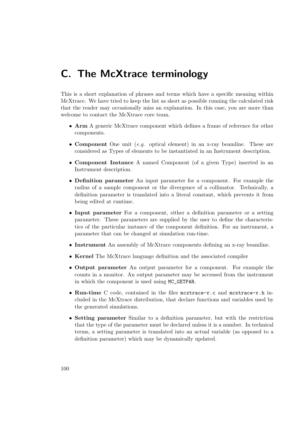# C. The McXtrace terminology

This is a short explanation of phrases and terms which have a specific meaning within McXtrace. We have tried to keep the list as short as possible running the calculated risk that the reader may occasionally miss an explanation. In this case, you are more than welcome to contact the McXtrace core team.

- Arm A generic McXtrace component which defines a frame of reference for other components.
- Component One unit  $(e,q. \text{ optical element})$  in an x-ray beamline. These are considered as Types of elements to be instantiated in an Instrument description.
- Component Instance A named Component (of a given Type) inserted in an Instrument description.
- Definition parameter An input parameter for a component. For example the radius of a sample component or the divergence of a collimator. Technically, a definition parameter is translated into a literal constant, which prevents it from being edited at runtime.
- Input parameter For a component, either a definition parameter or a setting parameter. These parameters are supplied by the user to define the characteristics of the particular instance of the component definition. For an instrument, a parameter that can be changed at simulation run-time.
- Instrument An assembly of McXtrace components defining an x-ray beamline.
- Kernel The McXtrace language definition and the associated compiler
- Output parameter An output parameter for a component. For example the counts in a monitor. An output parameter may be accessed from the instrument in which the component is used using MC\_GETPAR.
- Run-time C code, contained in the files mcxtrace-r.c and mcxtrace-r.h included in the McXtrace distribution, that declare functions and variables used by the generated simulations.
- Setting parameter Similar to a definition parameter, but with the restriction that the type of the parameter must be declared unless it is a number. In technical terms, a setting parameter is translated into an actual variable (as opposed to a definition parameter) which may be dynamically updated.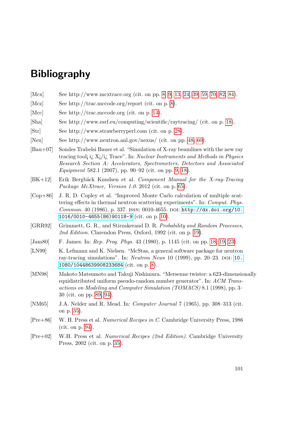# Bibliography

- <span id="page-100-0"></span>[Mcx] See http://www.mcxtrace.org (cit. on pp. [8,](#page-7-0) [9,](#page-8-0) [13,](#page-12-0) [24,](#page-23-0) [39,](#page-38-0) [59,](#page-58-0) [70,](#page-69-0) [82,](#page-81-0) [84\)](#page-83-1).
- [Mcz] See http://trac.mccode.org/report (cit. on p. [8\)](#page-7-0).
- [Mcc] See http://trac.mccode.org (cit. on p. [14\)](#page-13-0).
- [Sha] See http://www.esrf.eu/computing/scientific/raytracing/ (cit. on p. [18\)](#page-17-0).
- [Str] See http://www.strawberryperl.com (cit. on p. [28\)](#page-27-0).
- [Nex] See http://www.neutron.anl.gov/nexus/ (cit. on pp. [48,](#page-47-0) [60\)](#page-59-0).
- [Bau+07] Sondes Trabelsi Bauer et al. "Simulation of X-ray beamlines with the new ray tracing tool; i.  $X_i/i_i$ . Trace". In: Nuclear Instruments and Methods in Physics Research Section A: Accelerators, Spectrometers, Detectors and Associated Equipment 582.1 (2007), pp. 90–92 (cit. on pp. [9,](#page-8-0) [18\)](#page-17-0).
- [BK+12] Erik Bergbäck Knudsen et al. Component Manual for the X-ray-Tracing Package McXtrace, Version 1.0. 2012 (cit. on p. [65\)](#page-64-0).
- [Cop+86] J. R. D. Copley et al. "Improved Monte Carlo calculation of multiple scattering effects in thermal neutron scattering experiments". In: Comput. Phys. Commun. 40 (1986), p. 337. ISSN: 0010-4655. DOI: [http://dx.doi.org/10.](http://dx.doi.org/http://dx.doi.org/10.1016/0010-4655(86)90118-9) [1016/0010-4655\(86\)90118-9](http://dx.doi.org/http://dx.doi.org/10.1016/0010-4655(86)90118-9) (cit. on p. [10\)](#page-9-0).
- [GRR92] Grimmett, G. R., and Stirzakerand D. R. Probability and Random Processes, 2nd Edition. Clarendon Press, Oxford, 1992 (cit. on p. [19\)](#page-18-0).
- [Jam80] F. James. In: *Rep. Prog. Phys.* 43 (1980), p. 1145 (cit. on pp. [18,](#page-17-0) [19,](#page-18-0) [23\)](#page-22-0).
- [LN99] K. Lefmann and K. Nielsen. "McStas, a general software package for neutron ray-tracing simulations". In: Neutron News 10 (1999), pp. 20–23. DOI: [10.](http://dx.doi.org/10.1080/10448639908233684) [1080/10448639908233684](http://dx.doi.org/10.1080/10448639908233684) (cit. on p. [8\)](#page-7-0).
- <span id="page-100-1"></span>[MN98] Makoto Matsumoto and Takuji Nishimura. "Mersenne twister: a 623-dimensionally equidistributed uniform pseudo-random number generator". In: ACM Transactions on Modeling and Computer Simulation (TOMACS) 8.1 (1998), pp. 3– 30 (cit. on pp. [89,](#page-88-0) [94\)](#page-93-0).
- [NM65] J.A. Nelder and R. Mead. In: Computer Journal 7 (1965), pp. 308–313 (cit. on p. [35\)](#page-34-0).
- <span id="page-100-2"></span>[Pre+86] W. H. Press et al. Numerical Recipes in C. Cambridge University Press, 1986 (cit. on p. [94\)](#page-93-0).
- [Pre+02] W.H. Press et al. Numerical Recipes (2nd Edition). Cambridge University Press, 2002 (cit. on p. [35\)](#page-34-0).